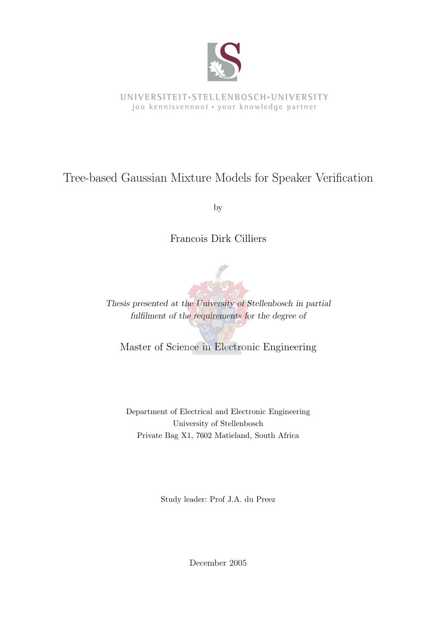

UNIVERSITEIT·STELLENBOSCH·UNIVERSITY jou kennisvennoot · your knowledge partner

### Tree-based Gaussian Mixture Models for Speaker Verification

by

Francois Dirk Cilliers



Thesis presented at the University of Stellenbosch in partial fulfilment of the requirements for the degree of

Master of Science in Electronic Engineering

Department of Electrical and Electronic Engineering University of Stellenbosch Private Bag X1, 7602 Matieland, South Africa

Study leader: Prof J.A. du Preez

December 2005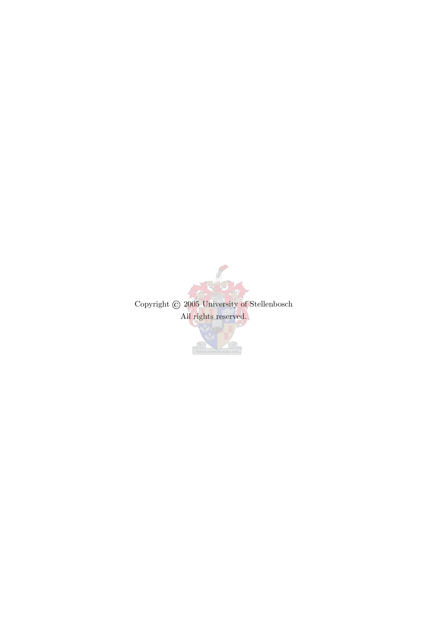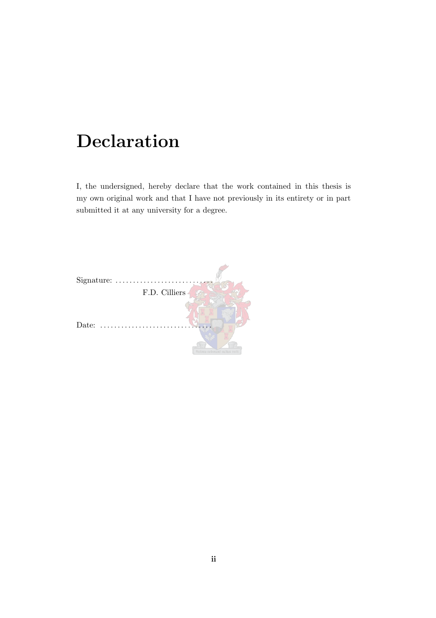## Declaration

<span id="page-2-0"></span>I, the undersigned, hereby declare that the work contained in this thesis is my own original work and that I have not previously in its entirety or in part submitted it at any university for a degree.

| Signature:    |                    |
|---------------|--------------------|
| F.D. Cilliers |                    |
| Date:         | ara roborant cultu |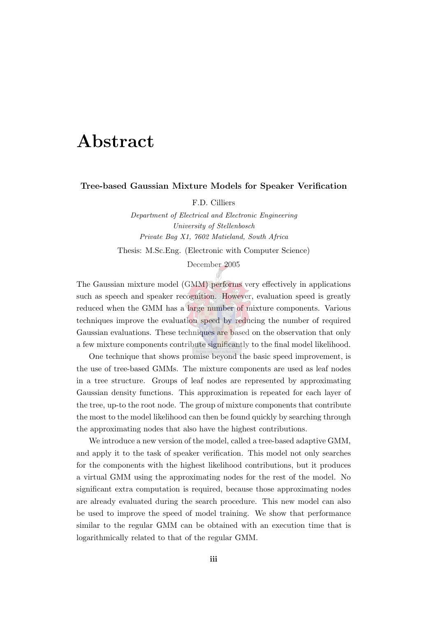## Abstract

#### <span id="page-3-0"></span>Tree-based Gaussian Mixture Models for Speaker Verification

F.D. Cilliers

Department of Electrical and Electronic Engineering University of Stellenbosch Private Bag X1, 7602 Matieland, South Africa Thesis: M.Sc.Eng. (Electronic with Computer Science)

December 2005

The Gaussian mixture model (GMM) performs very effectively in applications such as speech and speaker recognition. However, evaluation speed is greatly reduced when the GMM has a large number of mixture components. Various techniques improve the evaluation speed by reducing the number of required Gaussian evaluations. These techniques are based on the observation that only a few mixture components contribute significantly to the final model likelihood.

One technique that shows promise beyond the basic speed improvement, is the use of tree-based GMMs. The mixture components are used as leaf nodes in a tree structure. Groups of leaf nodes are represented by approximating Gaussian density functions. This approximation is repeated for each layer of the tree, up-to the root node. The group of mixture components that contribute the most to the model likelihood can then be found quickly by searching through the approximating nodes that also have the highest contributions.

We introduce a new version of the model, called a tree-based adaptive GMM, and apply it to the task of speaker verification. This model not only searches for the components with the highest likelihood contributions, but it produces a virtual GMM using the approximating nodes for the rest of the model. No significant extra computation is required, because those approximating nodes are already evaluated during the search procedure. This new model can also be used to improve the speed of model training. We show that performance similar to the regular GMM can be obtained with an execution time that is logarithmically related to that of the regular GMM.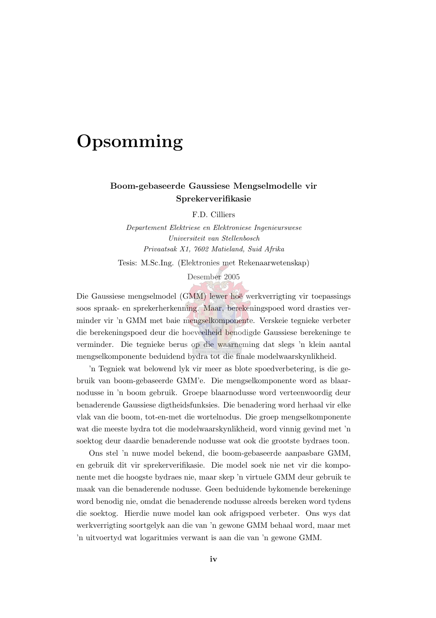## <span id="page-4-0"></span>**Opsomming**

#### Boom-gebaseerde Gaussiese Mengselmodelle vir Sprekerverifikasie

F.D. Cilliers

Departement Elektriese en Elektroniese Ingenieurswese Universiteit van Stellenbosch Privaatsak X1, 7602 Matieland, Suid Afrika

Tesis: M.Sc.Ing. (Elektronies met Rekenaarwetenskap)

Desember 2005

Die Gaussiese mengselmodel (GMM) lewer hoë werkverrigting vir toepassings soos spraak- en sprekerherkenning. Maar, berekeningspoed word drasties verminder vir 'n GMM met baie mengselkomponente. Verskeie tegnieke verbeter die berekeningspoed deur die hoeveelheid benodigde Gaussiese berekeninge te verminder. Die tegnieke berus op die waarneming dat slegs 'n klein aantal mengselkomponente beduidend bydra tot die finale modelwaarskynlikheid.

'n Tegniek wat belowend lyk vir meer as blote spoedverbetering, is die gebruik van boom-gebaseerde GMM'e. Die mengselkomponente word as blaarnodusse in 'n boom gebruik. Groepe blaarnodusse word verteenwoordig deur benaderende Gaussiese digtheidsfunksies. Die benadering word herhaal vir elke vlak van die boom, tot-en-met die wortelnodus. Die groep mengselkomponente wat die meeste bydra tot die modelwaarskynlikheid, word vinnig gevind met 'n soektog deur daardie benaderende nodusse wat ook die grootste bydraes toon.

Ons stel 'n nuwe model bekend, die boom-gebaseerde aanpasbare GMM, en gebruik dit vir sprekerverifikasie. Die model soek nie net vir die komponente met die hoogste bydraes nie, maar skep 'n virtuele GMM deur gebruik te maak van die benaderende nodusse. Geen beduidende bykomende berekeninge word benodig nie, omdat die benaderende nodusse alreeds bereken word tydens die soektog. Hierdie nuwe model kan ook afrigspoed verbeter. Ons wys dat werkverrigting soortgelyk aan die van 'n gewone GMM behaal word, maar met 'n uitvoertyd wat logaritmies verwant is aan die van 'n gewone GMM.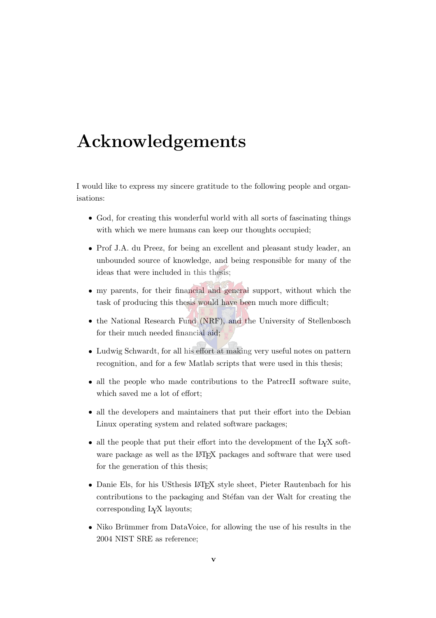## <span id="page-5-0"></span>Acknowledgements

I would like to express my sincere gratitude to the following people and organisations:

- God, for creating this wonderful world with all sorts of fascinating things with which we mere humans can keep our thoughts occupied;
- Prof J.A. du Preez, for being an excellent and pleasant study leader, an unbounded source of knowledge, and being responsible for many of the ideas that were included in this thesis;
- my parents, for their financial and general support, without which the task of producing this thesis would have been much more difficult;
- the National Research Fund (NRF), and the University of Stellenbosch for their much needed financial aid;
- Ludwig Schwardt, for all his effort at making very useful notes on pattern recognition, and for a few Matlab scripts that were used in this thesis;
- all the people who made contributions to the PatrecII software suite, which saved me a lot of effort;
- all the developers and maintainers that put their effort into the Debian Linux operating system and related software packages;
- all the people that put their effort into the development of the LYX software package as well as the LAT<sub>EX</sub> packages and software that were used for the generation of this thesis;
- Danie Els, for his USthesis LATEX style sheet, Pieter Rautenbach for his contributions to the packaging and Stéfan van der Walt for creating the corresponding LYX layouts;
- Niko Brümmer from DataVoice, for allowing the use of his results in the 2004 NIST SRE as reference;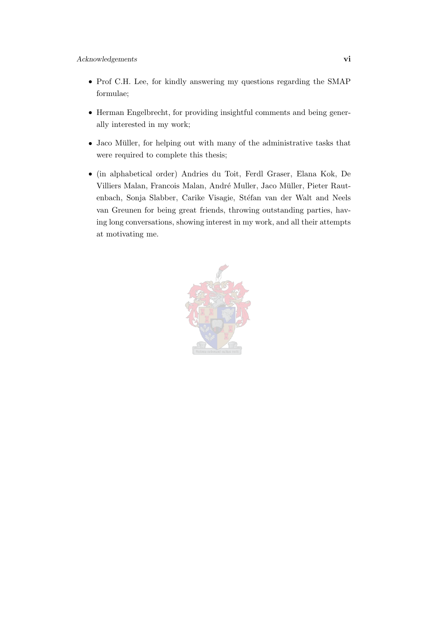- Prof C.H. Lee, for kindly answering my questions regarding the SMAP formulae;
- Herman Engelbrecht, for providing insightful comments and being generally interested in my work;
- Jaco Müller, for helping out with many of the administrative tasks that were required to complete this thesis;
- (in alphabetical order) Andries du Toit, Ferdl Graser, Elana Kok, De Villiers Malan, Francois Malan, André Muller, Jaco Müller, Pieter Rautenbach, Sonja Slabber, Carike Visagie, Stéfan van der Walt and Neels van Greunen for being great friends, throwing outstanding parties, having long conversations, showing interest in my work, and all their attempts at motivating me.

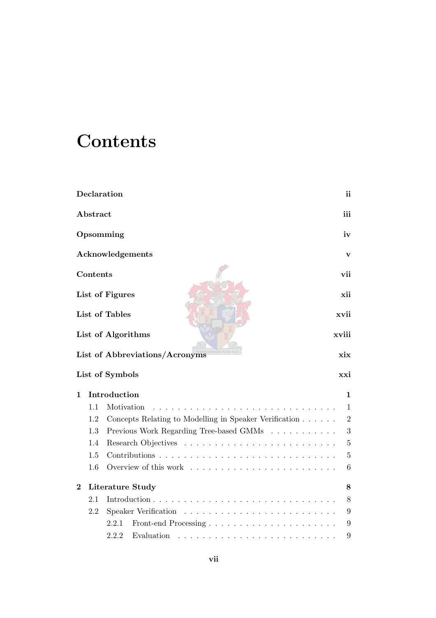## **Contents**

<span id="page-7-0"></span>

|          |          | Declaration                                            | ii             |
|----------|----------|--------------------------------------------------------|----------------|
|          | Abstract |                                                        | iii            |
|          |          | Opsomming                                              | iv             |
|          |          | Acknowledgements                                       | $\mathbf{v}$   |
|          | Contents |                                                        | vii            |
|          |          | List of Figures                                        | xii            |
|          |          | List of Tables                                         | xvii           |
|          |          | List of Algorithms                                     | xviii          |
|          |          | List of Abbreviations/Acronyms                         | xix            |
|          |          | List of Symbols                                        | xxi            |
| 1        |          | Introduction                                           | 1              |
|          | 1.1      | Motivation                                             | $\mathbf{1}$   |
|          | 1.2      | Concepts Relating to Modelling in Speaker Verification | $\overline{2}$ |
|          | 1.3      | Previous Work Regarding Tree-based GMMs                | 3              |
|          | 1.4      |                                                        | $\overline{5}$ |
|          | 1.5      |                                                        | $\overline{5}$ |
|          | 1.6      | Overview of this work                                  | 6              |
| $\bf{2}$ |          | Literature Study                                       | 8              |
|          | 2.1      |                                                        | 8              |
|          | 2.2      | Speaker Verification<br>.                              | 9              |
|          |          | 2.2.1                                                  | 9              |
|          |          | Evaluation<br>2.2.2                                    | 9              |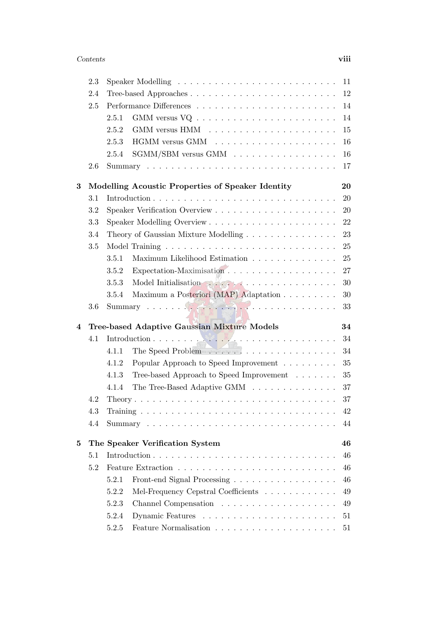|   | 2.3 |       |                                                                                                   | 11 |
|---|-----|-------|---------------------------------------------------------------------------------------------------|----|
|   | 2.4 |       |                                                                                                   | 12 |
|   | 2.5 |       |                                                                                                   | 14 |
|   |     | 2.5.1 |                                                                                                   | 14 |
|   |     | 2.5.2 |                                                                                                   | 15 |
|   |     | 2.5.3 |                                                                                                   | 16 |
|   |     | 2.5.4 |                                                                                                   | 16 |
|   | 2.6 |       |                                                                                                   | 17 |
| 3 |     |       | Modelling Acoustic Properties of Speaker Identity                                                 | 20 |
|   | 3.1 |       |                                                                                                   | 20 |
|   | 3.2 |       |                                                                                                   | 20 |
|   | 3.3 |       |                                                                                                   | 22 |
|   | 3.4 |       | Theory of Gaussian Mixture Modelling                                                              | 23 |
|   | 3.5 |       |                                                                                                   | 25 |
|   |     | 3.5.1 | Maximum Likelihood Estimation                                                                     | 25 |
|   |     | 3.5.2 |                                                                                                   | 27 |
|   |     | 3.5.3 |                                                                                                   | 30 |
|   |     | 3.5.4 | Maximum a Posteriori (MAP) Adaptation                                                             | 30 |
|   | 3.6 |       | $\text{Summary} \quad \ldots \quad \text{CHAPTER} \quad \ldots \quad \text{CHAPTER} \quad \ldots$ | 33 |
| 4 |     |       | Tree-based Adaptive Gaussian Mixture Models                                                       | 34 |
|   | 4.1 |       |                                                                                                   | 34 |
|   |     | 4.1.1 |                                                                                                   | 34 |
|   |     | 4.1.2 | Popular Approach to Speed Improvement $\dots \dots$                                               | 35 |
|   |     | 4.1.3 | Tree-based Approach to Speed Improvement                                                          | 35 |
|   |     | 4.1.4 | The Tree-Based Adaptive GMM                                                                       | 37 |
|   | 4.2 |       |                                                                                                   | 37 |
|   | 4.3 |       |                                                                                                   | 42 |
|   | 4.4 |       |                                                                                                   | 44 |
| 5 |     |       | The Speaker Verification System                                                                   | 46 |
|   | 5.1 |       |                                                                                                   | 46 |
|   | 5.2 |       |                                                                                                   | 46 |
|   |     | 5.2.1 | Front-end Signal Processing                                                                       | 46 |
|   |     | 5.2.2 | Mel-Frequency Cepstral Coefficients                                                               | 49 |
|   |     | 5.2.3 |                                                                                                   | 49 |
|   |     | 5.2.4 |                                                                                                   |    |
|   |     |       |                                                                                                   | 51 |
|   |     | 5.2.5 |                                                                                                   | 51 |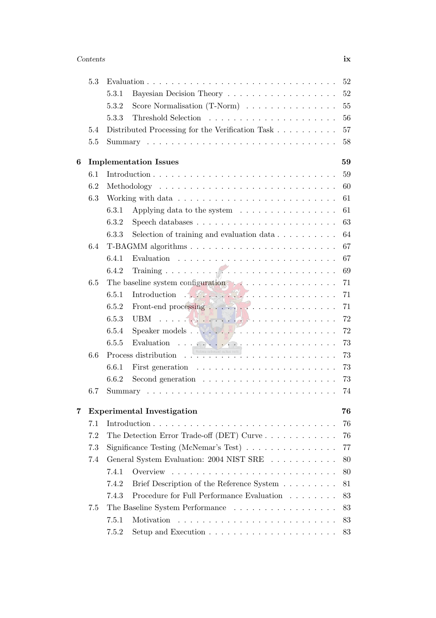#### Contents ix

|   | 5.3 |       |                                                                                            | 52 |
|---|-----|-------|--------------------------------------------------------------------------------------------|----|
|   |     | 5.3.1 |                                                                                            | 52 |
|   |     | 5.3.2 | Score Normalisation $(T\text{-}\mathrm{Norm})$                                             | 55 |
|   |     | 5.3.3 |                                                                                            | 56 |
|   | 5.4 |       | Distributed Processing for the Verification Task                                           | 57 |
|   | 5.5 |       |                                                                                            | 58 |
| 6 |     |       | <b>Implementation Issues</b><br>59                                                         |    |
|   | 6.1 |       |                                                                                            | 59 |
|   | 6.2 |       |                                                                                            | 60 |
|   | 6.3 |       |                                                                                            | 61 |
|   |     | 6.3.1 | Applying data to the system $\ldots \ldots \ldots \ldots \ldots$                           | 61 |
|   |     | 6.3.2 |                                                                                            | 63 |
|   |     | 6.3.3 | Selection of training and evaluation data $\ldots \ldots \ldots$                           | 64 |
|   | 6.4 |       |                                                                                            | 67 |
|   |     | 6.4.1 |                                                                                            | 67 |
|   |     | 6.4.2 |                                                                                            | 69 |
|   | 6.5 |       |                                                                                            | 71 |
|   |     | 6.5.1 | Introduction $\mathbb{R}^n$                                                                | 71 |
|   |     | 6.5.2 |                                                                                            | 71 |
|   |     | 6.5.3 | UBM $\ldots$ $\left[\frac{1}{2}\right]$ . $\left[\frac{1}{2}\right]$ . $\ldots$ . $\ldots$ | 72 |
|   |     | 6.5.4 |                                                                                            | 72 |
|   |     | 6.5.5 | Evaluation $\cdots$                                                                        | 73 |
|   | 6.6 |       |                                                                                            | 73 |
|   |     | 6.6.1 |                                                                                            | 73 |
|   |     | 6.6.2 | Second generation $\ldots \ldots \ldots \ldots \ldots \ldots \ldots$                       | 73 |
|   | 6.7 |       |                                                                                            | 74 |
|   |     |       |                                                                                            |    |
| 7 |     |       | <b>Experimental Investigation</b>                                                          | 76 |
|   | 7.1 |       |                                                                                            | 76 |
|   | 7.2 |       | The Detection Error Trade-off (DET) Curve $\dots \dots \dots \dots$                        | 76 |
|   | 7.3 |       | Significance Testing (McNemar's Test) $\ldots \ldots \ldots \ldots$                        | 77 |
|   | 7.4 |       | General System Evaluation: 2004 NIST SRE                                                   | 80 |
|   |     | 7.4.1 |                                                                                            | 80 |
|   |     | 7.4.2 | Brief Description of the Reference System                                                  | 81 |
|   |     | 7.4.3 | Procedure for Full Performance Evaluation $\ldots \ldots \ldots$                           | 83 |
|   | 7.5 |       | The Baseline System Performance                                                            | 83 |
|   |     | 7.5.1 |                                                                                            | 83 |
|   |     | 7.5.2 |                                                                                            | 83 |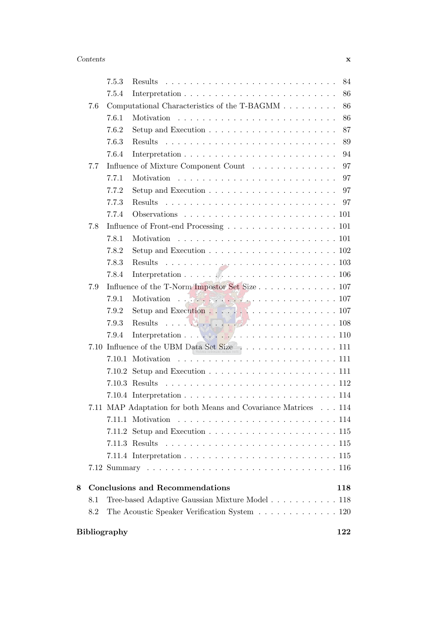|   |     | 7.5.3               | Results                                                                                              | 84  |
|---|-----|---------------------|------------------------------------------------------------------------------------------------------|-----|
|   |     | 7.5.4               |                                                                                                      | 86  |
|   | 7.6 |                     | Computational Characteristics of the T-BAGMM                                                         | 86  |
|   |     | 7.6.1               |                                                                                                      | 86  |
|   |     | 7.6.2               |                                                                                                      | 87  |
|   |     | 7.6.3               | Results                                                                                              | 89  |
|   |     | 7.6.4               |                                                                                                      | 94  |
|   | 7.7 |                     | Influence of Mixture Component Count                                                                 | 97  |
|   |     | 7.7.1               |                                                                                                      | 97  |
|   |     | 7.7.2               |                                                                                                      | 97  |
|   |     | 7.7.3               |                                                                                                      | 97  |
|   |     | 7.7.4               |                                                                                                      |     |
|   | 7.8 |                     | Influence of Front-end Processing 101                                                                |     |
|   |     | 7.8.1               | Motivation                                                                                           |     |
|   |     | 7.8.2               | Setup and Execution $\ldots \ldots \ldots \ldots \ldots \ldots \ldots \ldots 102$                    |     |
|   |     | 7.8.3               | Results                                                                                              |     |
|   |     | 7.8.4               | Interpretation $\ldots$ . $\ldots$ . $\ldots$ . $\ldots$ . $\ldots$ . $\ldots$ . $\ldots$ . $106$    |     |
|   | 7.9 |                     | Influence of the T-Norm Impostor Set Size 107                                                        |     |
|   |     | 7.9.1               | Motivation $\ldots$                                                                                  |     |
|   |     | 7.9.2               |                                                                                                      |     |
|   |     | 7.9.3               | $\frac{1}{2}$ . $\frac{1}{2}$ . $\frac{1}{2}$ 108<br>Results                                         |     |
|   |     | 7.9.4               | Interpretation $\ldots$ , $\ldots$ , $\ldots$ , $\ldots$ , $\ldots$ , $\ldots$ , $\ldots$ , $\ldots$ |     |
|   |     |                     | 7.10 Influence of the UBM Data Set Size $\ldots$ 111                                                 |     |
|   |     | 7.10.1              |                                                                                                      |     |
|   |     | 7.10.2              |                                                                                                      |     |
|   |     |                     | $7.10.3$ Results                                                                                     |     |
|   |     |                     |                                                                                                      |     |
|   |     |                     | 7.11 MAP Adaptation for both Means and Covariance Matrices 114                                       |     |
|   |     |                     | 7.11.1 Motivation                                                                                    |     |
|   |     |                     |                                                                                                      |     |
|   |     |                     |                                                                                                      |     |
|   |     |                     |                                                                                                      |     |
|   |     |                     |                                                                                                      |     |
| 8 |     |                     | <b>Conclusions and Recommendations</b>                                                               | 118 |
|   | 8.1 |                     | Tree-based Adaptive Gaussian Mixture Model 118                                                       |     |
|   | 8.2 |                     | The Acoustic Speaker Verification System 120                                                         |     |
|   |     | <b>Bibliography</b> |                                                                                                      | 122 |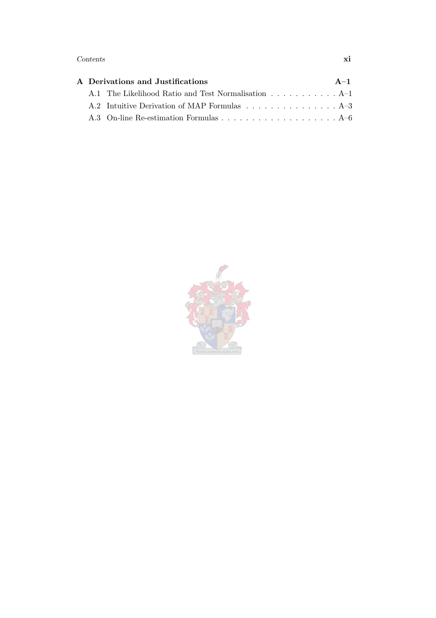#### Contents xi

|  | A Derivations and Justifications                    | $A-1$ |
|--|-----------------------------------------------------|-------|
|  | A.1 The Likelihood Ratio and Test Normalisation A-1 |       |
|  |                                                     |       |
|  |                                                     |       |

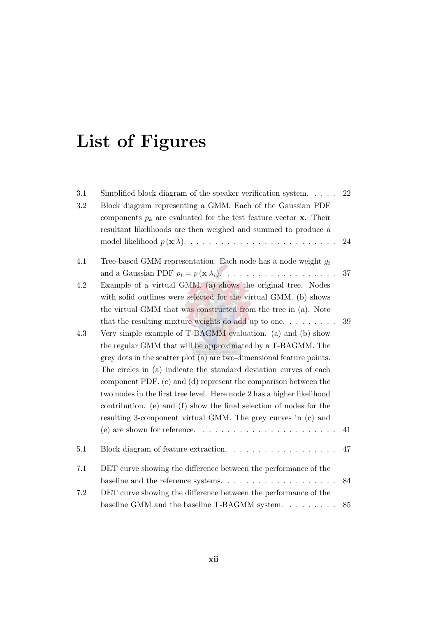# List of Figures

<span id="page-12-0"></span>

| 3.1<br>$\!3.2\!$ | Simplified block diagram of the speaker verification system. $\dots$ .<br>Block diagram representing a GMM. Each of the Gaussian PDF<br>components $p_k$ are evaluated for the test feature vector <b>x</b> . Their<br>resultant likelihoods are then weighed and summed to produce a                                                                                                                                                                                                                                                                                                                                                                                                                                       | 22<br>24 |
|------------------|-----------------------------------------------------------------------------------------------------------------------------------------------------------------------------------------------------------------------------------------------------------------------------------------------------------------------------------------------------------------------------------------------------------------------------------------------------------------------------------------------------------------------------------------------------------------------------------------------------------------------------------------------------------------------------------------------------------------------------|----------|
| 4.1              | Tree-based GMM representation. Each node has a node weight $g_i$                                                                                                                                                                                                                                                                                                                                                                                                                                                                                                                                                                                                                                                            | 37       |
| 4.2              | Example of a virtual GMM. (a) shows the original tree. Nodes<br>with solid outlines were selected for the virtual GMM. (b) shows<br>the virtual GMM that was constructed from the tree in (a). Note                                                                                                                                                                                                                                                                                                                                                                                                                                                                                                                         |          |
| 4.3              | that the resulting mixture weights do add up to one. $\dots \dots$<br>Very simple example of T-BAGMM evaluation. (a) and (b) show<br>the regular GMM that will be approximated by a T-BAGMM. The<br>grey dots in the scatter plot (a) are two-dimensional feature points.<br>The circles in (a) indicate the standard deviation curves of each<br>component PDF. (c) and (d) represent the comparison between the<br>two nodes in the first tree level. Here node 2 has a higher likelihood<br>contribution. (e) and (f) show the final selection of nodes for the<br>resulting 3-component virtual GMM. The grey curves in (c) and<br>(e) are shown for reference. $\dots \dots \dots \dots \dots \dots \dots \dots \dots$ | 39<br>41 |
| 5.1              | Block diagram of feature extraction. $\ldots \ldots \ldots \ldots \ldots \ldots$                                                                                                                                                                                                                                                                                                                                                                                                                                                                                                                                                                                                                                            | 47       |
| 7.1              | DET curve showing the difference between the performance of the                                                                                                                                                                                                                                                                                                                                                                                                                                                                                                                                                                                                                                                             | 84       |
| 7.2              | DET curve showing the difference between the performance of the<br>baseline GMM and the baseline $T$ -BAGMM system                                                                                                                                                                                                                                                                                                                                                                                                                                                                                                                                                                                                          | 85       |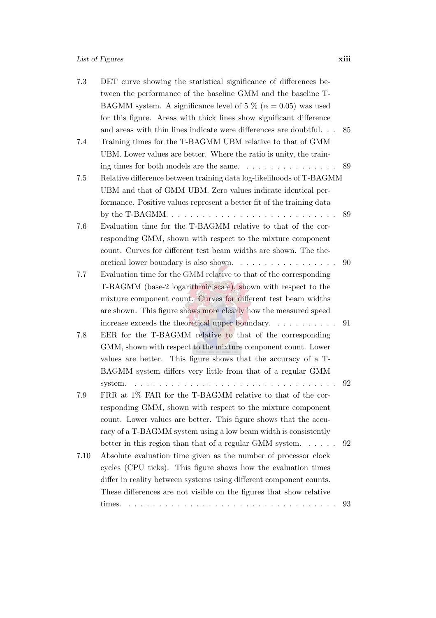#### List of Figures xiii

| 7.3  | DET curve showing the statistical significance of differences be-          |     |
|------|----------------------------------------------------------------------------|-----|
|      | tween the performance of the baseline GMM and the baseline T-              |     |
|      | BAGMM system. A significance level of 5 % ( $\alpha = 0.05$ ) was used     |     |
|      | for this figure. Areas with thick lines show significant difference        |     |
|      | and areas with thin lines indicate were differences are doubtful           | -85 |
| 7.4  | Training times for the T-BAGMM UBM relative to that of GMM                 |     |
|      | UBM. Lower values are better. Where the ratio is unity, the train-         |     |
|      |                                                                            |     |
| 7.5  | Relative difference between training data log-likelihoods of T-BAGMM       |     |
|      | UBM and that of GMM UBM. Zero values indicate identical per-               |     |
|      | formance. Positive values represent a better fit of the training data      |     |
|      |                                                                            | 89  |
| 7.6  | Evaluation time for the T-BAGMM relative to that of the cor-               |     |
|      | responding GMM, shown with respect to the mixture component                |     |
|      | count. Curves for different test beam widths are shown. The the-           |     |
|      |                                                                            | 90  |
| 7.7  | Evaluation time for the GMM relative to that of the corresponding          |     |
|      | T-BAGMM (base-2 logarithmic scale), shown with respect to the              |     |
|      | mixture component count. Curves for different test beam widths             |     |
|      | are shown. This figure shows more clearly how the measured speed           |     |
|      | increase exceeds the theoretical upper boundary. $\ldots \ldots \ldots$ 91 |     |
| 7.8  | EER for the T-BAGMM relative to that of the corresponding                  |     |
|      | GMM, shown with respect to the mixture component count. Lower              |     |
|      | values are better. This figure shows that the accuracy of a T-             |     |
|      | BAGMM system differs very little from that of a regular GMM                |     |
|      | system.                                                                    | 92  |
| 7.9  | FRR at 1% FAR for the T-BAGMM relative to that of the cor-                 |     |
|      | responding GMM, shown with respect to the mixture component                |     |
|      | count. Lower values are better. This figure shows that the accu-           |     |
|      | racy of a T-BAGMM system using a low beam width is consistently            |     |
|      | better in this region than that of a regular GMM system. $\dots$ .         | 92  |
| 7.10 | Absolute evaluation time given as the number of processor clock            |     |
|      | cycles (CPU ticks). This figure shows how the evaluation times             |     |
|      | differ in reality between systems using different component counts.        |     |
|      | These differences are not visible on the figures that show relative        |     |
|      | times.                                                                     | 93  |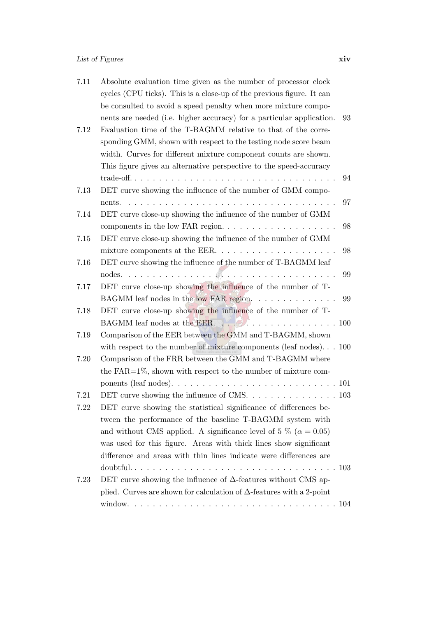| 7.11 | Absolute evaluation time given as the number of processor clock              |    |
|------|------------------------------------------------------------------------------|----|
|      | cycles (CPU ticks). This is a close-up of the previous figure. It can        |    |
|      | be consulted to avoid a speed penalty when more mixture compo-               |    |
|      | nents are needed (i.e. higher accuracy) for a particular application.        | 93 |
| 7.12 | Evaluation time of the T-BAGMM relative to that of the corre-                |    |
|      | sponding GMM, shown with respect to the testing node score beam              |    |
|      | width. Curves for different mixture component counts are shown.              |    |
|      | This figure gives an alternative perspective to the speed-accuracy           |    |
|      |                                                                              | 94 |
| 7.13 | DET curve showing the influence of the number of GMM compo-                  |    |
|      | nents.                                                                       | 97 |
| 7.14 | DET curve close-up showing the influence of the number of GMM                |    |
|      |                                                                              | 98 |
| 7.15 | DET curve close-up showing the influence of the number of GMM                |    |
|      |                                                                              | 98 |
| 7.16 | DET curve showing the influence of the number of T-BAGMM leaf                |    |
|      |                                                                              | 99 |
| 7.17 | DET curve close-up showing the influence of the number of T-                 |    |
|      | BAGMM leaf nodes in the low FAR region.                                      | 99 |
| 7.18 | DET curve close-up showing the influence of the number of T-                 |    |
|      | BAGMM leaf nodes at the EER.                                                 |    |
| 7.19 | Comparison of the EER between the GMM and T-BAGMM, shown                     |    |
|      | with respect to the number of mixture components (leaf nodes). $\ldots$ 100  |    |
| 7.20 | Comparison of the FRR between the GMM and T-BAGMM where                      |    |
|      | the $FAR=1\%$ , shown with respect to the number of mixture com-             |    |
|      |                                                                              |    |
| 7.21 |                                                                              |    |
| 7.22 | DET curve showing the statistical significance of differences be-            |    |
|      | tween the performance of the baseline T-BAGMM system with                    |    |
|      | and without CMS applied. A significance level of 5 % ( $\alpha = 0.05$ )     |    |
|      | was used for this figure. Areas with thick lines show significant            |    |
|      | difference and areas with thin lines indicate were differences are           |    |
|      |                                                                              |    |
| 7.23 | DET curve showing the influence of $\Delta$ -features without CMS ap-        |    |
|      | plied. Curves are shown for calculation of $\Delta$ -features with a 2-point |    |
|      |                                                                              |    |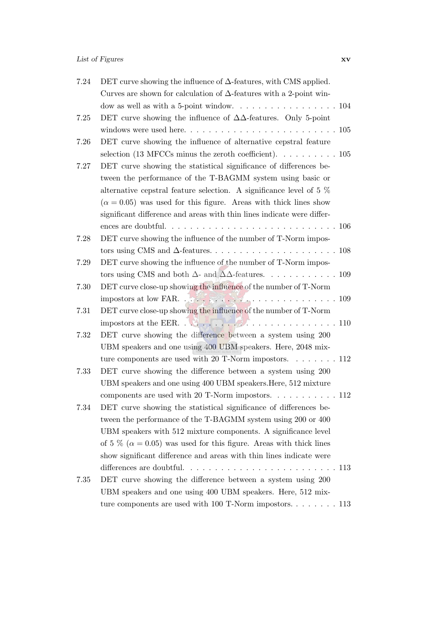| 7.24     | DET curve showing the influence of $\Delta$ -features, with CMS applied.                                                                                                                                                                                                                                                                                                                                                                                           |
|----------|--------------------------------------------------------------------------------------------------------------------------------------------------------------------------------------------------------------------------------------------------------------------------------------------------------------------------------------------------------------------------------------------------------------------------------------------------------------------|
|          | Curves are shown for calculation of $\Delta$ -features with a 2-point win-                                                                                                                                                                                                                                                                                                                                                                                         |
|          | dow as well as with a 5-point window. $\dots \dots \dots \dots \dots \dots \dots 104$                                                                                                                                                                                                                                                                                                                                                                              |
| 7.25     | DET curve showing the influence of $\Delta\Delta$ -features. Only 5-point                                                                                                                                                                                                                                                                                                                                                                                          |
|          |                                                                                                                                                                                                                                                                                                                                                                                                                                                                    |
| 7.26     | DET curve showing the influence of alternative cepstral feature                                                                                                                                                                                                                                                                                                                                                                                                    |
|          | selection (13 MFCCs minus the zeroth coefficient). $\dots \dots \dots \dots \dots$                                                                                                                                                                                                                                                                                                                                                                                 |
| 7.27     | DET curve showing the statistical significance of differences be-                                                                                                                                                                                                                                                                                                                                                                                                  |
|          | tween the performance of the T-BAGMM system using basic or                                                                                                                                                                                                                                                                                                                                                                                                         |
|          | alternative cepstral feature selection. A significance level of 5 $\%$                                                                                                                                                                                                                                                                                                                                                                                             |
|          | $(\alpha = 0.05)$ was used for this figure. Areas with thick lines show                                                                                                                                                                                                                                                                                                                                                                                            |
|          | significant difference and areas with thin lines indicate were differ-                                                                                                                                                                                                                                                                                                                                                                                             |
|          |                                                                                                                                                                                                                                                                                                                                                                                                                                                                    |
| 7.28     | DET curve showing the influence of the number of T-Norm impos-                                                                                                                                                                                                                                                                                                                                                                                                     |
|          |                                                                                                                                                                                                                                                                                                                                                                                                                                                                    |
| 7.29     | DET curve showing the influence of the number of T-Norm impos-                                                                                                                                                                                                                                                                                                                                                                                                     |
|          | tors using CMS and both $\Delta$ - and $\Delta\Delta$ -features. 109                                                                                                                                                                                                                                                                                                                                                                                               |
| 7.30     | DET curve close-up showing the influence of the number of T-Norm                                                                                                                                                                                                                                                                                                                                                                                                   |
|          | impostors at low FAR.                                                                                                                                                                                                                                                                                                                                                                                                                                              |
| 7.31     | DET curve close-up showing the influence of the number of T-Norm                                                                                                                                                                                                                                                                                                                                                                                                   |
|          | impostors at the EER. $\therefore$ $\therefore$ $\therefore$ $\therefore$ $\therefore$ $\therefore$ $\therefore$ $\therefore$ $\therefore$ $\therefore$ $\therefore$ $\therefore$ $\therefore$ $\therefore$ $\therefore$ $\therefore$ $\therefore$ $\therefore$ $\therefore$ $\therefore$ $\therefore$ $\therefore$ $\therefore$ $\therefore$ $\therefore$ $\therefore$ $\therefore$ $\therefore$ $\therefore$ $\therefore$ $\therefore$ $\therefore$ $\therefore$ |
| 7.32     | DET curve showing the difference between a system using 200                                                                                                                                                                                                                                                                                                                                                                                                        |
|          | UBM speakers and one using 400 UBM speakers. Here, 2048 mix-                                                                                                                                                                                                                                                                                                                                                                                                       |
|          | ture components are used with 20 T-Norm impostors. $\dots \dots \dots 112$                                                                                                                                                                                                                                                                                                                                                                                         |
| 7.33     | DET curve showing the difference between a system using 200                                                                                                                                                                                                                                                                                                                                                                                                        |
|          | UBM speakers and one using 400 UBM speakers. Here, 512 mixture                                                                                                                                                                                                                                                                                                                                                                                                     |
|          | components are used with 20 T-Norm impostors. 112                                                                                                                                                                                                                                                                                                                                                                                                                  |
| 7.34     | DET curve showing the statistical significance of differences be-                                                                                                                                                                                                                                                                                                                                                                                                  |
|          | tween the performance of the T-BAGMM system using 200 or 400                                                                                                                                                                                                                                                                                                                                                                                                       |
|          | UBM speakers with 512 mixture components. A significance level                                                                                                                                                                                                                                                                                                                                                                                                     |
|          | of 5 % ( $\alpha$ = 0.05) was used for this figure. Areas with thick lines                                                                                                                                                                                                                                                                                                                                                                                         |
|          | show significant difference and areas with thin lines indicate were                                                                                                                                                                                                                                                                                                                                                                                                |
|          | differences are doubtful. $\ldots \ldots \ldots \ldots \ldots \ldots \ldots \ldots 113$                                                                                                                                                                                                                                                                                                                                                                            |
| $7.35\,$ | DET curve showing the difference between a system using 200                                                                                                                                                                                                                                                                                                                                                                                                        |
|          | UBM speakers and one using 400 UBM speakers. Here, 512 mix-                                                                                                                                                                                                                                                                                                                                                                                                        |
|          | ture components are used with 100 T-Norm impostors 113                                                                                                                                                                                                                                                                                                                                                                                                             |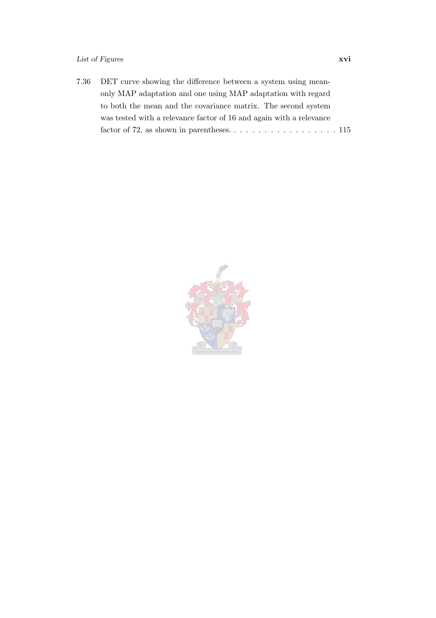#### List of Figures xvi

| 7.36 DET curve showing the difference between a system using mean-  |
|---------------------------------------------------------------------|
| only MAP adaptation and one using MAP adaptation with regard        |
| to both the mean and the covariance matrix. The second system       |
| was tested with a relevance factor of 16 and again with a relevance |
|                                                                     |

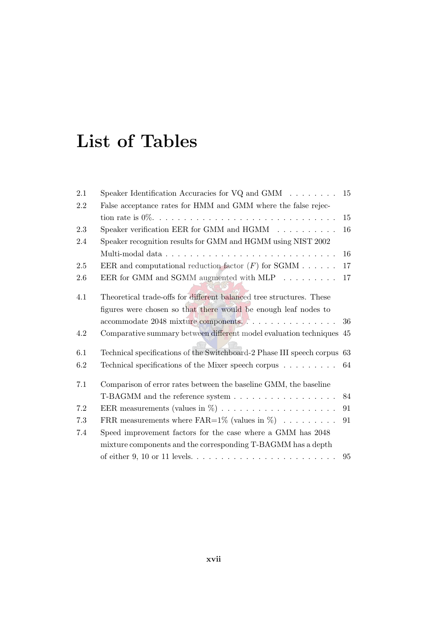## List of Tables

<span id="page-17-0"></span>

| 2.1 | Speaker Identification Accuracies for $VQ$ and $GMM \dots \dots$         | 15 |
|-----|--------------------------------------------------------------------------|----|
| 2.2 | False acceptance rates for HMM and GMM where the false rejec-            |    |
|     |                                                                          | 15 |
| 2.3 | Speaker verification EER for GMM and $HGMM$                              | 16 |
| 2.4 | Speaker recognition results for GMM and HGMM using NIST 2002             |    |
|     |                                                                          | 16 |
| 2.5 | EER and computational reduction factor $(F)$ for SGMM                    | 17 |
| 2.6 | EER for GMM and SGMM augmented with MLP $\ldots \ldots \ldots$           | 17 |
| 4.1 | Theoretical trade-offs for different balanced tree structures. These     |    |
|     | figures were chosen so that there would be enough leaf nodes to          |    |
|     | accommodate 2048 mixture components                                      | 36 |
| 4.2 | Comparative summary between different model evaluation techniques 45     |    |
| 6.1 | Technical specifications of the Switchboard-2 Phase III speech corpus 63 |    |
| 6.2 | Technical specifications of the Mixer speech corpus                      | 64 |
| 7.1 | Comparison of error rates between the baseline GMM, the baseline         |    |
|     | T-BAGMM and the reference system                                         | 84 |
| 7.2 | EER measurements (values in $\%$ )                                       | 91 |
| 7.3 | FRR measurements where FAR= $1\%$ (values in $\%$ )                      | 91 |
| 7.4 | Speed improvement factors for the case where a GMM has 2048              |    |
|     | mixture components and the corresponding T-BAGMM has a depth             |    |
|     |                                                                          | 95 |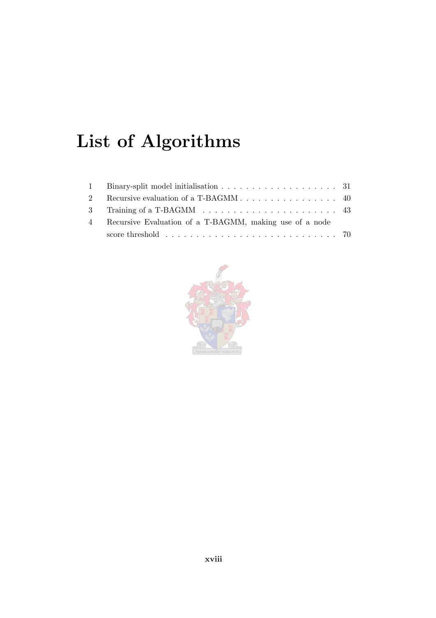# List of Algorithms

<span id="page-18-0"></span>

|             | 1 Binary-split model initialisation 31                                           |  |
|-------------|----------------------------------------------------------------------------------|--|
| $2^{\circ}$ |                                                                                  |  |
|             |                                                                                  |  |
| $\sim$ 4    | Recursive Evaluation of a T-BAGMM, making use of a node                          |  |
|             | score threshold $\ldots \ldots \ldots \ldots \ldots \ldots \ldots \ldots \ldots$ |  |

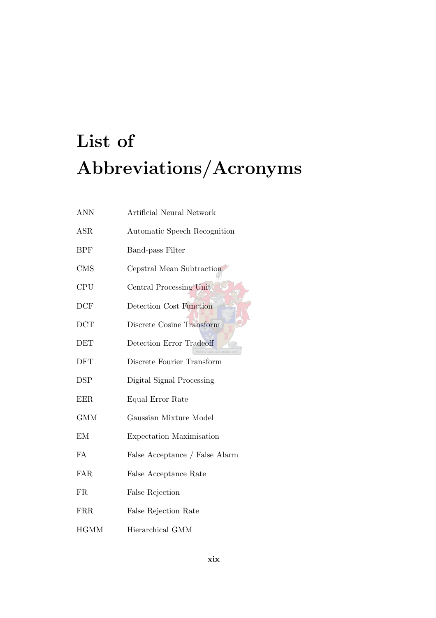# <span id="page-19-0"></span>List of Abbreviations/Acronyms

| <b>ANN</b>  | Artificial Neural Network      |
|-------------|--------------------------------|
| ASR         | Automatic Speech Recognition   |
| <b>BPF</b>  | <b>Band-pass Filter</b>        |
| <b>CMS</b>  | Cepstral Mean Subtraction      |
| <b>CPU</b>  | Central Processing Unit        |
| DCF         | Detection Cost Function        |
| <b>DCT</b>  | Discrete Cosine Transform      |
| <b>DET</b>  | Detection Error Tradeoff       |
| <b>DFT</b>  | Discrete Fourier Transform     |
| <b>DSP</b>  | Digital Signal Processing      |
| <b>EER</b>  | Equal Error Rate               |
| <b>GMM</b>  | Gaussian Mixture Model         |
| EM          | Expectation Maximisation       |
| FA          | False Acceptance / False Alarm |
| <b>FAR</b>  | False Acceptance Rate          |
| <b>FR</b>   | False Rejection                |
| FRR         | False Rejection Rate           |
| <b>HGMM</b> | Hierarchical GMM               |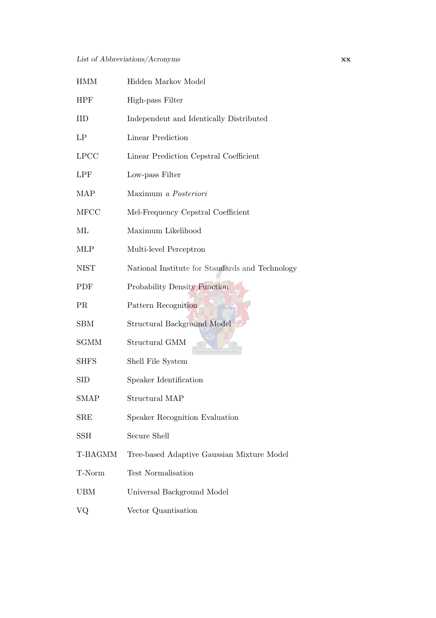| <b>HMM</b>  | Hidden Markov Model                             |
|-------------|-------------------------------------------------|
| <b>HPF</b>  | High-pass Filter                                |
| IID         | Independent and Identically Distributed         |
| LP          | Linear Prediction                               |
| LPCC        | Linear Prediction Cepstral Coefficient          |
| <b>LPF</b>  | Low-pass Filter                                 |
| <b>MAP</b>  | Maximum a Posteriori                            |
| <b>MFCC</b> | Mel-Frequency Cepstral Coefficient              |
| МL          | Maximum Likelihood                              |
| <b>MLP</b>  | Multi-level Perceptron                          |
| <b>NIST</b> | National Institute for Standards and Technology |
| PDF         | <b>Probability Density Function</b>             |
| <b>PR</b>   | Pattern Recognition                             |
| <b>SBM</b>  | <b>Structural Background Model</b>              |
| <b>SGMM</b> | Structural GMM                                  |
| <b>SHFS</b> | Shell File System                               |
| <b>SID</b>  | Speaker Identification                          |
| <b>SMAP</b> | Structural MAP                                  |
| SRE         | Speaker Recognition Evaluation                  |
| SSH         | Secure Shell                                    |
| T-BAGMM     | Tree-based Adaptive Gaussian Mixture Model      |
| T-Norm      | <b>Test Normalisation</b>                       |
| <b>UBM</b>  | Universal Background Model                      |
| VQ          | Vector Quantisation                             |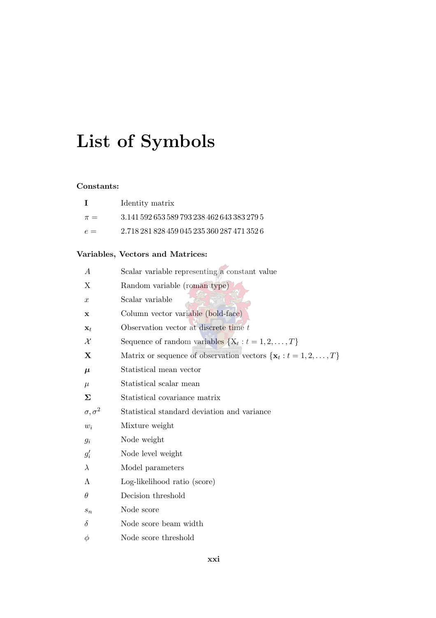# <span id="page-21-0"></span>List of Symbols

#### Constants:

|         | Identity matrix                             |
|---------|---------------------------------------------|
| $\pi =$ | 3.141.592.653.589.793.238.462.643.383.279.5 |
| $e =$   | 2.718 281 828 459 045 235 360 287 471 352 6 |

#### Variables, Vectors and Matrices:

| $\boldsymbol{A}$   | Scalar variable representing a constant value                       |
|--------------------|---------------------------------------------------------------------|
| Χ                  | Random variable (roman type)                                        |
| $\boldsymbol{x}$   | Scalar variable                                                     |
| x                  | Column vector variable (bold-face)                                  |
| $\mathbf{x}_t$     | Observation vector at discrete time t                               |
| $\mathcal X$       | Sequence of random variables $\{X_t : t = 1, 2, , T\}$              |
| X                  | Matrix or sequence of observation vectors $\{x_t : t = 1, 2, , T\}$ |
| $\mu$              | Statistical mean vector                                             |
| $\mu$              | Statistical scalar mean                                             |
| Σ                  | Statistical covariance matrix                                       |
| $\sigma, \sigma^2$ | Statistical standard deviation and variance                         |
| $w_i$              | Mixture weight                                                      |
| $g_i$              | Node weight                                                         |
| $g_i'$             | Node level weight                                                   |
| $\lambda$          | Model parameters                                                    |
| Λ                  | Log-likelihood ratio (score)                                        |
| $\theta$           | Decision threshold                                                  |
| $s_n$              | Node score                                                          |
| $\delta$           | Node score beam width                                               |
| $\phi$             | Node score threshold                                                |
|                    |                                                                     |

 $\mathcal{A}_\mathcal{A}$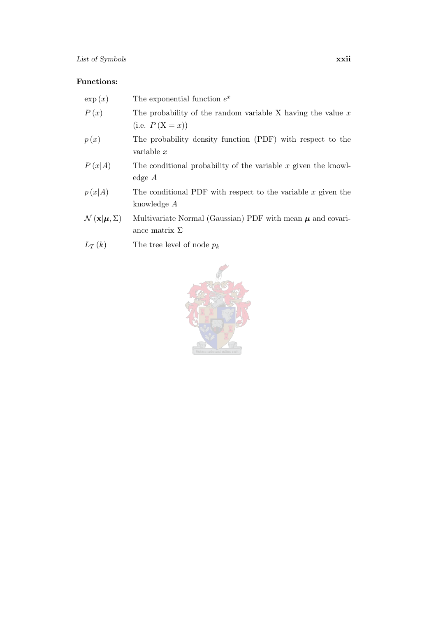#### Functions:

| $\exp(x)$                                          | The exponential function $e^x$                                                         |
|----------------------------------------------------|----------------------------------------------------------------------------------------|
| P(x)                                               | The probability of the random variable X having the value $x$<br>(i.e. $P(X = x)$ )    |
| p(x)                                               | The probability density function (PDF) with respect to the<br>variable $x$             |
| P(x A)                                             | The conditional probability of the variable $x$ given the knowl-<br>edge $A$           |
| p(x A)                                             | The conditional PDF with respect to the variable $x$ given the<br>knowledge A          |
| $\mathcal{N}(\mathbf{x} \boldsymbol{\mu}, \Sigma)$ | Multivariate Normal (Gaussian) PDF with mean $\mu$ and covari-<br>ance matrix $\Sigma$ |
| $L_T(k)$                                           | The tree level of node $p_k$                                                           |

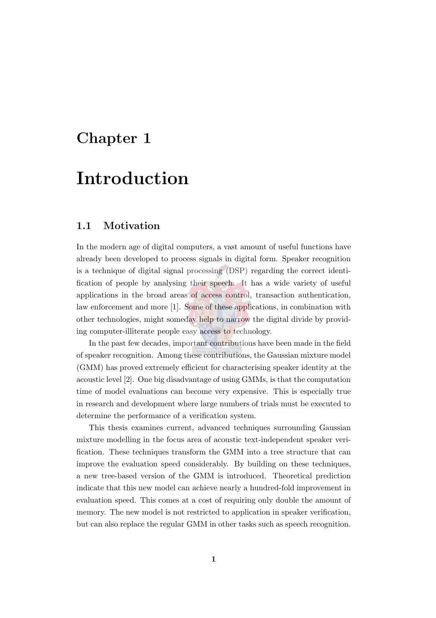### <span id="page-23-0"></span>Chapter 1

## Introduction

#### <span id="page-23-1"></span>1.1 Motivation

In the modern age of digital computers, a vast amount of useful functions have already been developed to process signals in digital form. Speaker recognition is a technique of digital signal processing (DSP) regarding the correct identification of people by analysing their speech. It has a wide variety of useful applications in the broad areas of access control, transaction authentication, law enforcement and more [\[1\]](#page-144-1). Some of these applications, in combination with other technologies, might someday help to narrow the digital divide by providing computer-illiterate people easy access to technology.

In the past few decades, important contributions have been made in the field of speaker recognition. Among these contributions, the Gaussian mixture model (GMM) has proved extremely efficient for characterising speaker identity at the acoustic level [\[2](#page-144-2)]. One big disadvantage of using GMMs, is that the computation time of model evaluations can become very expensive. This is especially true in research and development where large numbers of trials must be executed to determine the performance of a verification system.

This thesis examines current, advanced techniques surrounding Gaussian mixture modelling in the focus area of acoustic text-independent speaker verification. These techniques transform the GMM into a tree structure that can improve the evaluation speed considerably. By building on these techniques, a new tree-based version of the GMM is introduced. Theoretical prediction indicate that this new model can achieve nearly a hundred-fold improvement in evaluation speed. This comes at a cost of requiring only double the amount of memory. The new model is not restricted to application in speaker verification, but can also replace the regular GMM in other tasks such as speech recognition.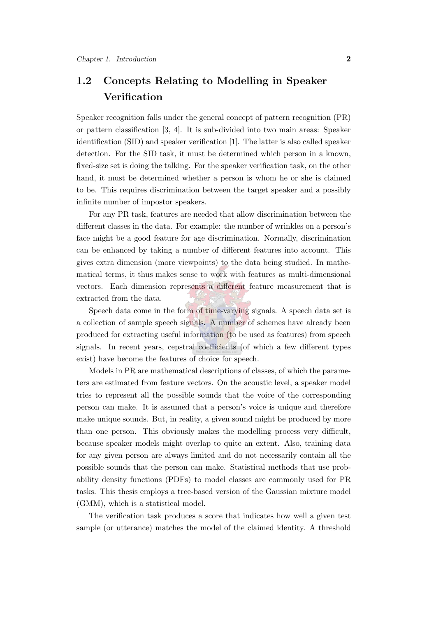### <span id="page-24-0"></span>1.2 Concepts Relating to Modelling in Speaker **Verification**

Speaker recognition falls under the general concept of pattern recognition (PR) or pattern classification [\[3,](#page-144-3) [4\]](#page-144-4). It is sub-divided into two main areas: Speaker identification (SID) and speaker verification [\[1](#page-144-1)]. The latter is also called speaker detection. For the SID task, it must be determined which person in a known, fixed-size set is doing the talking. For the speaker verification task, on the other hand, it must be determined whether a person is whom he or she is claimed to be. This requires discrimination between the target speaker and a possibly infinite number of impostor speakers.

For any PR task, features are needed that allow discrimination between the different classes in the data. For example: the number of wrinkles on a person's face might be a good feature for age discrimination. Normally, discrimination can be enhanced by taking a number of different features into account. This gives extra dimension (more viewpoints) to the data being studied. In mathematical terms, it thus makes sense to work with features as multi-dimensional vectors. Each dimension represents a different feature measurement that is extracted from the data.

Speech data come in the form of time-varying signals. A speech data set is a collection of sample speech signals. A number of schemes have already been produced for extracting useful information (to be used as features) from speech signals. In recent years, cepstral coefficients (of which a few different types exist) have become the features of choice for speech.

Models in PR are mathematical descriptions of classes, of which the parameters are estimated from feature vectors. On the acoustic level, a speaker model tries to represent all the possible sounds that the voice of the corresponding person can make. It is assumed that a person's voice is unique and therefore make unique sounds. But, in reality, a given sound might be produced by more than one person. This obviously makes the modelling process very difficult, because speaker models might overlap to quite an extent. Also, training data for any given person are always limited and do not necessarily contain all the possible sounds that the person can make. Statistical methods that use probability density functions (PDFs) to model classes are commonly used for PR tasks. This thesis employs a tree-based version of the Gaussian mixture model (GMM), which is a statistical model.

The verification task produces a score that indicates how well a given test sample (or utterance) matches the model of the claimed identity. A threshold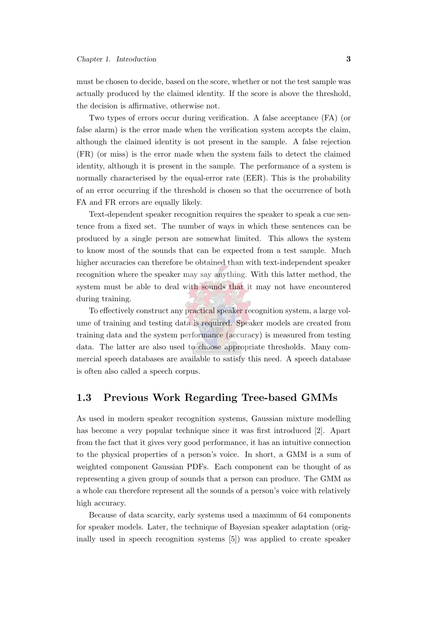must be chosen to decide, based on the score, whether or not the test sample was actually produced by the claimed identity. If the score is above the threshold, the decision is affirmative, otherwise not.

Two types of errors occur during verification. A false acceptance (FA) (or false alarm) is the error made when the verification system accepts the claim, although the claimed identity is not present in the sample. A false rejection (FR) (or miss) is the error made when the system fails to detect the claimed identity, although it is present in the sample. The performance of a system is normally characterised by the equal-error rate (EER). This is the probability of an error occurring if the threshold is chosen so that the occurrence of both FA and FR errors are equally likely.

Text-dependent speaker recognition requires the speaker to speak a cue sentence from a fixed set. The number of ways in which these sentences can be produced by a single person are somewhat limited. This allows the system to know most of the sounds that can be expected from a test sample. Much higher accuracies can therefore be obtained than with text-independent speaker recognition where the speaker may say anything. With this latter method, the system must be able to deal with sounds that it may not have encountered during training.

To effectively construct any practical speaker recognition system, a large volume of training and testing data is required. Speaker models are created from training data and the system performance (accuracy) is measured from testing data. The latter are also used to choose appropriate thresholds. Many commercial speech databases are available to satisfy this need. A speech database is often also called a speech corpus.

#### <span id="page-25-0"></span>1.3 Previous Work Regarding Tree-based GMMs

As used in modern speaker recognition systems, Gaussian mixture modelling has become a very popular technique since it was first introduced [\[2](#page-144-2)]. Apart from the fact that it gives very good performance, it has an intuitive connection to the physical properties of a person's voice. In short, a GMM is a sum of weighted component Gaussian PDFs. Each component can be thought of as representing a given group of sounds that a person can produce. The GMM as a whole can therefore represent all the sounds of a person's voice with relatively high accuracy.

Because of data scarcity, early systems used a maximum of 64 components for speaker models. Later, the technique of Bayesian speaker adaptation (originally used in speech recognition systems [\[5\]](#page-144-5)) was applied to create speaker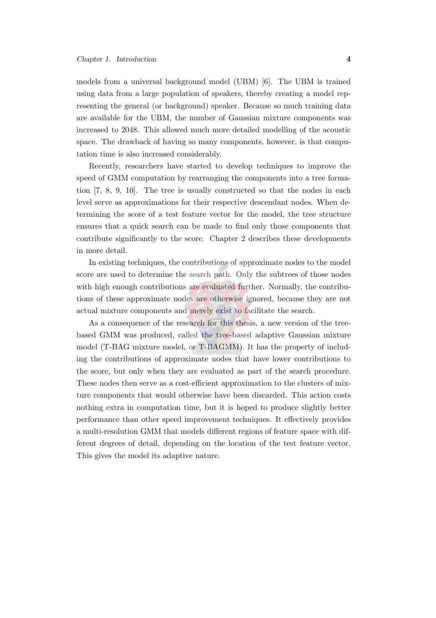models from a universal background model (UBM) [\[6\]](#page-144-6). The UBM is trained using data from a large population of speakers, thereby creating a model representing the general (or background) speaker. Because so much training data are available for the UBM, the number of Gaussian mixture components was increased to 2048. This allowed much more detailed modelling of the acoustic space. The drawback of having so many components, however, is that computation time is also increased considerably.

Recently, researchers have started to develop techniques to improve the speed of GMM computation by rearranging the components into a tree formation [\[7](#page-144-7), [8,](#page-144-8) [9](#page-145-0), [10](#page-145-1)]. The tree is usually constructed so that the nodes in each level serve as approximations for their respective descendant nodes. When determining the score of a test feature vector for the model, the tree structure ensures that a quick search can be made to find only those components that contribute significantly to the score. Chapter [2](#page-30-0) describes these developments in more detail.

In existing techniques, the contributions of approximate nodes to the model score are used to determine the search path. Only the subtrees of those nodes with high enough contributions are evaluated further. Normally, the contributions of these approximate nodes are otherwise ignored, because they are not actual mixture components and merely exist to facilitate the search.

As a consequence of the research for this thesis, a new version of the treebased GMM was produced, called the tree-based adaptive Gaussian mixture model (T-BAG mixture model, or T-BAGMM). It has the property of including the contributions of approximate nodes that have lower contributions to the score, but only when they are evaluated as part of the search procedure. These nodes then serve as a cost-efficient approximation to the clusters of mixture components that would otherwise have been discarded. This action costs nothing extra in computation time, but it is hoped to produce slightly better performance than other speed improvement techniques. It effectively provides a multi-resolution GMM that models different regions of feature space with different degrees of detail, depending on the location of the test feature vector. This gives the model its adaptive nature.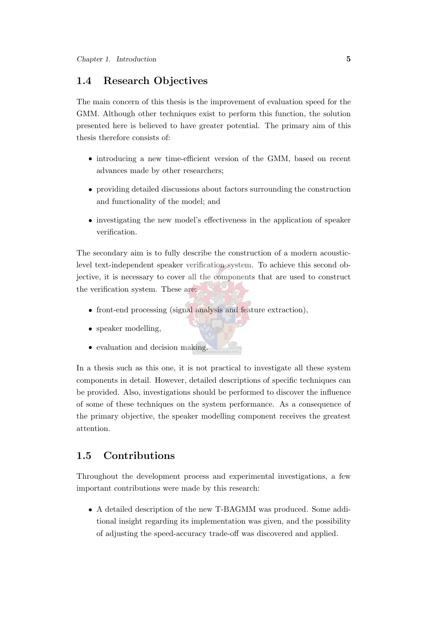#### <span id="page-27-0"></span>1.4 Research Objectives

The main concern of this thesis is the improvement of evaluation speed for the GMM. Although other techniques exist to perform this function, the solution presented here is believed to have greater potential. The primary aim of this thesis therefore consists of:

- introducing a new time-efficient version of the GMM, based on recent advances made by other researchers;
- providing detailed discussions about factors surrounding the construction and functionality of the model; and
- investigating the new model's effectiveness in the application of speaker verification.

The secondary aim is to fully describe the construction of a modern acousticlevel text-independent speaker verification system. To achieve this second objective, it is necessary to cover all the components that are used to construct the verification system. These are:

- front-end processing (signal analysis and feature extraction),
- speaker modelling,
- evaluation and decision making.

In a thesis such as this one, it is not practical to investigate all these system components in detail. However, detailed descriptions of specific techniques can be provided. Also, investigations should be performed to discover the influence of some of these techniques on the system performance. As a consequence of the primary objective, the speaker modelling component receives the greatest attention.

#### <span id="page-27-1"></span>1.5 Contributions

Throughout the development process and experimental investigations, a few important contributions were made by this research:

 A detailed description of the new T-BAGMM was produced. Some additional insight regarding its implementation was given, and the possibility of adjusting the speed-accuracy trade-off was discovered and applied.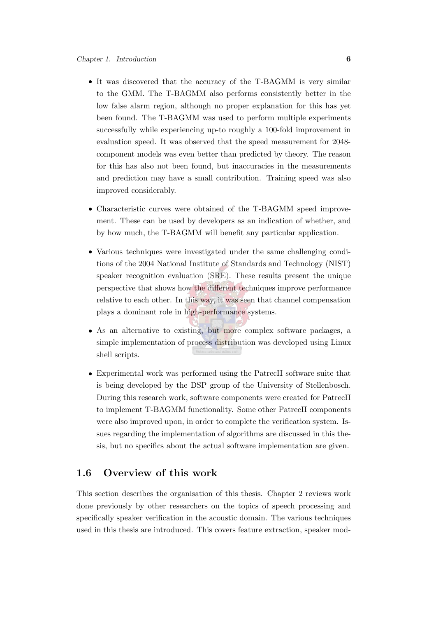- It was discovered that the accuracy of the T-BAGMM is very similar to the GMM. The T-BAGMM also performs consistently better in the low false alarm region, although no proper explanation for this has yet been found. The T-BAGMM was used to perform multiple experiments successfully while experiencing up-to roughly a 100-fold improvement in evaluation speed. It was observed that the speed measurement for 2048 component models was even better than predicted by theory. The reason for this has also not been found, but inaccuracies in the measurements and prediction may have a small contribution. Training speed was also improved considerably.
- Characteristic curves were obtained of the T-BAGMM speed improvement. These can be used by developers as an indication of whether, and by how much, the T-BAGMM will benefit any particular application.
- Various techniques were investigated under the same challenging conditions of the 2004 National Institute of Standards and Technology (NIST) speaker recognition evaluation (SRE). These results present the unique perspective that shows how the different techniques improve performance relative to each other. In this way, it was seen that channel compensation plays a dominant role in high-performance systems.
- As an alternative to existing, but more complex software packages, a simple implementation of process distribution was developed using Linux shell scripts.
- Experimental work was performed using the PatrecII software suite that is being developed by the DSP group of the University of Stellenbosch. During this research work, software components were created for PatrecII to implement T-BAGMM functionality. Some other PatrecII components were also improved upon, in order to complete the verification system. Issues regarding the implementation of algorithms are discussed in this thesis, but no specifics about the actual software implementation are given.

#### <span id="page-28-0"></span>1.6 Overview of this work

This section describes the organisation of this thesis. Chapter [2](#page-30-0) reviews work done previously by other researchers on the topics of speech processing and specifically speaker verification in the acoustic domain. The various techniques used in this thesis are introduced. This covers feature extraction, speaker mod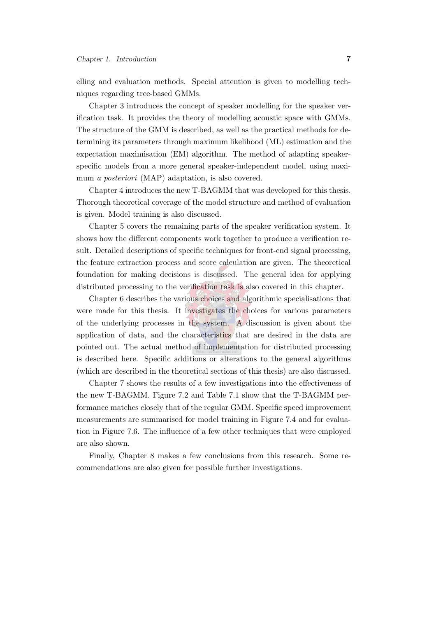elling and evaluation methods. Special attention is given to modelling techniques regarding tree-based GMMs.

Chapter [3](#page-42-0) introduces the concept of speaker modelling for the speaker verification task. It provides the theory of modelling acoustic space with GMMs. The structure of the GMM is described, as well as the practical methods for determining its parameters through maximum likelihood (ML) estimation and the expectation maximisation (EM) algorithm. The method of adapting speakerspecific models from a more general speaker-independent model, using maximum *a posteriori* (MAP) adaptation, is also covered.

Chapter [4](#page-56-0) introduces the new T-BAGMM that was developed for this thesis. Thorough theoretical coverage of the model structure and method of evaluation is given. Model training is also discussed.

Chapter [5](#page-68-0) covers the remaining parts of the speaker verification system. It shows how the different components work together to produce a verification result. Detailed descriptions of specific techniques for front-end signal processing, the feature extraction process and score calculation are given. The theoretical foundation for making decisions is discussed. The general idea for applying distributed processing to the verification task is also covered in this chapter.

Chapter [6](#page-81-0) describes the various choices and algorithmic specialisations that were made for this thesis. It investigates the choices for various parameters of the underlying processes in the system. A discussion is given about the application of data, and the characteristics that are desired in the data are pointed out. The actual method of implementation for distributed processing is described here. Specific additions or alterations to the general algorithms (which are described in the theoretical sections of this thesis) are also discussed.

Chapter [7](#page-98-0) shows the results of a few investigations into the effectiveness of the new T-BAGMM. Figure [7.2](#page-107-0) and Table [7.1](#page-106-2) show that the T-BAGMM performance matches closely that of the regular GMM. Specific speed improvement measurements are summarised for model training in Figure [7.4](#page-111-1) and for evaluation in Figure [7.6.](#page-112-0) The influence of a few other techniques that were employed are also shown.

Finally, Chapter [8](#page-140-0) makes a few conclusions from this research. Some recommendations are also given for possible further investigations.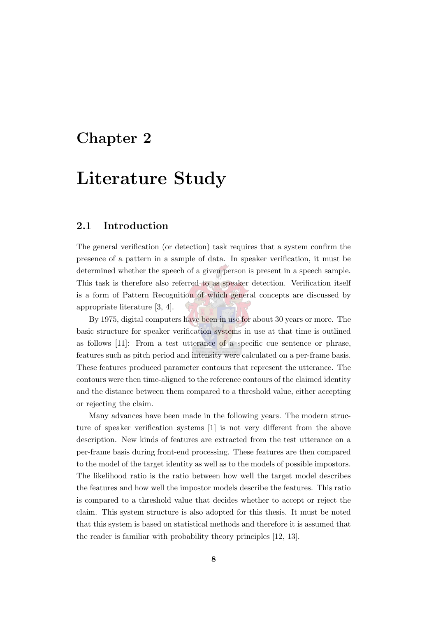### <span id="page-30-0"></span>Chapter 2

## Literature Study

#### <span id="page-30-1"></span>2.1 Introduction

The general verification (or detection) task requires that a system confirm the presence of a pattern in a sample of data. In speaker verification, it must be determined whether the speech of a given person is present in a speech sample. This task is therefore also referred to as speaker detection. Verification itself is a form of Pattern Recognition of which general concepts are discussed by appropriate literature [\[3](#page-144-3), [4\]](#page-144-4).

By 1975, digital computers have been in use for about 30 years or more. The basic structure for speaker verification systems in use at that time is outlined as follows [\[11\]](#page-145-2): From a test utterance of a specific cue sentence or phrase, features such as pitch period and intensity were calculated on a per-frame basis. These features produced parameter contours that represent the utterance. The contours were then time-aligned to the reference contours of the claimed identity and the distance between them compared to a threshold value, either accepting or rejecting the claim.

Many advances have been made in the following years. The modern structure of speaker verification systems [\[1](#page-144-1)] is not very different from the above description. New kinds of features are extracted from the test utterance on a per-frame basis during front-end processing. These features are then compared to the model of the target identity as well as to the models of possible impostors. The likelihood ratio is the ratio between how well the target model describes the features and how well the impostor models describe the features. This ratio is compared to a threshold value that decides whether to accept or reject the claim. This system structure is also adopted for this thesis. It must be noted that this system is based on statistical methods and therefore it is assumed that the reader is familiar with probability theory principles [\[12](#page-145-3), [13](#page-145-4)].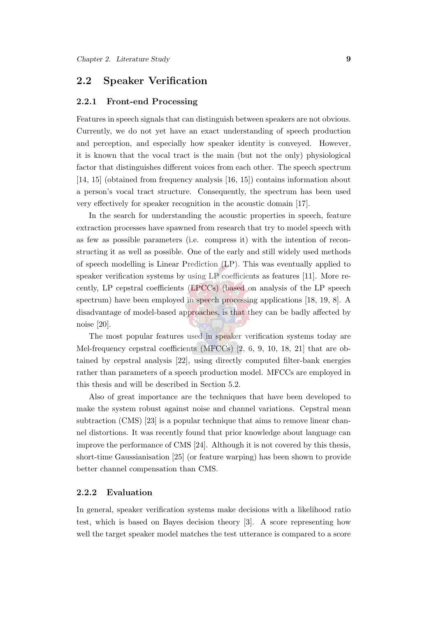#### <span id="page-31-1"></span><span id="page-31-0"></span>2.2 Speaker Verification

#### 2.2.1 Front-end Processing

Features in speech signals that can distinguish between speakers are not obvious. Currently, we do not yet have an exact understanding of speech production and perception, and especially how speaker identity is conveyed. However, it is known that the vocal tract is the main (but not the only) physiological factor that distinguishes different voices from each other. The speech spectrum [\[14](#page-145-5), [15\]](#page-145-6) (obtained from frequency analysis [\[16](#page-145-7), [15\]](#page-145-6)) contains information about a person's vocal tract structure. Consequently, the spectrum has been used very effectively for speaker recognition in the acoustic domain [\[17](#page-145-8)].

In the search for understanding the acoustic properties in speech, feature extraction processes have spawned from research that try to model speech with as few as possible parameters (i.e. compress it) with the intention of reconstructing it as well as possible. One of the early and still widely used methods of speech modelling is Linear Prediction (LP). This was eventually applied to speaker verification systems by using LP coefficients as features [\[11](#page-145-2)]. More recently, LP cepstral coefficients (LPCCs) (based on analysis of the LP speech spectrum) have been employed in speech processing applications [\[18,](#page-145-9) [19](#page-145-10), [8\]](#page-144-8). A disadvantage of model-based approaches, is that they can be badly affected by noise [\[20\]](#page-145-11).

The most popular features used in speaker verification systems today are Mel-frequency cepstral coefficients (MFCCs) [\[2](#page-144-2), [6](#page-144-6), [9](#page-145-0), [10,](#page-145-1) [18](#page-145-9), [21](#page-146-0)] that are obtained by cepstral analysis [\[22](#page-146-1)], using directly computed filter-bank energies rather than parameters of a speech production model. MFCCs are employed in this thesis and will be described in Section [5.2.](#page-68-2)

Also of great importance are the techniques that have been developed to make the system robust against noise and channel variations. Cepstral mean subtraction (CMS) [\[23](#page-146-2)] is a popular technique that aims to remove linear channel distortions. It was recently found that prior knowledge about language can improve the performance of CMS [\[24\]](#page-146-3). Although it is not covered by this thesis, short-time Gaussianisation [\[25\]](#page-146-4) (or feature warping) has been shown to provide better channel compensation than CMS.

#### <span id="page-31-2"></span>2.2.2 Evaluation

In general, speaker verification systems make decisions with a likelihood ratio test, which is based on Bayes decision theory [\[3](#page-144-3)]. A score representing how well the target speaker model matches the test utterance is compared to a score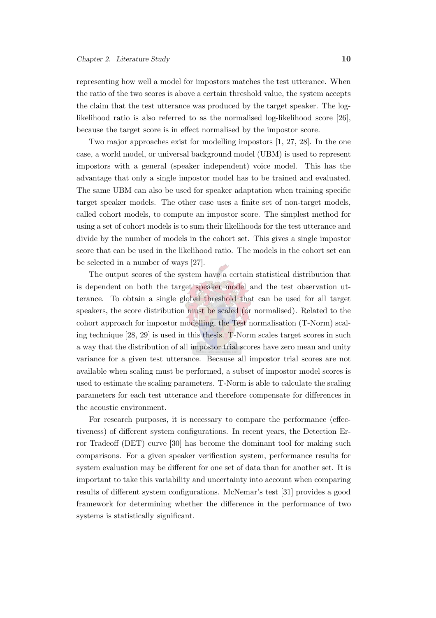representing how well a model for impostors matches the test utterance. When the ratio of the two scores is above a certain threshold value, the system accepts the claim that the test utterance was produced by the target speaker. The loglikelihood ratio is also referred to as the normalised log-likelihood score [\[26\]](#page-146-5), because the target score is in effect normalised by the impostor score.

Two major approaches exist for modelling impostors [\[1](#page-144-1), [27,](#page-146-6) [28](#page-146-7)]. In the one case, a world model, or universal background model (UBM) is used to represent impostors with a general (speaker independent) voice model. This has the advantage that only a single impostor model has to be trained and evaluated. The same UBM can also be used for speaker adaptation when training specific target speaker models. The other case uses a finite set of non-target models, called cohort models, to compute an impostor score. The simplest method for using a set of cohort models is to sum their likelihoods for the test utterance and divide by the number of models in the cohort set. This gives a single impostor score that can be used in the likelihood ratio. The models in the cohort set can be selected in a number of ways [\[27](#page-146-6)].

The output scores of the system have a certain statistical distribution that is dependent on both the target speaker model and the test observation utterance. To obtain a single global threshold that can be used for all target speakers, the score distribution must be scaled (or normalised). Related to the cohort approach for impostor modelling, the Test normalisation (T-Norm) scaling technique [\[28,](#page-146-7) [29\]](#page-146-8) is used in this thesis. T-Norm scales target scores in such a way that the distribution of all impostor trial scores have zero mean and unity variance for a given test utterance. Because all impostor trial scores are not available when scaling must be performed, a subset of impostor model scores is used to estimate the scaling parameters. T-Norm is able to calculate the scaling parameters for each test utterance and therefore compensate for differences in the acoustic environment.

For research purposes, it is necessary to compare the performance (effectiveness) of different system configurations. In recent years, the Detection Error Tradeoff (DET) curve [\[30](#page-146-9)] has become the dominant tool for making such comparisons. For a given speaker verification system, performance results for system evaluation may be different for one set of data than for another set. It is important to take this variability and uncertainty into account when comparing results of different system configurations. McNemar's test [\[31](#page-147-0)] provides a good framework for determining whether the difference in the performance of two systems is statistically significant.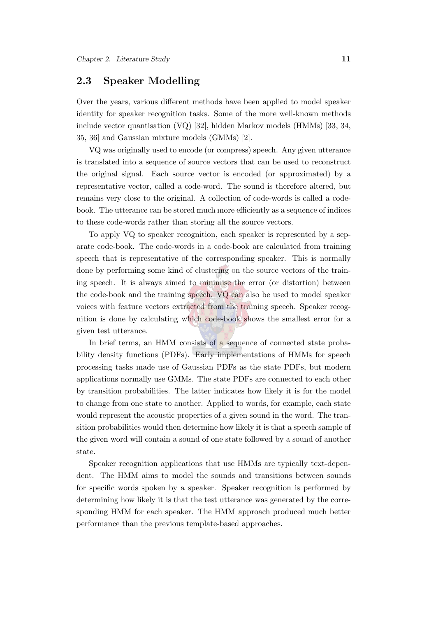#### <span id="page-33-0"></span>2.3 Speaker Modelling

Over the years, various different methods have been applied to model speaker identity for speaker recognition tasks. Some of the more well-known methods include vector quantisation (VQ) [\[32\]](#page-147-1), hidden Markov models (HMMs) [\[33](#page-147-2), [34,](#page-147-3) [35](#page-147-4), [36\]](#page-147-5) and Gaussian mixture models (GMMs) [\[2](#page-144-2)].

VQ was originally used to encode (or compress) speech. Any given utterance is translated into a sequence of source vectors that can be used to reconstruct the original signal. Each source vector is encoded (or approximated) by a representative vector, called a code-word. The sound is therefore altered, but remains very close to the original. A collection of code-words is called a codebook. The utterance can be stored much more efficiently as a sequence of indices to these code-words rather than storing all the source vectors.

To apply VQ to speaker recognition, each speaker is represented by a separate code-book. The code-words in a code-book are calculated from training speech that is representative of the corresponding speaker. This is normally done by performing some kind of clustering on the source vectors of the training speech. It is always aimed to minimise the error (or distortion) between the code-book and the training speech. VQ can also be used to model speaker voices with feature vectors extracted from the training speech. Speaker recognition is done by calculating which code-book shows the smallest error for a given test utterance.

In brief terms, an HMM consists of a sequence of connected state probability density functions (PDFs). Early implementations of HMMs for speech processing tasks made use of Gaussian PDFs as the state PDFs, but modern applications normally use GMMs. The state PDFs are connected to each other by transition probabilities. The latter indicates how likely it is for the model to change from one state to another. Applied to words, for example, each state would represent the acoustic properties of a given sound in the word. The transition probabilities would then determine how likely it is that a speech sample of the given word will contain a sound of one state followed by a sound of another state.

Speaker recognition applications that use HMMs are typically text-dependent. The HMM aims to model the sounds and transitions between sounds for specific words spoken by a speaker. Speaker recognition is performed by determining how likely it is that the test utterance was generated by the corresponding HMM for each speaker. The HMM approach produced much better performance than the previous template-based approaches.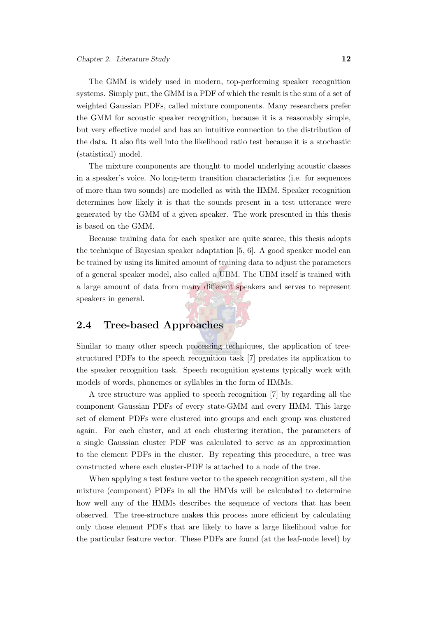The GMM is widely used in modern, top-performing speaker recognition systems. Simply put, the GMM is a PDF of which the result is the sum of a set of weighted Gaussian PDFs, called mixture components. Many researchers prefer the GMM for acoustic speaker recognition, because it is a reasonably simple, but very effective model and has an intuitive connection to the distribution of the data. It also fits well into the likelihood ratio test because it is a stochastic (statistical) model.

The mixture components are thought to model underlying acoustic classes in a speaker's voice. No long-term transition characteristics (i.e. for sequences of more than two sounds) are modelled as with the HMM. Speaker recognition determines how likely it is that the sounds present in a test utterance were generated by the GMM of a given speaker. The work presented in this thesis is based on the GMM.

Because training data for each speaker are quite scarce, this thesis adopts the technique of Bayesian speaker adaptation [\[5](#page-144-5), [6\]](#page-144-6). A good speaker model can be trained by using its limited amount of training data to adjust the parameters of a general speaker model, also called a UBM. The UBM itself is trained with a large amount of data from many different speakers and serves to represent speakers in general.

#### <span id="page-34-0"></span>2.4 Tree-based Approaches

Similar to many other speech processing techniques, the application of treestructured PDFs to the speech recognition task [\[7\]](#page-144-7) predates its application to the speaker recognition task. Speech recognition systems typically work with models of words, phonemes or syllables in the form of HMMs.

A tree structure was applied to speech recognition [\[7\]](#page-144-7) by regarding all the component Gaussian PDFs of every state-GMM and every HMM. This large set of element PDFs were clustered into groups and each group was clustered again. For each cluster, and at each clustering iteration, the parameters of a single Gaussian cluster PDF was calculated to serve as an approximation to the element PDFs in the cluster. By repeating this procedure, a tree was constructed where each cluster-PDF is attached to a node of the tree.

When applying a test feature vector to the speech recognition system, all the mixture (component) PDFs in all the HMMs will be calculated to determine how well any of the HMMs describes the sequence of vectors that has been observed. The tree-structure makes this process more efficient by calculating only those element PDFs that are likely to have a large likelihood value for the particular feature vector. These PDFs are found (at the leaf-node level) by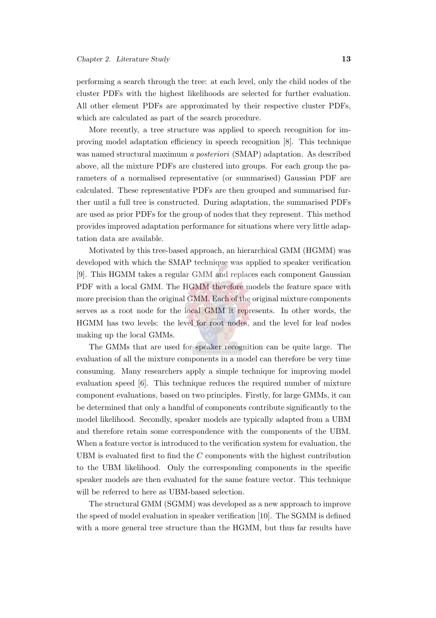performing a search through the tree: at each level, only the child nodes of the cluster PDFs with the highest likelihoods are selected for further evaluation. All other element PDFs are approximated by their respective cluster PDFs, which are calculated as part of the search procedure.

More recently, a tree structure was applied to speech recognition for improving model adaptation efficiency in speech recognition [\[8\]](#page-144-8). This technique was named structural maximum *a posteriori* (SMAP) adaptation. As described above, all the mixture PDFs are clustered into groups. For each group the parameters of a normalised representative (or summarised) Gaussian PDF are calculated. These representative PDFs are then grouped and summarised further until a full tree is constructed. During adaptation, the summarised PDFs are used as prior PDFs for the group of nodes that they represent. This method provides improved adaptation performance for situations where very little adaptation data are available.

Motivated by this tree-based approach, an hierarchical GMM (HGMM) was developed with which the SMAP technique was applied to speaker verification [\[9\]](#page-145-0). This HGMM takes a regular GMM and replaces each component Gaussian PDF with a local GMM. The HGMM therefore models the feature space with more precision than the original GMM. Each of the original mixture components serves as a root node for the local GMM it represents. In other words, the HGMM has two levels: the level for root nodes, and the level for leaf nodes making up the local GMMs.

The GMMs that are used for speaker recognition can be quite large. The evaluation of all the mixture components in a model can therefore be very time consuming. Many researchers apply a simple technique for improving model evaluation speed [\[6\]](#page-144-6). This technique reduces the required number of mixture component evaluations, based on two principles. Firstly, for large GMMs, it can be determined that only a handful of components contribute significantly to the model likelihood. Secondly, speaker models are typically adapted from a UBM and therefore retain some correspondence with the components of the UBM. When a feature vector is introduced to the verification system for evaluation, the UBM is evaluated first to find the  $C$  components with the highest contribution to the UBM likelihood. Only the corresponding components in the specific speaker models are then evaluated for the same feature vector. This technique will be referred to here as UBM-based selection.

The structural GMM (SGMM) was developed as a new approach to improve the speed of model evaluation in speaker verification [\[10](#page-145-1)]. The SGMM is defined with a more general tree structure than the HGMM, but thus far results have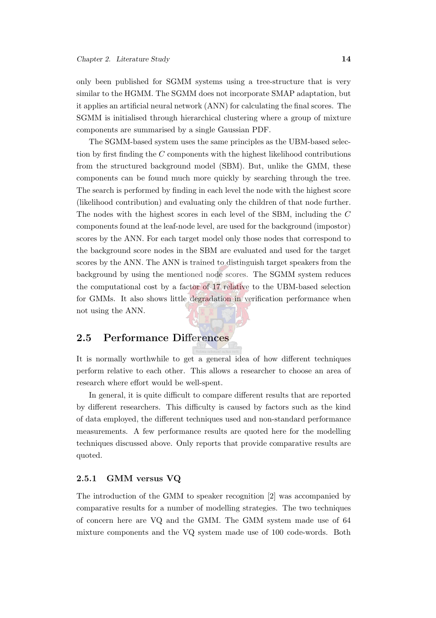only been published for SGMM systems using a tree-structure that is very similar to the HGMM. The SGMM does not incorporate SMAP adaptation, but it applies an artificial neural network (ANN) for calculating the final scores. The SGMM is initialised through hierarchical clustering where a group of mixture components are summarised by a single Gaussian PDF.

The SGMM-based system uses the same principles as the UBM-based selection by first finding the C components with the highest likelihood contributions from the structured background model (SBM). But, unlike the GMM, these components can be found much more quickly by searching through the tree. The search is performed by finding in each level the node with the highest score (likelihood contribution) and evaluating only the children of that node further. The nodes with the highest scores in each level of the SBM, including the C components found at the leaf-node level, are used for the background (impostor) scores by the ANN. For each target model only those nodes that correspond to the background score nodes in the SBM are evaluated and used for the target scores by the ANN. The ANN is trained to distinguish target speakers from the background by using the mentioned node scores. The SGMM system reduces the computational cost by a factor of 17 relative to the UBM-based selection for GMMs. It also shows little degradation in verification performance when not using the ANN.

#### 2.5 Performance Differences

It is normally worthwhile to get a general idea of how different techniques perform relative to each other. This allows a researcher to choose an area of research where effort would be well-spent.

In general, it is quite difficult to compare different results that are reported by different researchers. This difficulty is caused by factors such as the kind of data employed, the different techniques used and non-standard performance measurements. A few performance results are quoted here for the modelling techniques discussed above. Only reports that provide comparative results are quoted.

#### 2.5.1 GMM versus VQ

The introduction of the GMM to speaker recognition [\[2](#page-144-0)] was accompanied by comparative results for a number of modelling strategies. The two techniques of concern here are VQ and the GMM. The GMM system made use of 64 mixture components and the VQ system made use of 100 code-words. Both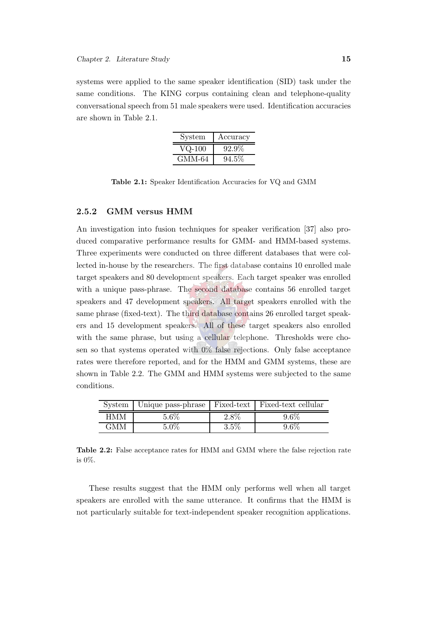systems were applied to the same speaker identification (SID) task under the same conditions. The KING corpus containing clean and telephone-quality conversational speech from 51 male speakers were used. Identification accuracies are shown in Table [2.1.](#page-37-0)

| System              | Accuracy |
|---------------------|----------|
| $\rm VQ\text{-}100$ | $92.9\%$ |
| GMM-64              | $94.5\%$ |

<span id="page-37-0"></span>Table 2.1: Speaker Identification Accuracies for VQ and GMM

#### 2.5.2 GMM versus HMM

An investigation into fusion techniques for speaker verification [\[37\]](#page-147-0) also produced comparative performance results for GMM- and HMM-based systems. Three experiments were conducted on three different databases that were collected in-house by the researchers. The first database contains 10 enrolled male target speakers and 80 development speakers. Each target speaker was enrolled with a unique pass-phrase. The second database contains 56 enrolled target speakers and 47 development speakers. All target speakers enrolled with the same phrase (fixed-text). The third database contains 26 enrolled target speakers and 15 development speakers. All of these target speakers also enrolled with the same phrase, but using a cellular telephone. Thresholds were chosen so that systems operated with 0% false rejections. Only false acceptance rates were therefore reported, and for the HMM and GMM systems, these are shown in Table [2.2.](#page-37-1) The GMM and HMM systems were subjected to the same conditions.

|     | System   Unique pass-phrase   Fixed-text   Fixed-text cellular |         |  |
|-----|----------------------------------------------------------------|---------|--|
| HMM | 5.6%                                                           | $2.8\%$ |  |
| GMM | ና በሟ                                                           | $3.5\%$ |  |

<span id="page-37-1"></span>Table 2.2: False acceptance rates for HMM and GMM where the false rejection rate is 0%.

These results suggest that the HMM only performs well when all target speakers are enrolled with the same utterance. It confirms that the HMM is not particularly suitable for text-independent speaker recognition applications.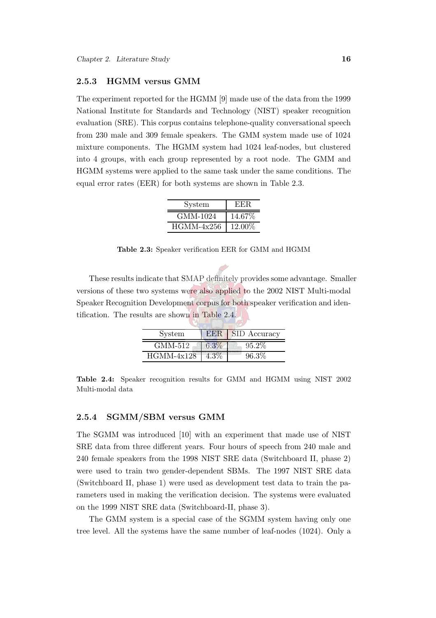#### 2.5.3 HGMM versus GMM

The experiment reported for the HGMM [\[9](#page-145-0)] made use of the data from the 1999 National Institute for Standards and Technology (NIST) speaker recognition evaluation (SRE). This corpus contains telephone-quality conversational speech from 230 male and 309 female speakers. The GMM system made use of 1024 mixture components. The HGMM system had 1024 leaf-nodes, but clustered into 4 groups, with each group represented by a root node. The GMM and HGMM systems were applied to the same task under the same conditions. The equal error rates (EER) for both systems are shown in Table [2.3.](#page-38-0)

| System       | EER.    |
|--------------|---------|
| GMM-1024     | 14.67\% |
| $HGMM-4x256$ | 12.00%  |

<span id="page-38-0"></span>Table 2.3: Speaker verification EER for GMM and HGMM

These results indicate that SMAP definitely provides some advantage. Smaller versions of these two systems were also applied to the 2002 NIST Multi-modal Speaker Recognition Development corpus for both speaker verification and identification. The results are shown in Table [2.4.](#page-38-1)

| System       | EER  | <b>SID</b> Accuracy |
|--------------|------|---------------------|
| GMM-512      | 6.3% | $95.2\%$            |
| $HGMM-4x128$ |      | 96.3%               |

<span id="page-38-1"></span>Table 2.4: Speaker recognition results for GMM and HGMM using NIST 2002 Multi-modal data

#### 2.5.4 SGMM/SBM versus GMM

The SGMM was introduced [\[10](#page-145-1)] with an experiment that made use of NIST SRE data from three different years. Four hours of speech from 240 male and 240 female speakers from the 1998 NIST SRE data (Switchboard II, phase 2) were used to train two gender-dependent SBMs. The 1997 NIST SRE data (Switchboard II, phase 1) were used as development test data to train the parameters used in making the verification decision. The systems were evaluated on the 1999 NIST SRE data (Switchboard-II, phase 3).

The GMM system is a special case of the SGMM system having only one tree level. All the systems have the same number of leaf-nodes (1024). Only a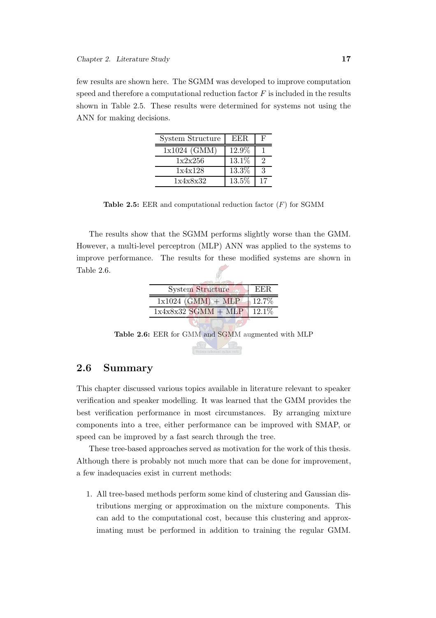few results are shown here. The SGMM was developed to improve computation speed and therefore a computational reduction factor  $F$  is included in the results shown in Table [2.5.](#page-39-0) These results were determined for systems not using the ANN for making decisions.

| System Structure | EER.  | F  |
|------------------|-------|----|
| 1x1024 (GMM)     | 12.9% |    |
| 1x2x256          | 13.1% | 2  |
| 1x4x128          | 13.3% | 3  |
| 1x4x8x32         | 13.5% | 17 |

<span id="page-39-0"></span>**Table 2.5:** EER and computational reduction factor  $(F)$  for SGMM

The results show that the SGMM performs slightly worse than the GMM. However, a multi-level perceptron (MLP) ANN was applied to the systems to improve performance. The results for these modified systems are shown in Table [2.6.](#page-39-1)

| <b>System Structure</b> | EER.  |
|-------------------------|-------|
| $1x1024$ (GMM) + MLP    | 12.7% |
| $1x4x8x32$ SGMM + MLP   | 12.1% |
|                         |       |

<span id="page-39-1"></span>Table 2.6: EER for GMM and SGMM augmented with MLP

#### 2.6 Summary

This chapter discussed various topics available in literature relevant to speaker verification and speaker modelling. It was learned that the GMM provides the best verification performance in most circumstances. By arranging mixture components into a tree, either performance can be improved with SMAP, or speed can be improved by a fast search through the tree.

These tree-based approaches served as motivation for the work of this thesis. Although there is probably not much more that can be done for improvement, a few inadequacies exist in current methods:

1. All tree-based methods perform some kind of clustering and Gaussian distributions merging or approximation on the mixture components. This can add to the computational cost, because this clustering and approximating must be performed in addition to training the regular GMM.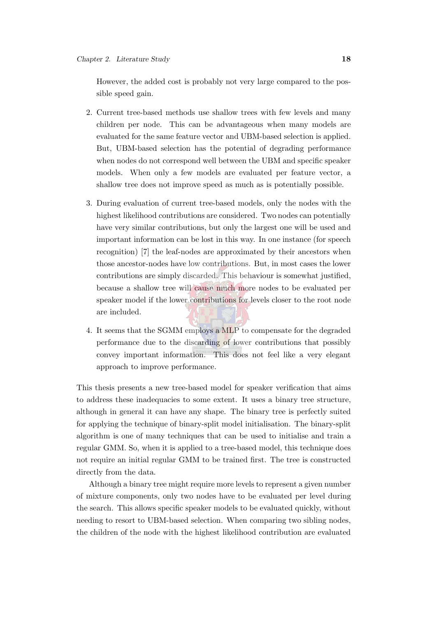However, the added cost is probably not very large compared to the possible speed gain.

- 2. Current tree-based methods use shallow trees with few levels and many children per node. This can be advantageous when many models are evaluated for the same feature vector and UBM-based selection is applied. But, UBM-based selection has the potential of degrading performance when nodes do not correspond well between the UBM and specific speaker models. When only a few models are evaluated per feature vector, a shallow tree does not improve speed as much as is potentially possible.
- 3. During evaluation of current tree-based models, only the nodes with the highest likelihood contributions are considered. Two nodes can potentially have very similar contributions, but only the largest one will be used and important information can be lost in this way. In one instance (for speech recognition) [\[7\]](#page-144-1) the leaf-nodes are approximated by their ancestors when those ancestor-nodes have low contributions. But, in most cases the lower contributions are simply discarded. This behaviour is somewhat justified, because a shallow tree will cause much more nodes to be evaluated per speaker model if the lower contributions for levels closer to the root node are included.
- 4. It seems that the SGMM employs a MLP to compensate for the degraded performance due to the discarding of lower contributions that possibly convey important information. This does not feel like a very elegant approach to improve performance.

This thesis presents a new tree-based model for speaker verification that aims to address these inadequacies to some extent. It uses a binary tree structure, although in general it can have any shape. The binary tree is perfectly suited for applying the technique of binary-split model initialisation. The binary-split algorithm is one of many techniques that can be used to initialise and train a regular GMM. So, when it is applied to a tree-based model, this technique does not require an initial regular GMM to be trained first. The tree is constructed directly from the data.

Although a binary tree might require more levels to represent a given number of mixture components, only two nodes have to be evaluated per level during the search. This allows specific speaker models to be evaluated quickly, without needing to resort to UBM-based selection. When comparing two sibling nodes, the children of the node with the highest likelihood contribution are evaluated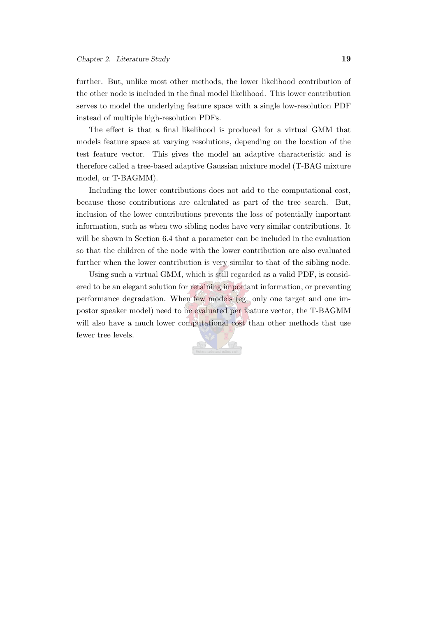further. But, unlike most other methods, the lower likelihood contribution of the other node is included in the final model likelihood. This lower contribution serves to model the underlying feature space with a single low-resolution PDF instead of multiple high-resolution PDFs.

The effect is that a final likelihood is produced for a virtual GMM that models feature space at varying resolutions, depending on the location of the test feature vector. This gives the model an adaptive characteristic and is therefore called a tree-based adaptive Gaussian mixture model (T-BAG mixture model, or T-BAGMM).

Including the lower contributions does not add to the computational cost, because those contributions are calculated as part of the tree search. But, inclusion of the lower contributions prevents the loss of potentially important information, such as when two sibling nodes have very similar contributions. It will be shown in Section [6.4](#page-89-0) that a parameter can be included in the evaluation so that the children of the node with the lower contribution are also evaluated further when the lower contribution is very similar to that of the sibling node.

Using such a virtual GMM, which is still regarded as a valid PDF, is considered to be an elegant solution for retaining important information, or preventing performance degradation. When few models (eg. only one target and one impostor speaker model) need to be evaluated per feature vector, the T-BAGMM will also have a much lower computational cost than other methods that use fewer tree levels.

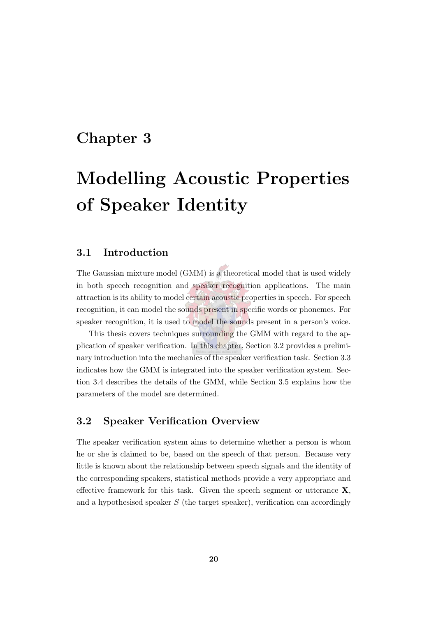## Chapter 3

# Modelling Acoustic Properties of Speaker Identity

#### 3.1 Introduction

The Gaussian mixture model (GMM) is a theoretical model that is used widely in both speech recognition and speaker recognition applications. The main attraction is its ability to model certain acoustic properties in speech. For speech recognition, it can model the sounds present in specific words or phonemes. For speaker recognition, it is used to model the sounds present in a person's voice.

This thesis covers techniques surrounding the GMM with regard to the application of speaker verification. In this chapter, Section [3.2](#page-42-0) provides a preliminary introduction into the mechanics of the speaker verification task. Section [3.3](#page-44-0) indicates how the GMM is integrated into the speaker verification system. Section [3.4](#page-45-0) describes the details of the GMM, while Section [3.5](#page-47-0) explains how the parameters of the model are determined.

#### <span id="page-42-0"></span>3.2 Speaker Verification Overview

The speaker verification system aims to determine whether a person is whom he or she is claimed to be, based on the speech of that person. Because very little is known about the relationship between speech signals and the identity of the corresponding speakers, statistical methods provide a very appropriate and effective framework for this task. Given the speech segment or utterance  $\mathbf{X}$ , and a hypothesised speaker  $S$  (the target speaker), verification can accordingly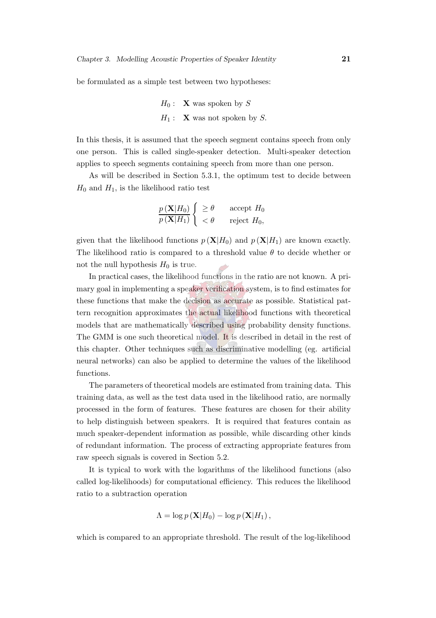be formulated as a simple test between two hypotheses:

 $H_0$ : **X** was spoken by S  $H_1$ : **X** was not spoken by S.

In this thesis, it is assumed that the speech segment contains speech from only one person. This is called single-speaker detection. Multi-speaker detection applies to speech segments containing speech from more than one person.

As will be described in Section [5.3.1,](#page-74-0) the optimum test to decide between  $H_0$  and  $H_1$ , is the likelihood ratio test

$$
\frac{p(\mathbf{X}|H_0)}{p(\mathbf{X}|H_1)} \begin{cases} \geq \theta & \text{accept } H_0 \\ < \theta & \text{reject } H_0, \end{cases}
$$

given that the likelihood functions  $p(X|H_0)$  and  $p(X|H_1)$  are known exactly. The likelihood ratio is compared to a threshold value  $\theta$  to decide whether or not the null hypothesis  $H_0$  is true.

In practical cases, the likelihood functions in the ratio are not known. A primary goal in implementing a speaker verification system, is to find estimates for these functions that make the decision as accurate as possible. Statistical pattern recognition approximates the actual likelihood functions with theoretical models that are mathematically described using probability density functions. The GMM is one such theoretical model. It is described in detail in the rest of this chapter. Other techniques such as discriminative modelling (eg. artificial neural networks) can also be applied to determine the values of the likelihood functions.

The parameters of theoretical models are estimated from training data. This training data, as well as the test data used in the likelihood ratio, are normally processed in the form of features. These features are chosen for their ability to help distinguish between speakers. It is required that features contain as much speaker-dependent information as possible, while discarding other kinds of redundant information. The process of extracting appropriate features from raw speech signals is covered in Section [5.2.](#page-68-0)

It is typical to work with the logarithms of the likelihood functions (also called log-likelihoods) for computational efficiency. This reduces the likelihood ratio to a subtraction operation

$$
\Lambda = \log p\left(\mathbf{X}|H_0\right) - \log p\left(\mathbf{X}|H_1\right),\,
$$

which is compared to an appropriate threshold. The result of the log-likelihood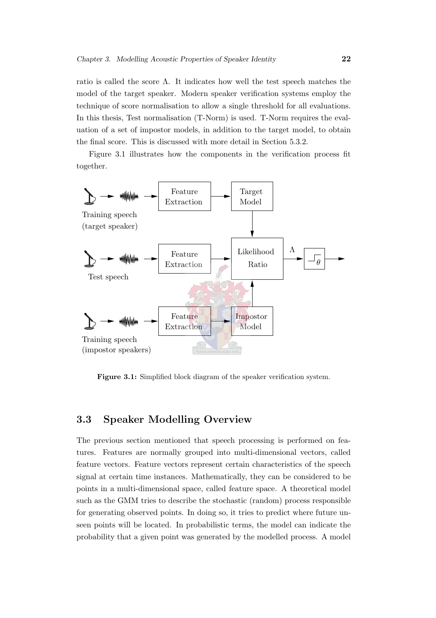ratio is called the score  $\Lambda$ . It indicates how well the test speech matches the model of the target speaker. Modern speaker verification systems employ the technique of score normalisation to allow a single threshold for all evaluations. In this thesis, Test normalisation (T-Norm) is used. T-Norm requires the evaluation of a set of impostor models, in addition to the target model, to obtain the final score. This is discussed with more detail in Section [5.3.2.](#page-77-0)

Figure [3.1](#page-44-1) illustrates how the components in the verification process fit together.



<span id="page-44-1"></span>Figure 3.1: Simplified block diagram of the speaker verification system.

#### <span id="page-44-0"></span>3.3 Speaker Modelling Overview

The previous section mentioned that speech processing is performed on features. Features are normally grouped into multi-dimensional vectors, called feature vectors. Feature vectors represent certain characteristics of the speech signal at certain time instances. Mathematically, they can be considered to be points in a multi-dimensional space, called feature space. A theoretical model such as the GMM tries to describe the stochastic (random) process responsible for generating observed points. In doing so, it tries to predict where future unseen points will be located. In probabilistic terms, the model can indicate the probability that a given point was generated by the modelled process. A model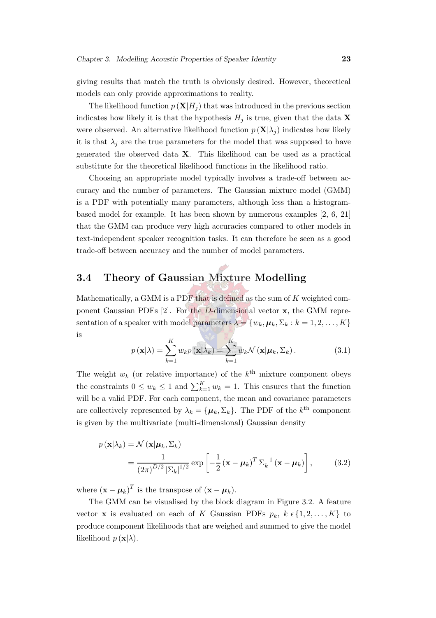giving results that match the truth is obviously desired. However, theoretical models can only provide approximations to reality.

The likelihood function  $p(X|H_i)$  that was introduced in the previous section indicates how likely it is that the hypothesis  $H_j$  is true, given that the data **X** were observed. An alternative likelihood function  $p(X|\lambda_j)$  indicates how likely it is that  $\lambda_i$  are the true parameters for the model that was supposed to have generated the observed data X. This likelihood can be used as a practical substitute for the theoretical likelihood functions in the likelihood ratio.

Choosing an appropriate model typically involves a trade-off between accuracy and the number of parameters. The Gaussian mixture model (GMM) is a PDF with potentially many parameters, although less than a histogrambased model for example. It has been shown by numerous examples [\[2](#page-144-0), [6,](#page-144-2) [21\]](#page-146-0) that the GMM can produce very high accuracies compared to other models in text-independent speaker recognition tasks. It can therefore be seen as a good trade-off between accuracy and the number of model parameters.

### <span id="page-45-0"></span>3.4 Theory of Gaussian Mixture Modelling

<span id="page-45-1"></span>Mathematically, a GMM is a PDF that is defined as the sum of  $K$  weighted component Gaussian PDFs  $[2]$ . For the D-dimensional vector  $x$ , the GMM representation of a speaker with model parameters  $\lambda = \{w_k, \mu_k, \Sigma_k : k = 1, 2, ..., K\}$ is

$$
p(\mathbf{x}|\lambda) = \sum_{k=1}^{K} w_k p(\mathbf{x}|\lambda_k) = \sum_{k=1}^{K} w_k \mathcal{N}(\mathbf{x}|\boldsymbol{\mu}_k, \Sigma_k).
$$
 (3.1)

The weight  $w_k$  (or relative importance) of the  $k^{\text{th}}$  mixture component obeys the constraints  $0 \leq w_k \leq 1$  and  $\sum_{k=1}^K w_k = 1$ . This ensures that the function will be a valid PDF. For each component, the mean and covariance parameters are collectively represented by  $\lambda_k = {\mu_k, \Sigma_k}$ . The PDF of the  $k^{\text{th}}$  component is given by the multivariate (multi-dimensional) Gaussian density

$$
p(\mathbf{x}|\lambda_k) = \mathcal{N}(\mathbf{x}|\boldsymbol{\mu}_k, \Sigma_k)
$$
  
= 
$$
\frac{1}{(2\pi)^{D/2} |\Sigma_k|^{1/2}} \exp\left[-\frac{1}{2}(\mathbf{x} - \boldsymbol{\mu}_k)^T \Sigma_k^{-1}(\mathbf{x} - \boldsymbol{\mu}_k)\right],
$$
 (3.2)

where  $(\mathbf{x} - \boldsymbol{\mu}_k)^T$  is the transpose of  $(\mathbf{x} - \boldsymbol{\mu}_k)$ .

The GMM can be visualised by the block diagram in Figure [3.2.](#page-46-0) A feature vector **x** is evaluated on each of K Gaussian PDFs  $p_k$ ,  $k \in \{1, 2, ..., K\}$  to produce component likelihoods that are weighed and summed to give the model likelihood  $p(\mathbf{x}|\lambda)$ .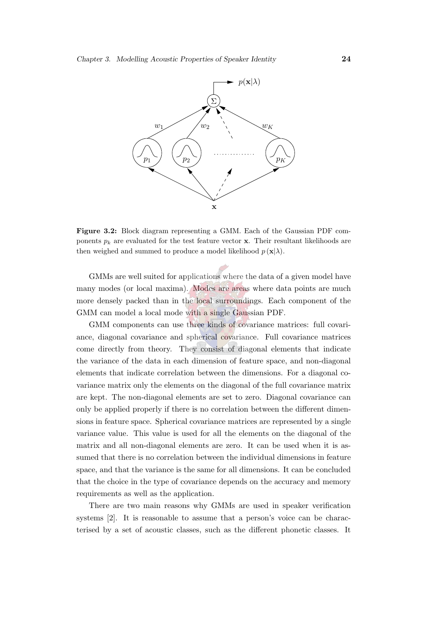

<span id="page-46-0"></span>Figure 3.2: Block diagram representing a GMM. Each of the Gaussian PDF components  $p_k$  are evaluated for the test feature vector x. Their resultant likelihoods are then weighed and summed to produce a model likelihood  $p(\mathbf{x}|\lambda)$ .

GMMs are well suited for applications where the data of a given model have many modes (or local maxima). Modes are areas where data points are much more densely packed than in the local surroundings. Each component of the GMM can model a local mode with a single Gaussian PDF.

GMM components can use three kinds of covariance matrices: full covariance, diagonal covariance and spherical covariance. Full covariance matrices come directly from theory. They consist of diagonal elements that indicate the variance of the data in each dimension of feature space, and non-diagonal elements that indicate correlation between the dimensions. For a diagonal covariance matrix only the elements on the diagonal of the full covariance matrix are kept. The non-diagonal elements are set to zero. Diagonal covariance can only be applied properly if there is no correlation between the different dimensions in feature space. Spherical covariance matrices are represented by a single variance value. This value is used for all the elements on the diagonal of the matrix and all non-diagonal elements are zero. It can be used when it is assumed that there is no correlation between the individual dimensions in feature space, and that the variance is the same for all dimensions. It can be concluded that the choice in the type of covariance depends on the accuracy and memory requirements as well as the application.

There are two main reasons why GMMs are used in speaker verification systems [\[2](#page-144-0)]. It is reasonable to assume that a person's voice can be characterised by a set of acoustic classes, such as the different phonetic classes. It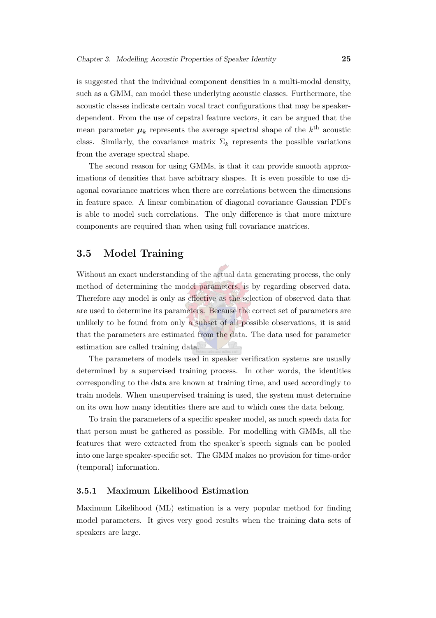is suggested that the individual component densities in a multi-modal density, such as a GMM, can model these underlying acoustic classes. Furthermore, the acoustic classes indicate certain vocal tract configurations that may be speakerdependent. From the use of cepstral feature vectors, it can be argued that the mean parameter  $\mu_k$  represents the average spectral shape of the  $k^{\text{th}}$  acoustic class. Similarly, the covariance matrix  $\Sigma_k$  represents the possible variations from the average spectral shape.

The second reason for using GMMs, is that it can provide smooth approximations of densities that have arbitrary shapes. It is even possible to use diagonal covariance matrices when there are correlations between the dimensions in feature space. A linear combination of diagonal covariance Gaussian PDFs is able to model such correlations. The only difference is that more mixture components are required than when using full covariance matrices.

#### <span id="page-47-0"></span>3.5 Model Training

Without an exact understanding of the actual data generating process, the only method of determining the model parameters, is by regarding observed data. Therefore any model is only as effective as the selection of observed data that are used to determine its parameters. Because the correct set of parameters are unlikely to be found from only a subset of all possible observations, it is said that the parameters are estimated from the data. The data used for parameter estimation are called training data.

The parameters of models used in speaker verification systems are usually determined by a supervised training process. In other words, the identities corresponding to the data are known at training time, and used accordingly to train models. When unsupervised training is used, the system must determine on its own how many identities there are and to which ones the data belong.

To train the parameters of a specific speaker model, as much speech data for that person must be gathered as possible. For modelling with GMMs, all the features that were extracted from the speaker's speech signals can be pooled into one large speaker-specific set. The GMM makes no provision for time-order (temporal) information.

#### 3.5.1 Maximum Likelihood Estimation

Maximum Likelihood (ML) estimation is a very popular method for finding model parameters. It gives very good results when the training data sets of speakers are large.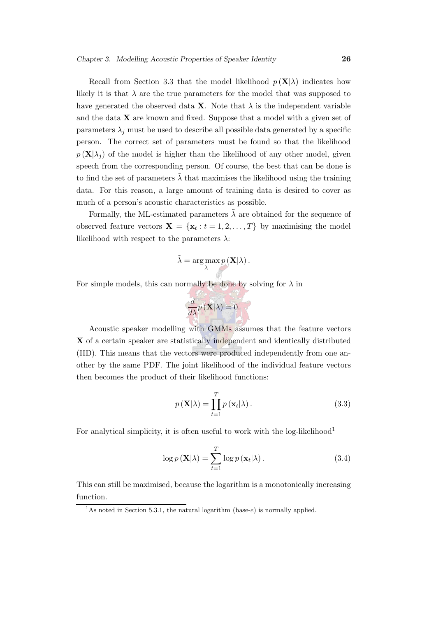Recall from Section [3.3](#page-44-0) that the model likelihood  $p(X|\lambda)$  indicates how likely it is that  $\lambda$  are the true parameters for the model that was supposed to have generated the observed data **X**. Note that  $\lambda$  is the independent variable and the data  $X$  are known and fixed. Suppose that a model with a given set of parameters  $\lambda_j$  must be used to describe all possible data generated by a specific person. The correct set of parameters must be found so that the likelihood  $p(\mathbf{X}|\lambda_i)$  of the model is higher than the likelihood of any other model, given speech from the corresponding person. Of course, the best that can be done is to find the set of parameters  $\lambda$  that maximises the likelihood using the training data. For this reason, a large amount of training data is desired to cover as much of a person's acoustic characteristics as possible.

Formally, the ML-estimated parameters  $\tilde{\lambda}$  are obtained for the sequence of observed feature vectors  $\mathbf{X} = \{ \mathbf{x}_t : t = 1, 2, ..., T \}$  by maximising the model likelihood with respect to the parameters  $\lambda$ :

$$
\tilde{\lambda} = \arg \max_{\lambda} p(\mathbf{X}|\lambda).
$$

For simple models, this can normally be done by solving for  $\lambda$  in

$$
\frac{d}{d\lambda}p\left(\mathbf{X}|\lambda\right) = 0.
$$

Acoustic speaker modelling with GMMs assumes that the feature vectors X of a certain speaker are statistically independent and identically distributed (IID). This means that the vectors were produced independently from one another by the same PDF. The joint likelihood of the individual feature vectors then becomes the product of their likelihood functions:

$$
p(\mathbf{X}|\lambda) = \prod_{t=1}^{T} p(\mathbf{x}_t|\lambda).
$$
 (3.3)

For analytical simplicity, it is often useful to work with the  $log-likelihood<sup>1</sup>$  $log-likelihood<sup>1</sup>$  $log-likelihood<sup>1</sup>$ 

$$
\log p\left(\mathbf{X}|\lambda\right) = \sum_{t=1}^{T} \log p\left(\mathbf{x}_t|\lambda\right). \tag{3.4}
$$

<span id="page-48-0"></span>This can still be maximised, because the logarithm is a monotonically increasing function.

<sup>&</sup>lt;sup>1</sup>As noted in Section [5.3.1,](#page-74-0) the natural logarithm (base-e) is normally applied.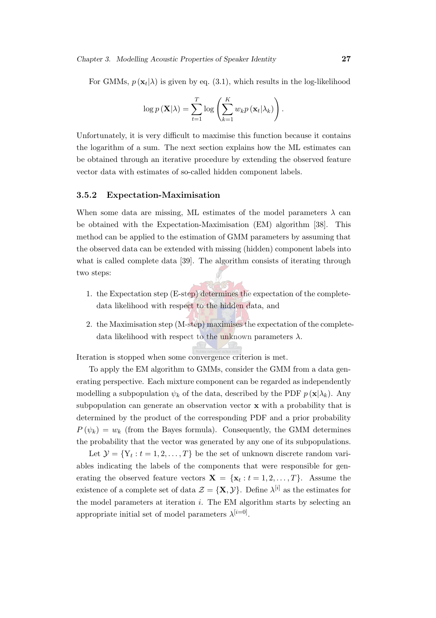For GMMs,  $p(\mathbf{x}_t|\lambda)$  is given by eq. [\(3.1\)](#page-45-1), which results in the log-likelihood

$$
\log p(\mathbf{X}|\lambda) = \sum_{t=1}^{T} \log \left( \sum_{k=1}^{K} w_k p(\mathbf{x}_t | \lambda_k) \right).
$$

Unfortunately, it is very difficult to maximise this function because it contains the logarithm of a sum. The next section explains how the ML estimates can be obtained through an iterative procedure by extending the observed feature vector data with estimates of so-called hidden component labels.

#### <span id="page-49-0"></span>3.5.2 Expectation-Maximisation

When some data are missing, ML estimates of the model parameters  $\lambda$  can be obtained with the Expectation-Maximisation (EM) algorithm [\[38\]](#page-147-1). This method can be applied to the estimation of GMM parameters by assuming that the observed data can be extended with missing (hidden) component labels into what is called complete data [\[39](#page-147-2)]. The algorithm consists of iterating through two steps:

- 1. the Expectation step (E-step) determines the expectation of the completedata likelihood with respect to the hidden data, and
- 2. the Maximisation step (M-step) maximises the expectation of the completedata likelihood with respect to the unknown parameters  $\lambda$ .

Iteration is stopped when some convergence criterion is met.

To apply the EM algorithm to GMMs, consider the GMM from a data generating perspective. Each mixture component can be regarded as independently modelling a subpopulation  $\psi_k$  of the data, described by the PDF  $p(\mathbf{x}|\lambda_k)$ . Any subpopulation can generate an observation vector x with a probability that is determined by the product of the corresponding PDF and a prior probability  $P(\psi_k) = w_k$  (from the Bayes formula). Consequently, the GMM determines the probability that the vector was generated by any one of its subpopulations.

Let  $\mathcal{Y} = \{Y_t : t = 1, 2, ..., T\}$  be the set of unknown discrete random variables indicating the labels of the components that were responsible for generating the observed feature vectors  $\mathbf{X} = \{\mathbf{x}_t : t = 1, 2, ..., T\}$ . Assume the existence of a complete set of data  $\mathcal{Z} = \{X, Y\}$ . Define  $\lambda^{[i]}$  as the estimates for the model parameters at iteration  $i$ . The EM algorithm starts by selecting an appropriate initial set of model parameters  $\lambda^{[i=0]}$ .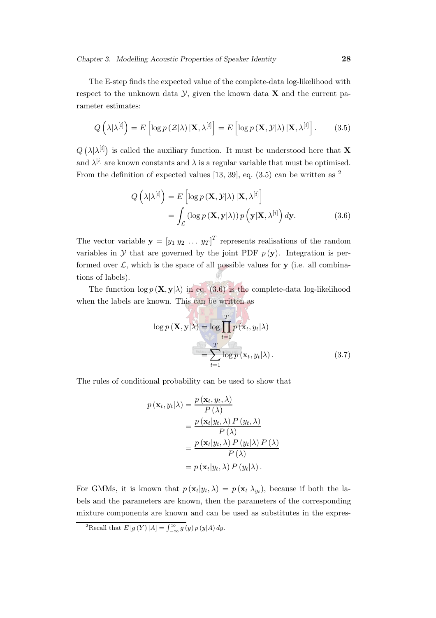<span id="page-50-0"></span>The E-step finds the expected value of the complete-data log-likelihood with respect to the unknown data  $\mathcal{Y}$ , given the known data  $\mathbf{X}$  and the current parameter estimates:

$$
Q\left(\lambda|\lambda^{[i]}\right) = E\left[\log p\left(\mathcal{Z}|\lambda\right)|\mathbf{X},\lambda^{[i]}\right] = E\left[\log p\left(\mathbf{X},\mathcal{Y}|\lambda\right)|\mathbf{X},\lambda^{[i]}\right].\tag{3.5}
$$

 $Q\left(\lambda|\lambda^{[i]}\right)$  is called the auxiliary function. It must be understood here that **X** and  $\lambda^{[i]}$  are known constants and  $\lambda$  is a regular variable that must be optimised. From the definition of expected values [\[13](#page-145-2), [39\]](#page-147-2), eq.  $(3.5)$  can be written as <sup>[2](#page-50-1)</sup>

<span id="page-50-2"></span>
$$
Q\left(\lambda|\lambda^{[i]}\right) = E\left[\log p\left(\mathbf{X}, \mathcal{Y}|\lambda\right) | \mathbf{X}, \lambda^{[i]}\right]
$$

$$
= \int_{\mathcal{L}} \left(\log p\left(\mathbf{X}, \mathbf{y}|\lambda\right)\right) p\left(\mathbf{y} | \mathbf{X}, \lambda^{[i]}\right) d\mathbf{y}.
$$
(3.6)

The vector variable  $\mathbf{y} = [y_1 \ y_2 \ \dots \ y_T]^T$  represents realisations of the random variables in  $Y$  that are governed by the joint PDF  $p(y)$ . Integration is performed over  $\mathcal{L}$ , which is the space of all possible values for **y** (i.e. all combinations of labels).

The function  $\log p(\mathbf{X}, \mathbf{y}|\lambda)$  in eq. [\(3.6\)](#page-50-2) is the complete-data log-likelihood when the labels are known. This can be written as

<span id="page-50-3"></span>
$$
\log p(\mathbf{X}, \mathbf{y}|\lambda) = \log \prod_{t=1}^{T} p(\mathbf{x}_t, y_t|\lambda)
$$

$$
= \sum_{t=1}^{T} \log p(\mathbf{x}_t, y_t|\lambda).
$$
(3.7)

The rules of conditional probability can be used to show that

$$
p(\mathbf{x}_t, y_t | \lambda) = \frac{p(\mathbf{x}_t, y_t, \lambda)}{P(\lambda)}
$$
  
= 
$$
\frac{p(\mathbf{x}_t | y_t, \lambda) P(y_t, \lambda)}{P(\lambda)}
$$
  
= 
$$
\frac{p(\mathbf{x}_t | y_t, \lambda) P(y_t | \lambda) P(\lambda)}{P(\lambda)}
$$
  
= 
$$
p(\mathbf{x}_t | y_t, \lambda) P(y_t | \lambda).
$$

For GMMs, it is known that  $p(\mathbf{x}_t|y_t,\lambda) = p(\mathbf{x}_t|\lambda_{y_t}),$  because if both the labels and the parameters are known, then the parameters of the corresponding mixture components are known and can be used as substitutes in the expres-

<span id="page-50-1"></span><sup>&</sup>lt;sup>2</sup>Recall that  $E[g(Y)|A] = \int_{-\infty}^{\infty} g(y) p(y|A) dy$ .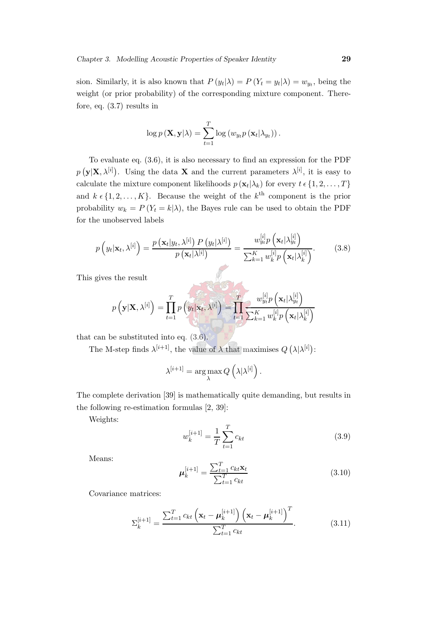sion. Similarly, it is also known that  $P(y_t|\lambda) = P(Y_t = y_t|\lambda) = w_{y_t}$ , being the weight (or prior probability) of the corresponding mixture component. Therefore, eq. [\(3.7\)](#page-50-3) results in

$$
\log p(\mathbf{X}, \mathbf{y}|\lambda) = \sum_{t=1}^{T} \log (w_{y_t} p(\mathbf{x}_t | \lambda_{y_t})).
$$

To evaluate eq. [\(3.6\)](#page-50-2), it is also necessary to find an expression for the PDF  $p(\mathbf{y}|\mathbf{X},\lambda^{[i]})$ . Using the data **X** and the current parameters  $\lambda^{[i]}$ , it is easy to calculate the mixture component likelihoods  $p(\mathbf{x}_t|\lambda_k)$  for every  $t \in \{1, 2, ..., T\}$ and  $k \in \{1, 2, ..., K\}$ . Because the weight of the  $k^{\text{th}}$  component is the prior probability  $w_k = P(Y_t = k|\lambda)$ , the Bayes rule can be used to obtain the PDF for the unobserved labels

<span id="page-51-1"></span>
$$
p\left(y_t|\mathbf{x}_t,\lambda^{[i]}\right) = \frac{p\left(\mathbf{x}_t|y_t,\lambda^{[i]}\right)P\left(y_t|\lambda^{[i]}\right)}{p\left(\mathbf{x}_t|\lambda^{[i]}\right)} = \frac{w_{y_t}^{[i]}p\left(\mathbf{x}_t|\lambda_{y_t}^{[i]}\right)}{\sum_{k=1}^K w_k^{[i]}p\left(\mathbf{x}_t|\lambda_k^{[i]}\right)}.\tag{3.8}
$$

This gives the result

$$
p\left(\mathbf{y}|\mathbf{X},\lambda^{[i]}\right) = \prod_{t=1}^{T} p\left(y_t|\mathbf{x}_t,\lambda^{[i]}\right) = \prod_{t=1}^{T} \frac{w_{y_t}^{[i]} p\left(\mathbf{x}_t|\lambda_{y_t}^{[i]}\right)}{\sum_{k=1}^{K} w_k^{[i]} p\left(\mathbf{x}_t|\lambda_k^{[i]}\right)}
$$

that can be substituted into eq. [\(3.6\)](#page-50-2).

The M-step finds  $\lambda^{[i+1]}$ , the value of  $\lambda$  that maximises  $Q(\lambda|\lambda^{[i]})$ :

$$
\lambda^{[i+1]} = \argmax_{\lambda} Q\left(\lambda|\lambda^{[i]}\right).
$$

<span id="page-51-2"></span>The complete derivation [\[39\]](#page-147-2) is mathematically quite demanding, but results in the following re-estimation formulas [\[2,](#page-144-0) [39\]](#page-147-2):

Weights:

$$
w_k^{[i+1]} = \frac{1}{T} \sum_{t=1}^{T} c_{kt}
$$
\n(3.9)

 $\mathbf{r}$  is  $\mathbf{v}$ 

<span id="page-51-3"></span>Means:

$$
\mu_k^{[i+1]} = \frac{\sum_{t=1}^T c_{kt} \mathbf{x}_t}{\sum_{t=1}^T c_{kt}} \tag{3.10}
$$

<span id="page-51-0"></span>Covariance matrices:

$$
\Sigma_{k}^{[i+1]} = \frac{\sum_{t=1}^{T} c_{kt} \left( \mathbf{x}_{t} - \boldsymbol{\mu}_{k}^{[i+1]} \right) \left( \mathbf{x}_{t} - \boldsymbol{\mu}_{k}^{[i+1]} \right)^{T}}{\sum_{t=1}^{T} c_{kt}}.
$$
(3.11)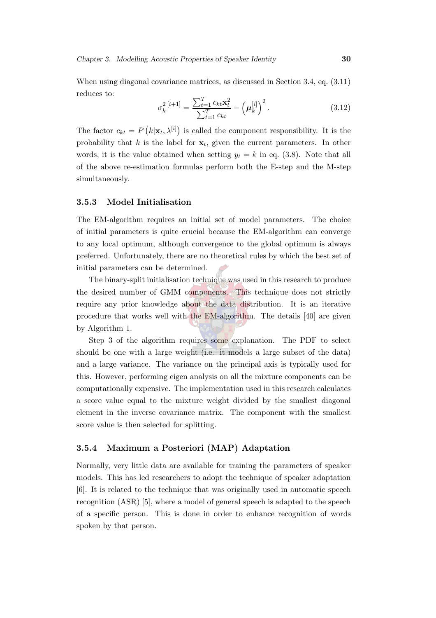When using diagonal covariance matrices, as discussed in Section [3.4,](#page-45-0) eq. [\(3.11\)](#page-51-0) reduces to:

$$
\sigma_k^{2\,[i+1]} = \frac{\sum_{t=1}^T c_{kt} \mathbf{x}_t^2}{\sum_{t=1}^T c_{kt}} - \left(\boldsymbol{\mu}_k^{[i]}\right)^2.
$$
\n(3.12)

The factor  $c_{kt} = P(k|\mathbf{x}_t, \lambda^{[i]})$  is called the component responsibility. It is the probability that k is the label for  $\mathbf{x}_t$ , given the current parameters. In other words, it is the value obtained when setting  $y_t = k$  in eq. [\(3.8\)](#page-51-1). Note that all of the above re-estimation formulas perform both the E-step and the M-step simultaneously.

#### <span id="page-52-0"></span>3.5.3 Model Initialisation

The EM-algorithm requires an initial set of model parameters. The choice of initial parameters is quite crucial because the EM-algorithm can converge to any local optimum, although convergence to the global optimum is always preferred. Unfortunately, there are no theoretical rules by which the best set of initial parameters can be determined.

The binary-split initialisation technique was used in this research to produce the desired number of GMM components. This technique does not strictly require any prior knowledge about the data distribution. It is an iterative procedure that works well with the EM-algorithm. The details [\[40\]](#page-148-0) are given by Algorithm [1.](#page-53-0)

Step 3 of the algorithm requires some explanation. The PDF to select should be one with a large weight (i.e. it models a large subset of the data) and a large variance. The variance on the principal axis is typically used for this. However, performing eigen analysis on all the mixture components can be computationally expensive. The implementation used in this research calculates a score value equal to the mixture weight divided by the smallest diagonal element in the inverse covariance matrix. The component with the smallest score value is then selected for splitting.

#### 3.5.4 Maximum a Posteriori (MAP) Adaptation

Normally, very little data are available for training the parameters of speaker models. This has led researchers to adopt the technique of speaker adaptation [\[6\]](#page-144-2). It is related to the technique that was originally used in automatic speech recognition (ASR) [\[5](#page-144-3)], where a model of general speech is adapted to the speech of a specific person. This is done in order to enhance recognition of words spoken by that person.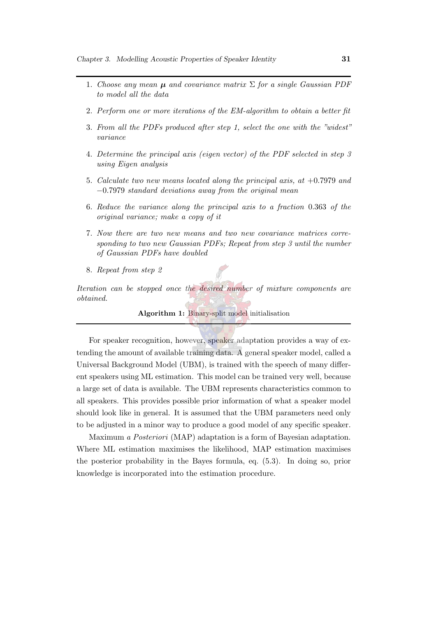- 1. Choose any mean  $\mu$  and covariance matrix  $\Sigma$  for a single Gaussian PDF to model all the data
- 2. Perform one or more iterations of the EM-algorithm to obtain a better fit
- 3. From all the PDFs produced after step 1, select the one with the "widest" variance
- 4. Determine the principal axis (eigen vector) of the PDF selected in step 3 using Eigen analysis
- 5. Calculate two new means located along the principal axis, at +0.7979 and −0.7979 standard deviations away from the original mean
- 6. Reduce the variance along the principal axis to a fraction 0.363 of the original variance; make a copy of it
- 7. Now there are two new means and two new covariance matrices corresponding to two new Gaussian PDFs; Repeat from step 3 until the number of Gaussian PDFs have doubled
- 8. Repeat from step 2

Iteration can be stopped once the desired number of mixture components are obtained.

<span id="page-53-0"></span>Algorithm 1: Binary-split model initialisation

For speaker recognition, however, speaker adaptation provides a way of extending the amount of available training data. A general speaker model, called a Universal Background Model (UBM), is trained with the speech of many different speakers using ML estimation. This model can be trained very well, because a large set of data is available. The UBM represents characteristics common to all speakers. This provides possible prior information of what a speaker model should look like in general. It is assumed that the UBM parameters need only to be adjusted in a minor way to produce a good model of any specific speaker.

Maximum a Posteriori (MAP) adaptation is a form of Bayesian adaptation. Where ML estimation maximises the likelihood, MAP estimation maximises the posterior probability in the Bayes formula, eq. [\(5.3\)](#page-75-0). In doing so, prior knowledge is incorporated into the estimation procedure.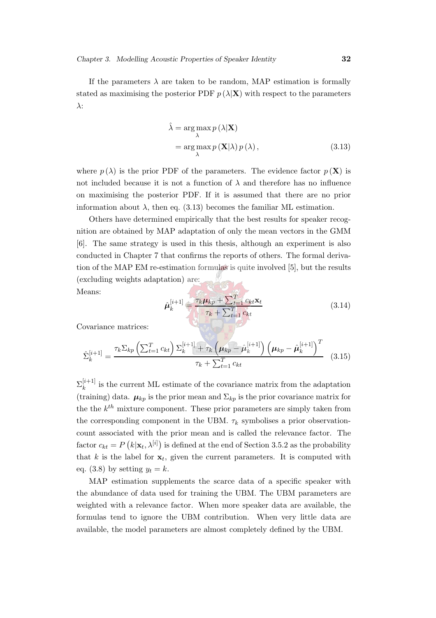If the parameters  $\lambda$  are taken to be random, MAP estimation is formally stated as maximising the posterior PDF  $p(\lambda|\mathbf{X})$  with respect to the parameters λ:

<span id="page-54-0"></span>
$$
\hat{\lambda} = \underset{\lambda}{\arg \max} p(\lambda | \mathbf{X})
$$
  
= 
$$
\underset{\lambda}{\arg \max} p(\mathbf{X} | \lambda) p(\lambda),
$$
 (3.13)

where  $p(\lambda)$  is the prior PDF of the parameters. The evidence factor  $p(\mathbf{X})$  is not included because it is not a function of  $\lambda$  and therefore has no influence on maximising the posterior PDF. If it is assumed that there are no prior information about  $\lambda$ , then eq. [\(3.13\)](#page-54-0) becomes the familiar ML estimation.

Others have determined empirically that the best results for speaker recognition are obtained by MAP adaptation of only the mean vectors in the GMM [\[6\]](#page-144-2). The same strategy is used in this thesis, although an experiment is also conducted in Chapter [7](#page-98-0) that confirms the reports of others. The formal derivation of the MAP EM re-estimation formulas is quite involved [\[5](#page-144-3)], but the results (excluding weights adaptation) are:

Means:

$$
\hat{\boldsymbol{\mu}}_k^{[i+1]} \equiv \frac{\tau_k \boldsymbol{\mu}_{kp} + \sum_{t=1}^T c_{kt} \mathbf{x}_t}{\tau_k + \sum_{t=1}^T c_{kt}} \tag{3.14}
$$

Covariance matrices:

$$
\hat{\Sigma}_{k}^{[i+1]} = \frac{\tau_{k} \Sigma_{kp} \left( \sum_{t=1}^{T} c_{kt} \right) \Sigma_{k}^{[i+1]} + \tau_{k} \left( \mu_{kp} - \hat{\mu}_{k}^{[i+1]} \right) \left( \mu_{kp} - \hat{\mu}_{k}^{[i+1]} \right)^{T}}{\tau_{k} + \sum_{t=1}^{T} c_{kt}} \quad (3.15)
$$

 $\Sigma_k^{[i+1]}$  $\frac{k^{(k+1)}}{k}$  is the current ML estimate of the covariance matrix from the adaptation (training) data.  $\mu_{kp}$  is the prior mean and  $\Sigma_{kp}$  is the prior covariance matrix for the the  $k^{th}$  mixture component. These prior parameters are simply taken from the corresponding component in the UBM.  $\tau_k$  symbolises a prior observationcount associated with the prior mean and is called the relevance factor. The factor  $c_{kt} = P(k|\mathbf{x}_t, \lambda^{[i]})$  is defined at the end of Section [3.5.2](#page-49-0) as the probability that k is the label for  $x_t$ , given the current parameters. It is computed with eq. [\(3.8\)](#page-51-1) by setting  $y_t = k$ .

MAP estimation supplements the scarce data of a specific speaker with the abundance of data used for training the UBM. The UBM parameters are weighted with a relevance factor. When more speaker data are available, the formulas tend to ignore the UBM contribution. When very little data are available, the model parameters are almost completely defined by the UBM.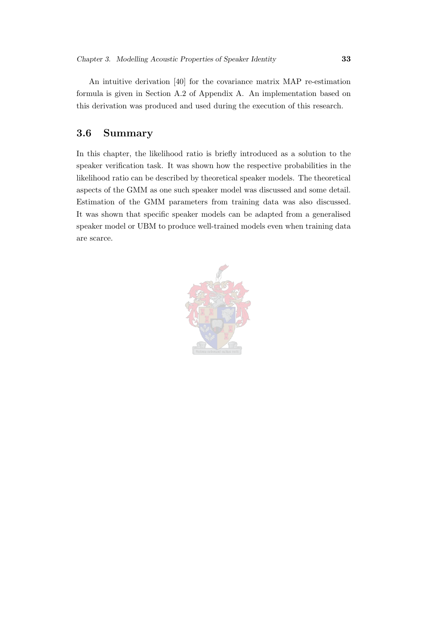An intuitive derivation [\[40\]](#page-148-0) for the covariance matrix MAP re-estimation formula is given in Section [A.2](#page-151-0) of Appendix [A.](#page-149-0) An implementation based on this derivation was produced and used during the execution of this research.

#### 3.6 Summary

In this chapter, the likelihood ratio is briefly introduced as a solution to the speaker verification task. It was shown how the respective probabilities in the likelihood ratio can be described by theoretical speaker models. The theoretical aspects of the GMM as one such speaker model was discussed and some detail. Estimation of the GMM parameters from training data was also discussed. It was shown that specific speaker models can be adapted from a generalised speaker model or UBM to produce well-trained models even when training data are scarce.

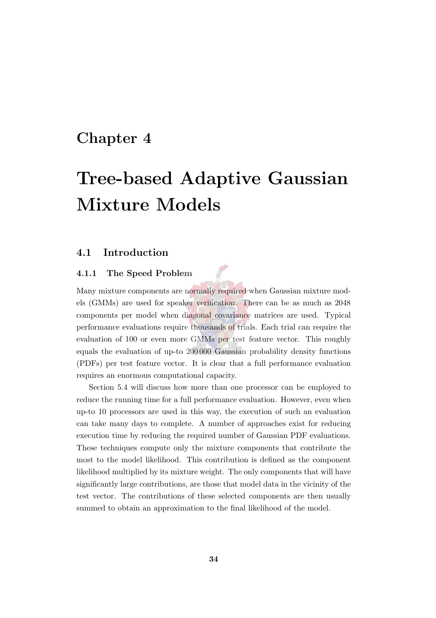### Chapter 4

# Tree-based Adaptive Gaussian Mixture Models

#### 4.1 Introduction

#### 4.1.1 The Speed Problem

Many mixture components are normally required when Gaussian mixture models (GMMs) are used for speaker verification. There can be as much as 2048 components per model when diagonal covariance matrices are used. Typical performance evaluations require thousands of trials. Each trial can require the evaluation of 100 or even more GMMs per test feature vector. This roughly equals the evaluation of up-to 200 000 Gaussian probability density functions (PDFs) per test feature vector. It is clear that a full performance evaluation requires an enormous computational capacity.

Section [5.4](#page-79-0) will discuss how more than one processor can be employed to reduce the running time for a full performance evaluation. However, even when up-to 10 processors are used in this way, the execution of such an evaluation can take many days to complete. A number of approaches exist for reducing execution time by reducing the required number of Gaussian PDF evaluations. These techniques compute only the mixture components that contribute the most to the model likelihood. This contribution is defined as the component likelihood multiplied by its mixture weight. The only components that will have significantly large contributions, are those that model data in the vicinity of the test vector. The contributions of these selected components are then usually summed to obtain an approximation to the final likelihood of the model.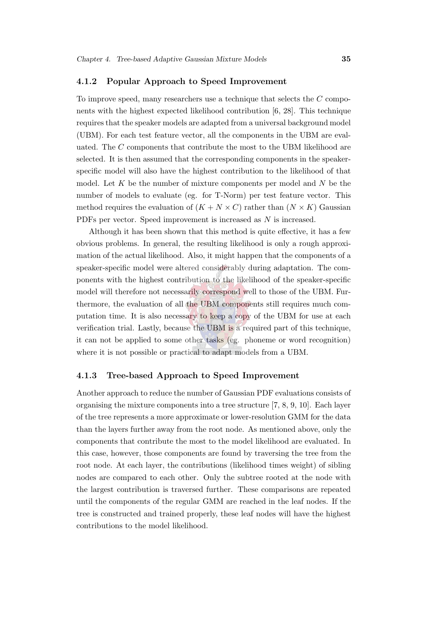#### 4.1.2 Popular Approach to Speed Improvement

To improve speed, many researchers use a technique that selects the C components with the highest expected likelihood contribution [\[6](#page-144-2), [28](#page-146-1)]. This technique requires that the speaker models are adapted from a universal background model (UBM). For each test feature vector, all the components in the UBM are evaluated. The C components that contribute the most to the UBM likelihood are selected. It is then assumed that the corresponding components in the speakerspecific model will also have the highest contribution to the likelihood of that model. Let  $K$  be the number of mixture components per model and  $N$  be the number of models to evaluate (eg. for T-Norm) per test feature vector. This method requires the evaluation of  $(K + N \times C)$  rather than  $(N \times K)$  Gaussian PDFs per vector. Speed improvement is increased as N is increased.

Although it has been shown that this method is quite effective, it has a few obvious problems. In general, the resulting likelihood is only a rough approximation of the actual likelihood. Also, it might happen that the components of a speaker-specific model were altered considerably during adaptation. The components with the highest contribution to the likelihood of the speaker-specific model will therefore not necessarily correspond well to those of the UBM. Furthermore, the evaluation of all the UBM components still requires much computation time. It is also necessary to keep a copy of the UBM for use at each verification trial. Lastly, because the UBM is a required part of this technique, it can not be applied to some other tasks (eg. phoneme or word recognition) where it is not possible or practical to adapt models from a UBM.

#### 4.1.3 Tree-based Approach to Speed Improvement

Another approach to reduce the number of Gaussian PDF evaluations consists of organising the mixture components into a tree structure [\[7,](#page-144-1) [8](#page-144-4), [9,](#page-145-0) [10](#page-145-1)]. Each layer of the tree represents a more approximate or lower-resolution GMM for the data than the layers further away from the root node. As mentioned above, only the components that contribute the most to the model likelihood are evaluated. In this case, however, those components are found by traversing the tree from the root node. At each layer, the contributions (likelihood times weight) of sibling nodes are compared to each other. Only the subtree rooted at the node with the largest contribution is traversed further. These comparisons are repeated until the components of the regular GMM are reached in the leaf nodes. If the tree is constructed and trained properly, these leaf nodes will have the highest contributions to the model likelihood.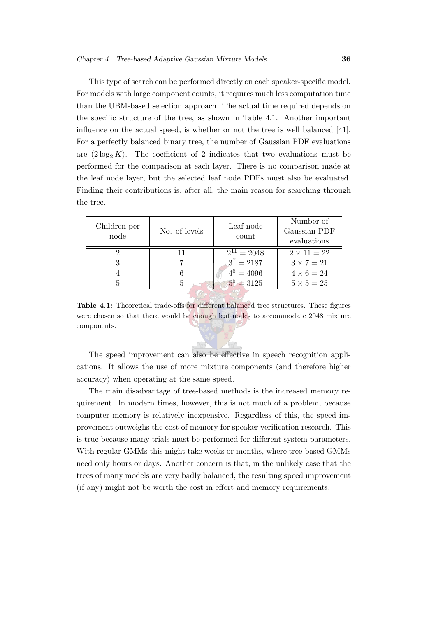This type of search can be performed directly on each speaker-specific model. For models with large component counts, it requires much less computation time than the UBM-based selection approach. The actual time required depends on the specific structure of the tree, as shown in Table [4.1.](#page-58-0) Another important influence on the actual speed, is whether or not the tree is well balanced [\[41\]](#page-148-1). For a perfectly balanced binary tree, the number of Gaussian PDF evaluations are  $(2 \log_2 K)$ . The coefficient of 2 indicates that two evaluations must be performed for the comparison at each layer. There is no comparison made at the leaf node layer, but the selected leaf node PDFs must also be evaluated. Finding their contributions is, after all, the main reason for searching through the tree.

| Children per<br>node | No. of levels | Leaf node<br>count | Number of<br>Gaussian PDF<br>evaluations |
|----------------------|---------------|--------------------|------------------------------------------|
|                      | 11            | $2^{11} = 2048$    | $2 \times 11 = 22$                       |
|                      |               | $3^7 = 2187$       | $3 \times 7 = 21$                        |
|                      |               | $4^6 = 4096$       | $4 \times 6 = 24$                        |
|                      | 5             | $5^5 \div 3125$    | $5 \times 5 = 25$                        |

<span id="page-58-0"></span>Table 4.1: Theoretical trade-offs for different balanced tree structures. These figures were chosen so that there would be enough leaf nodes to accommodate 2048 mixture components.

The speed improvement can also be effective in speech recognition applications. It allows the use of more mixture components (and therefore higher accuracy) when operating at the same speed.

The main disadvantage of tree-based methods is the increased memory requirement. In modern times, however, this is not much of a problem, because computer memory is relatively inexpensive. Regardless of this, the speed improvement outweighs the cost of memory for speaker verification research. This is true because many trials must be performed for different system parameters. With regular GMMs this might take weeks or months, where tree-based GMMs need only hours or days. Another concern is that, in the unlikely case that the trees of many models are very badly balanced, the resulting speed improvement (if any) might not be worth the cost in effort and memory requirements.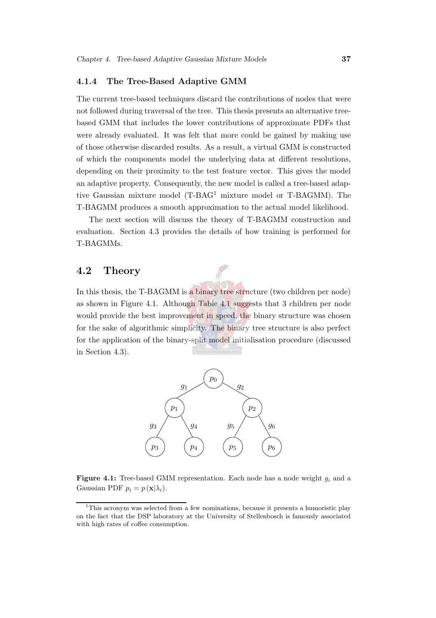#### 4.1.4 The Tree-Based Adaptive GMM

The current tree-based techniques discard the contributions of nodes that were not followed during traversal of the tree. This thesis presents an alternative treebased GMM that includes the lower contributions of approximate PDFs that were already evaluated. It was felt that more could be gained by making use of those otherwise discarded results. As a result, a virtual GMM is constructed of which the components model the underlying data at different resolutions, depending on their proximity to the test feature vector. This gives the model an adaptive property. Consequently, the new model is called a tree-based adaptive Gaussian mixture model (T-BAG[1](#page-59-0) mixture model or T-BAGMM). The T-BAGMM produces a smooth approximation to the actual model likelihood.

The next section will discuss the theory of T-BAGMM construction and evaluation. Section [4.3](#page-64-0) provides the details of how training is performed for T-BAGMMs.

#### 4.2 Theory

In this thesis, the T-BAGMM is a binary tree structure (two children per node) as shown in Figure [4.1.](#page-59-1) Although Table [4.1](#page-58-0) suggests that 3 children per node would provide the best improvement in speed, the binary structure was chosen for the sake of algorithmic simplicity. The binary tree structure is also perfect for the application of the binary-split model initialisation procedure (discussed in Section [4.3\)](#page-64-0).



<span id="page-59-1"></span>**Figure 4.1:** Tree-based GMM representation. Each node has a node weight  $q_i$  and a Gaussian PDF  $p_i = p(\mathbf{x}|\lambda_i)$ .

<span id="page-59-0"></span><sup>1</sup>This acronym was selected from a few nominations, because it presents a humoristic play on the fact that the DSP laboratory at the University of Stellenbosch is famously associated with high rates of coffee consumption.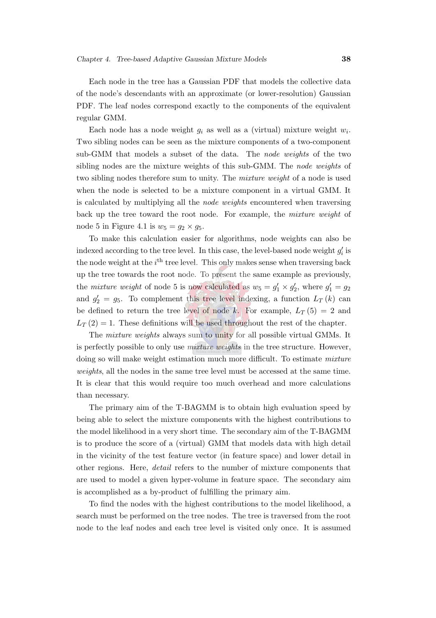Each node in the tree has a Gaussian PDF that models the collective data of the node's descendants with an approximate (or lower-resolution) Gaussian PDF. The leaf nodes correspond exactly to the components of the equivalent regular GMM.

Each node has a node weight  $g_i$  as well as a (virtual) mixture weight  $w_i$ . Two sibling nodes can be seen as the mixture components of a two-component sub-GMM that models a subset of the data. The node weights of the two sibling nodes are the mixture weights of this sub-GMM. The node weights of two sibling nodes therefore sum to unity. The mixture weight of a node is used when the node is selected to be a mixture component in a virtual GMM. It is calculated by multiplying all the node weights encountered when traversing back up the tree toward the root node. For example, the mixture weight of node 5 in Figure [4.1](#page-59-1) is  $w_5 = g_2 \times g_5$ .

To make this calculation easier for algorithms, node weights can also be indexed according to the tree level. In this case, the level-based node weight  $g_i'$  $_i$  is the node weight at the  $i<sup>th</sup>$  tree level. This only makes sense when traversing back up the tree towards the root node. To present the same example as previously, the *mixture weight* of node 5 is now calculated as  $w_5 = g'_1 \times g'_2$  $y'_2$ , where  $g'_1 = g_2$ and  $g'_2 = g_5$ . To complement this tree level indexing, a function  $L_T(k)$  can be defined to return the tree level of node k. For example,  $L_T(5) = 2$  and  $L_T(2) = 1$ . These definitions will be used throughout the rest of the chapter.

The mixture weights always sum to unity for all possible virtual GMMs. It is perfectly possible to only use *mixture weights* in the tree structure. However, doing so will make weight estimation much more difficult. To estimate mixture weights, all the nodes in the same tree level must be accessed at the same time. It is clear that this would require too much overhead and more calculations than necessary.

The primary aim of the T-BAGMM is to obtain high evaluation speed by being able to select the mixture components with the highest contributions to the model likelihood in a very short time. The secondary aim of the T-BAGMM is to produce the score of a (virtual) GMM that models data with high detail in the vicinity of the test feature vector (in feature space) and lower detail in other regions. Here, detail refers to the number of mixture components that are used to model a given hyper-volume in feature space. The secondary aim is accomplished as a by-product of fulfilling the primary aim.

To find the nodes with the highest contributions to the model likelihood, a search must be performed on the tree nodes. The tree is traversed from the root node to the leaf nodes and each tree level is visited only once. It is assumed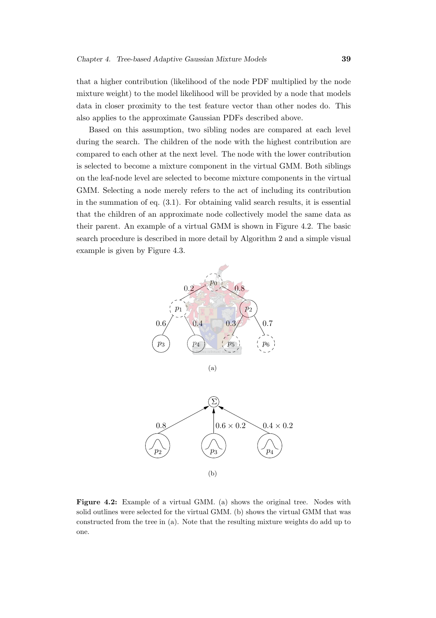that a higher contribution (likelihood of the node PDF multiplied by the node mixture weight) to the model likelihood will be provided by a node that models data in closer proximity to the test feature vector than other nodes do. This also applies to the approximate Gaussian PDFs described above.

Based on this assumption, two sibling nodes are compared at each level during the search. The children of the node with the highest contribution are compared to each other at the next level. The node with the lower contribution is selected to become a mixture component in the virtual GMM. Both siblings on the leaf-node level are selected to become mixture components in the virtual GMM. Selecting a node merely refers to the act of including its contribution in the summation of eq. [\(3.1\)](#page-45-1). For obtaining valid search results, it is essential that the children of an approximate node collectively model the same data as their parent. An example of a virtual GMM is shown in Figure [4.2.](#page-61-0) The basic search procedure is described in more detail by Algorithm [2](#page-62-0) and a simple visual example is given by Figure [4.3.](#page-63-0)





<span id="page-61-0"></span>Figure 4.2: Example of a virtual GMM. (a) shows the original tree. Nodes with solid outlines were selected for the virtual GMM. (b) shows the virtual GMM that was constructed from the tree in (a). Note that the resulting mixture weights do add up to one.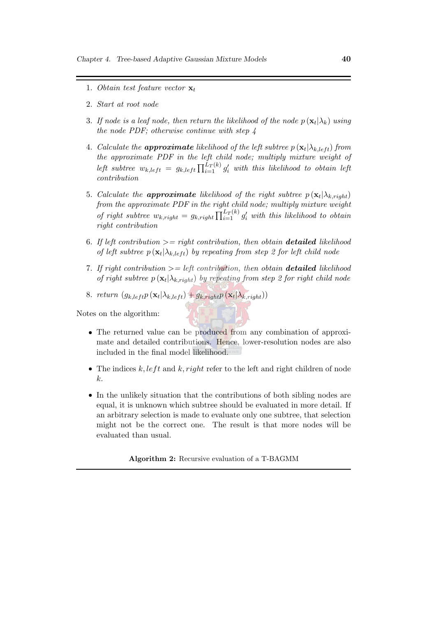- 1. Obtain test feature vector  $\mathbf{x}_t$
- 2. Start at root node
- 3. If node is a leaf node, then return the likelihood of the node  $p\left(\mathbf{x}_t|\lambda_k\right)$  using the node PDF; otherwise continue with step 4
- 4. Calculate the **approximate** likelihood of the left subtree  $p(\mathbf{x}_t | \lambda_{k,left})$  from the approximate PDF in the left child node; multiply mixture weight of left subtree  $w_{k, left} = g_{k, left} \prod_{i=1}^{L_T(k)} g'_i$  with this likelihood to obtain left contribution
- 5. Calculate the **approximate** likelihood of the right subtree  $p(\mathbf{x}_t | \lambda_{k, right})$ from the approximate PDF in the right child node; multiply mixture weight of right subtree  $w_{k, right} = g_{k, right} \prod_{i=1}^{L_T(k)} g'_i$  with this likelihood to obtain right contribution
- 6. If left contribution  $\mathcal{L} = right$  contribution, then obtain **detailed** likelihood of left subtree  $p(\mathbf{x}_t | \lambda_{k, left})$  by repeating from step 2 for left child node
- 7. If right contribution  $\mathcal{P} = \text{left contribution}$ , then obtain **detailed** likelihood of right subtree  $p(\mathbf{x}_t | \lambda_{k, right})$  by repeating from step 2 for right child node
- 8. return  $(g_{k, left} p(\mathbf{x}_t | \lambda_{k, left}) + g_{k, right} p(\mathbf{x}_t | \lambda_{k, right}))$

Notes on the algorithm:

- The returned value can be produced from any combination of approximate and detailed contributions. Hence, lower-resolution nodes are also included in the final model likelihood.
- The indices  $k, left$  and  $k, right$  refer to the left and right children of node k.
- In the unlikely situation that the contributions of both sibling nodes are equal, it is unknown which subtree should be evaluated in more detail. If an arbitrary selection is made to evaluate only one subtree, that selection might not be the correct one. The result is that more nodes will be evaluated than usual.

<span id="page-62-0"></span>Algorithm 2: Recursive evaluation of a T-BAGMM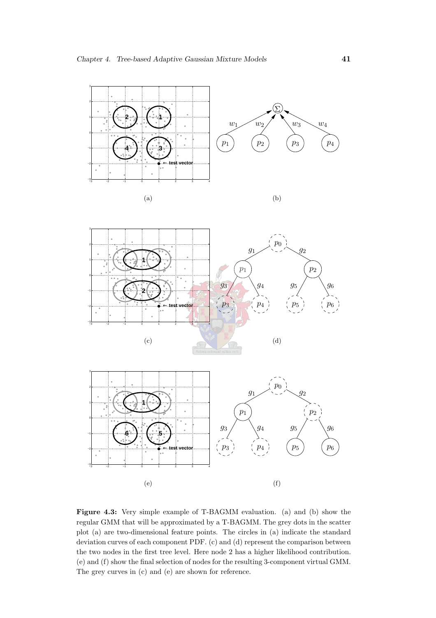

<span id="page-63-0"></span>Figure 4.3: Very simple example of T-BAGMM evaluation. (a) and (b) show the regular GMM that will be approximated by a T-BAGMM. The grey dots in the scatter plot (a) are two-dimensional feature points. The circles in (a) indicate the standard deviation curves of each component PDF. (c) and (d) represent the comparison between the two nodes in the first tree level. Here node 2 has a higher likelihood contribution. (e) and (f) show the final selection of nodes for the resulting 3-component virtual GMM. The grey curves in (c) and (e) are shown for reference.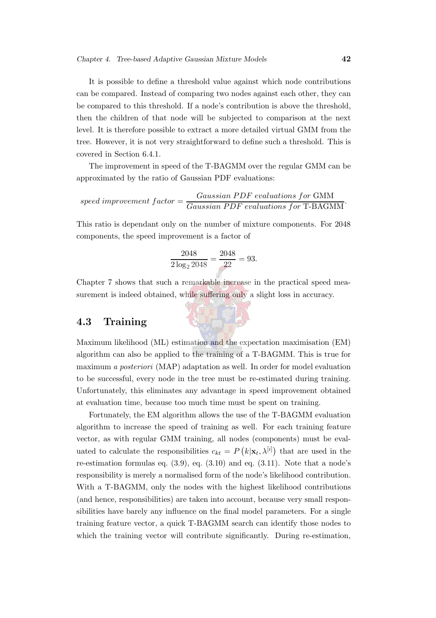It is possible to define a threshold value against which node contributions can be compared. Instead of comparing two nodes against each other, they can be compared to this threshold. If a node's contribution is above the threshold, then the children of that node will be subjected to comparison at the next level. It is therefore possible to extract a more detailed virtual GMM from the tree. However, it is not very straightforward to define such a threshold. This is covered in Section [6.4.1.](#page-89-1)

The improvement in speed of the T-BAGMM over the regular GMM can be approximated by the ratio of Gaussian PDF evaluations:

$$
speed\ improvement\ factor = \frac{Gaussian\ PDF\ evaluations\ for\ GMM}{Gaussian\ PDF\ evaluations\ for\ T\-BAGMM}.
$$

This ratio is dependant only on the number of mixture components. For 2048 components, the speed improvement is a factor of

$$
\frac{2048}{2 \log_2 2048} = \frac{2048}{22} = 93.
$$

Chapter [7](#page-98-0) shows that such a remarkable increase in the practical speed measurement is indeed obtained, while suffering only a slight loss in accuracy.

#### <span id="page-64-0"></span>4.3 Training

Maximum likelihood (ML) estimation and the expectation maximisation (EM) algorithm can also be applied to the training of a T-BAGMM. This is true for maximum a posteriori (MAP) adaptation as well. In order for model evaluation to be successful, every node in the tree must be re-estimated during training. Unfortunately, this eliminates any advantage in speed improvement obtained at evaluation time, because too much time must be spent on training.

Fortunately, the EM algorithm allows the use of the T-BAGMM evaluation algorithm to increase the speed of training as well. For each training feature vector, as with regular GMM training, all nodes (components) must be evaluated to calculate the responsibilities  $c_{kt} = P(k|\mathbf{x}_t, \lambda^{[i]})$  that are used in the re-estimation formulas eq.  $(3.9)$ , eq.  $(3.10)$  and eq.  $(3.11)$ . Note that a node's responsibility is merely a normalised form of the node's likelihood contribution. With a T-BAGMM, only the nodes with the highest likelihood contributions (and hence, responsibilities) are taken into account, because very small responsibilities have barely any influence on the final model parameters. For a single training feature vector, a quick T-BAGMM search can identify those nodes to which the training vector will contribute significantly. During re-estimation,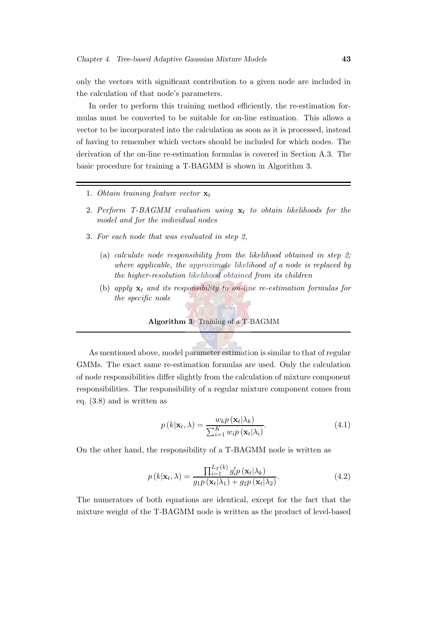only the vectors with significant contribution to a given node are included in the calculation of that node's parameters.

In order to perform this training method efficiently, the re-estimation formulas must be converted to be suitable for on-line estimation. This allows a vector to be incorporated into the calculation as soon as it is processed, instead of having to remember which vectors should be included for which nodes. The derivation of the on-line re-estimation formulas is covered in Section [A.3.](#page-154-0) The basic procedure for training a T-BAGMM is shown in Algorithm [3.](#page-65-0)

- 1. Obtain training feature vector  $\mathbf{x}_t$
- 2. Perform T-BAGMM evaluation using  $x_t$  to obtain likelihoods for the model and for the individual nodes
- 3. For each node that was evaluated in step 2,
	- (a) calculate node responsibility from the likelihood obtained in step 2; where applicable, the approximate likelihood of a node is replaced by the higher-resolution likelihood obtained from its children
	- (b) apply  $\mathbf{x}_t$  and its responsibility to on-line re-estimation formulas for the specific node

#### <span id="page-65-0"></span>Algorithm 3: Training of a T-BAGMM

<span id="page-65-2"></span>As mentioned above, model parameter estimation is similar to that of regular GMMs. The exact same re-estimation formulas are used. Only the calculation of node responsibilities differ slightly from the calculation of mixture component responsibilities. The responsibility of a regular mixture component comes from eq. [\(3.8\)](#page-51-1) and is written as

<span id="page-65-1"></span>
$$
p(k|\mathbf{x}_t, \lambda) = \frac{w_k p(\mathbf{x}_t | \lambda_k)}{\sum_{i=1}^K w_i p(\mathbf{x}_t | \lambda_i)}.
$$
\n(4.1)

On the other hand, the responsibility of a T-BAGMM node is written as

$$
p(k|\mathbf{x}_t, \lambda) = \frac{\prod_{i=1}^{L_T(k)} g_i' p(\mathbf{x}_t | \lambda_k)}{g_1 p(\mathbf{x}_t | \lambda_1) + g_2 p(\mathbf{x}_t | \lambda_2)}.
$$
(4.2)

The numerators of both equations are identical, except for the fact that the mixture weight of the T-BAGMM node is written as the product of level-based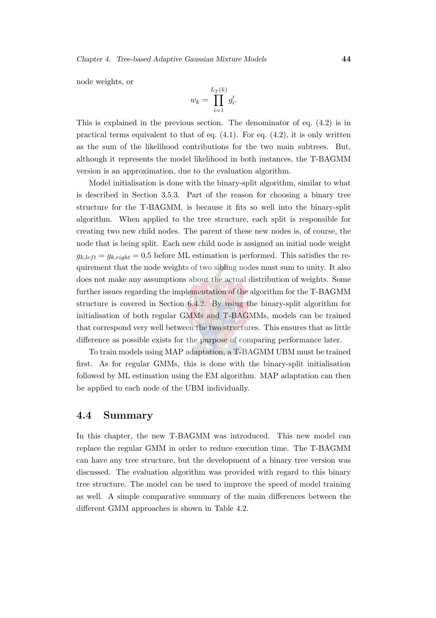node weights, or

$$
w_k = \prod_{i=1}^{L_T(k)} g'_i.
$$

This is explained in the previous section. The denominator of eq. [\(4.2\)](#page-65-1) is in practical terms equivalent to that of eq.  $(4.1)$ . For eq.  $(4.2)$ , it is only written as the sum of the likelihood contributions for the two main subtrees. But, although it represents the model likelihood in both instances, the T-BAGMM version is an approximation, due to the evaluation algorithm.

Model initialisation is done with the binary-split algorithm, similar to what is described in Section [3.5.3.](#page-52-0) Part of the reason for choosing a binary tree structure for the T-BAGMM, is because it fits so well into the binary-split algorithm. When applied to the tree structure, each split is responsible for creating two new child nodes. The parent of these new nodes is, of course, the node that is being split. Each new child node is assigned an initial node weight  $g_{k, left} = g_{k, right} = 0.5$  before ML estimation is performed. This satisfies the requirement that the node weights of two sibling nodes must sum to unity. It also does not make any assumptions about the actual distribution of weights. Some further issues regarding the implementation of the algorithm for the T-BAGMM structure is covered in Section [6.4.2.](#page-91-0) By using the binary-split algorithm for initialisation of both regular GMMs and T-BAGMMs, models can be trained that correspond very well between the two structures. This ensures that as little difference as possible exists for the purpose of comparing performance later.

To train models using MAP adaptation, a T-BAGMM UBM must be trained first. As for regular GMMs, this is done with the binary-split initialisation followed by ML estimation using the EM algorithm. MAP adaptation can then be applied to each node of the UBM individually.

#### 4.4 Summary

In this chapter, the new T-BAGMM was introduced. This new model can replace the regular GMM in order to reduce execution time. The T-BAGMM can have any tree structure, but the development of a binary tree version was discussed. The evaluation algorithm was provided with regard to this binary tree structure. The model can be used to improve the speed of model training as well. A simple comparative summary of the main differences between the different GMM approaches is shown in Table [4.2.](#page-67-0)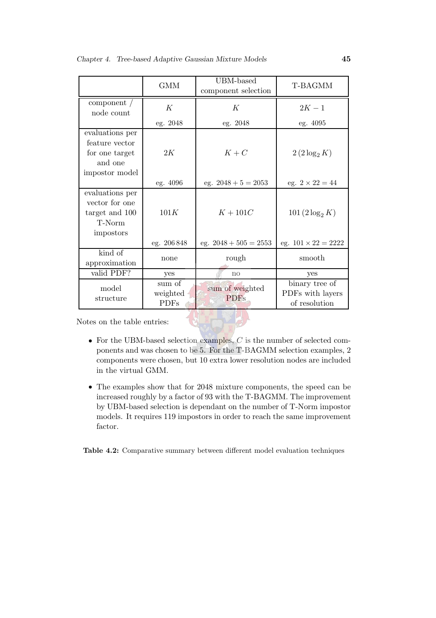|                                                                                  | <b>GMM</b>                        | UBM-based<br>component selection | T-BAGMM                                             |
|----------------------------------------------------------------------------------|-----------------------------------|----------------------------------|-----------------------------------------------------|
| component $/$<br>node count                                                      | К                                 | K                                | $2K - 1$                                            |
|                                                                                  | eg. 2048                          | eg. 2048                         | eg. 4095                                            |
| evaluations per<br>feature vector<br>for one target<br>and one<br>impostor model | 2K                                | $K+C$                            | $2(2\log_2 K)$                                      |
|                                                                                  | eg. 4096                          | eg. $2048 + 5 = 2053$            | eg. $2 \times 22 = 44$                              |
| evaluations per<br>vector for one<br>target and 100<br>T-Norm<br>impostors       | 101K                              | $K+101C$                         | $101 (2 \log_2 K)$                                  |
|                                                                                  | eg. 206848                        | eg. $2048 + 505 = 2553$          | eg. $101 \times 22 = 2222$                          |
| kind of<br>approximation                                                         | none                              | rough                            | smooth                                              |
| valid PDF?                                                                       | yes                               | $\mathbf{n}$                     | yes                                                 |
| model<br>structure                                                               | sum of<br>weighted<br><b>PDFs</b> | sum of weighted<br><b>PDFs</b>   | binary tree of<br>PDFs with layers<br>of resolution |

Notes on the table entries:

- For the UBM-based selection examples,  $C$  is the number of selected components and was chosen to be 5. For the T-BAGMM selection examples, 2 components were chosen, but 10 extra lower resolution nodes are included in the virtual GMM.
- The examples show that for 2048 mixture components, the speed can be increased roughly by a factor of 93 with the T-BAGMM. The improvement by UBM-based selection is dependant on the number of T-Norm impostor models. It requires 119 impostors in order to reach the same improvement factor.

<span id="page-67-0"></span>Table 4.2: Comparative summary between different model evaluation techniques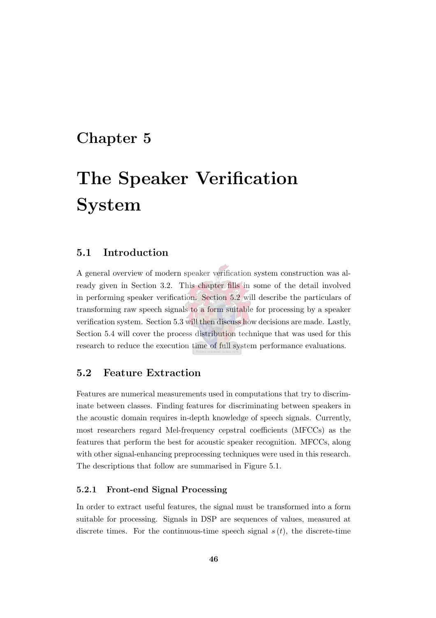## Chapter 5

# The Speaker Verification System

#### 5.1 Introduction

A general overview of modern speaker verification system construction was already given in Section [3.2.](#page-42-0) This chapter fills in some of the detail involved in performing speaker verification. Section [5.2](#page-68-0) will describe the particulars of transforming raw speech signals to a form suitable for processing by a speaker verification system. Section [5.3](#page-74-1) will then discuss how decisions are made. Lastly, Section [5.4](#page-79-0) will cover the process distribution technique that was used for this research to reduce the execution time of full system performance evaluations.

#### <span id="page-68-0"></span>5.2 Feature Extraction

Features are numerical measurements used in computations that try to discriminate between classes. Finding features for discriminating between speakers in the acoustic domain requires in-depth knowledge of speech signals. Currently, most researchers regard Mel-frequency cepstral coefficients (MFCCs) as the features that perform the best for acoustic speaker recognition. MFCCs, along with other signal-enhancing preprocessing techniques were used in this research. The descriptions that follow are summarised in Figure [5.1.](#page-69-0)

#### 5.2.1 Front-end Signal Processing

In order to extract useful features, the signal must be transformed into a form suitable for processing. Signals in DSP are sequences of values, measured at discrete times. For the continuous-time speech signal  $s(t)$ , the discrete-time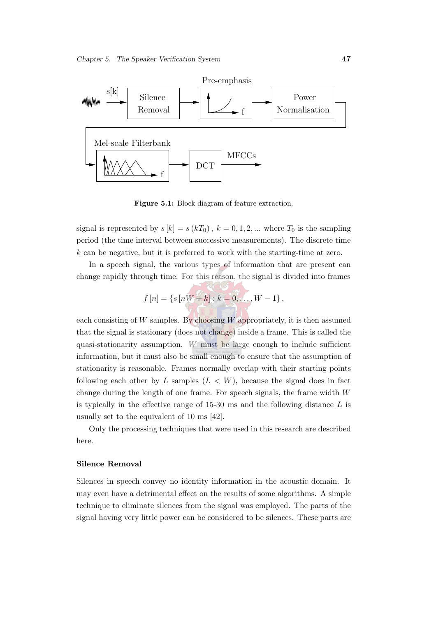

<span id="page-69-0"></span>Figure 5.1: Block diagram of feature extraction.

signal is represented by  $s[k] = s(kT_0), k = 0, 1, 2, ...$  where  $T_0$  is the sampling period (the time interval between successive measurements). The discrete time k can be negative, but it is preferred to work with the starting-time at zero.

In a speech signal, the various types of information that are present can change rapidly through time. For this reason, the signal is divided into frames

$$
f[n] = \{s[nW+k] : k = 0, ..., W-1\},\
$$

each consisting of  $W$  samples. By choosing  $W$  appropriately, it is then assumed that the signal is stationary (does not change) inside a frame. This is called the quasi-stationarity assumption. W must be large enough to include sufficient information, but it must also be small enough to ensure that the assumption of stationarity is reasonable. Frames normally overlap with their starting points following each other by L samples  $(L \lt W)$ , because the signal does in fact change during the length of one frame. For speech signals, the frame width  $W$ is typically in the effective range of  $15-30$  ms and the following distance  $L$  is usually set to the equivalent of 10 ms [\[42](#page-148-2)].

Only the processing techniques that were used in this research are described here.

#### Silence Removal

Silences in speech convey no identity information in the acoustic domain. It may even have a detrimental effect on the results of some algorithms. A simple technique to eliminate silences from the signal was employed. The parts of the signal having very little power can be considered to be silences. These parts are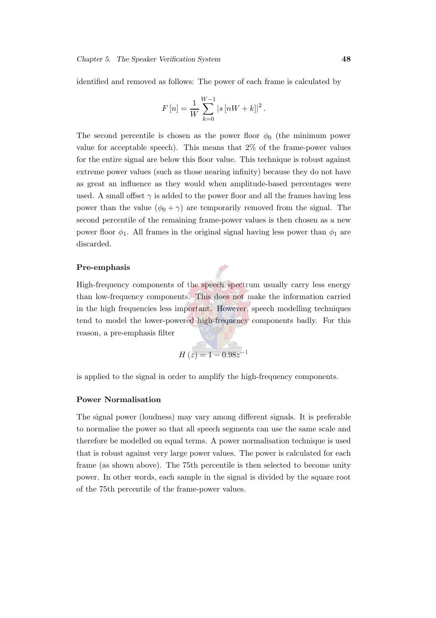identified and removed as follows: The power of each frame is calculated by

$$
F[n] = \frac{1}{W} \sum_{k=0}^{W-1} |s[nW+k]|^2.
$$

The second percentile is chosen as the power floor  $\phi_0$  (the minimum power value for acceptable speech). This means that 2% of the frame-power values for the entire signal are below this floor value. This technique is robust against extreme power values (such as those nearing infinity) because they do not have as great an influence as they would when amplitude-based percentages were used. A small offset  $\gamma$  is added to the power floor and all the frames having less power than the value  $(\phi_0 + \gamma)$  are temporarily removed from the signal. The second percentile of the remaining frame-power values is then chosen as a new power floor  $\phi_1$ . All frames in the original signal having less power than  $\phi_1$  are discarded.

#### Pre-emphasis

High-frequency components of the speech spectrum usually carry less energy than low-frequency components. This does not make the information carried in the high frequencies less important. However, speech modelling techniques tend to model the lower-powered high-frequency components badly. For this reason, a pre-emphasis filter

$$
H(z) = 1 - 0.98z^{-1}
$$

is applied to the signal in order to amplify the high-frequency components.

#### Power Normalisation

The signal power (loudness) may vary among different signals. It is preferable to normalise the power so that all speech segments can use the same scale and therefore be modelled on equal terms. A power normalisation technique is used that is robust against very large power values. The power is calculated for each frame (as shown above). The 75th percentile is then selected to become unity power. In other words, each sample in the signal is divided by the square root of the 75th percentile of the frame-power values.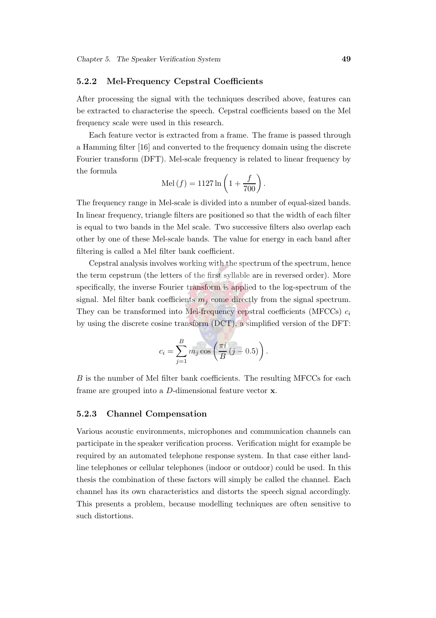#### 5.2.2 Mel-Frequency Cepstral Coefficients

After processing the signal with the techniques described above, features can be extracted to characterise the speech. Cepstral coefficients based on the Mel frequency scale were used in this research.

Each feature vector is extracted from a frame. The frame is passed through a Hamming filter [\[16\]](#page-145-3) and converted to the frequency domain using the discrete Fourier transform (DFT). Mel-scale frequency is related to linear frequency by the formula

$$
\operatorname{Mel}(f) = 1127 \ln \left( 1 + \frac{f}{700} \right).
$$

The frequency range in Mel-scale is divided into a number of equal-sized bands. In linear frequency, triangle filters are positioned so that the width of each filter is equal to two bands in the Mel scale. Two successive filters also overlap each other by one of these Mel-scale bands. The value for energy in each band after filtering is called a Mel filter bank coefficient.

Cepstral analysis involves working with the spectrum of the spectrum, hence the term cepstrum (the letters of the first syllable are in reversed order). More specifically, the inverse Fourier transform is applied to the log-spectrum of the signal. Mel filter bank coefficients  $m<sub>j</sub>$  come directly from the signal spectrum. They can be transformed into Mel-frequency cepstral coefficients (MFCCs)  $c_i$ by using the discrete cosine transform (DCT), a simplified version of the DFT:

$$
c_i = \sum_{j=1}^{B} m_j \cos\left(\frac{\pi i}{B} (j-0.5)\right).
$$

B is the number of Mel filter bank coefficients. The resulting MFCCs for each frame are grouped into a D-dimensional feature vector x.

#### 5.2.3 Channel Compensation

Various acoustic environments, microphones and communication channels can participate in the speaker verification process. Verification might for example be required by an automated telephone response system. In that case either landline telephones or cellular telephones (indoor or outdoor) could be used. In this thesis the combination of these factors will simply be called the channel. Each channel has its own characteristics and distorts the speech signal accordingly. This presents a problem, because modelling techniques are often sensitive to such distortions.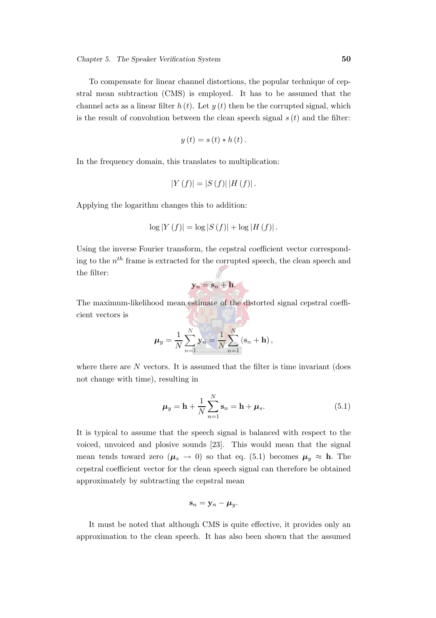$$
y(t) = s(t) * h(t).
$$

is the result of convolution between the clean speech signal  $s(t)$  and the filter:

In the frequency domain, this translates to multiplication:

$$
|Y(f)| = |S(f)| |H(f)|.
$$

Applying the logarithm changes this to addition:

$$
\log |Y(f)| = \log |S(f)| + \log |H(f)|.
$$

Using the inverse Fourier transform, the cepstral coefficient vector corresponding to the  $n^{th}$  frame is extracted for the corrupted speech, the clean speech and the filter:

$$
\mathbf{y}_n = \mathbf{s}_n + \mathbf{h}.
$$

The maximum-likelihood mean estimate of the distorted signal cepstral coefficient vectors is

$$
\boldsymbol{\mu}_y = \frac{1}{N} \sum_{n=1}^N \mathbf{y}_n = \frac{1}{N} \sum_{n=1}^N (\mathbf{s}_n + \mathbf{h}),
$$

where there are  $N$  vectors. It is assumed that the filter is time invariant (does not change with time), resulting in

<span id="page-72-0"></span>
$$
\mu_y = \mathbf{h} + \frac{1}{N} \sum_{n=1}^{N} \mathbf{s}_n = \mathbf{h} + \mu_s.
$$
 (5.1)

It is typical to assume that the speech signal is balanced with respect to the voiced, unvoiced and plosive sounds [\[23](#page-146-0)]. This would mean that the signal mean tends toward zero ( $\mu_s \rightarrow 0$ ) so that eq. [\(5.1\)](#page-72-0) becomes  $\mu_y \approx h$ . The cepstral coefficient vector for the clean speech signal can therefore be obtained approximately by subtracting the cepstral mean

$$
\mathbf{s}_n=\mathbf{y}_n-\boldsymbol{\mu}_y.
$$

It must be noted that although CMS is quite effective, it provides only an approximation to the clean speech. It has also been shown that the assumed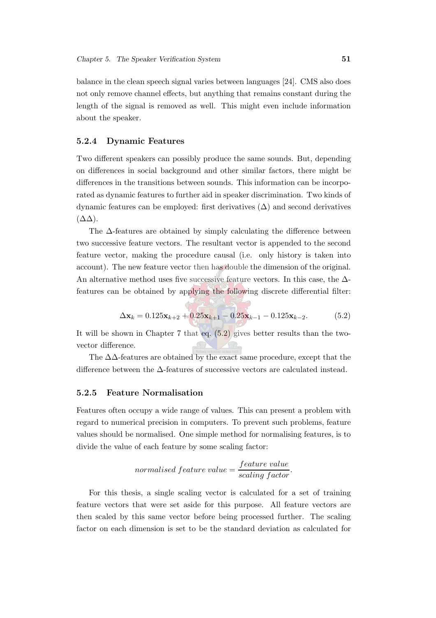balance in the clean speech signal varies between languages [\[24](#page-146-1)]. CMS also does not only remove channel effects, but anything that remains constant during the length of the signal is removed as well. This might even include information about the speaker.

#### 5.2.4 Dynamic Features

Two different speakers can possibly produce the same sounds. But, depending on differences in social background and other similar factors, there might be differences in the transitions between sounds. This information can be incorporated as dynamic features to further aid in speaker discrimination. Two kinds of dynamic features can be employed: first derivatives  $(\Delta)$  and second derivatives  $(\Delta \Delta)$ .

The ∆-features are obtained by simply calculating the difference between two successive feature vectors. The resultant vector is appended to the second feature vector, making the procedure causal (i.e. only history is taken into account). The new feature vector then has double the dimension of the original. An alternative method uses five successive feature vectors. In this case, the  $\Delta$ features can be obtained by applying the following discrete differential filter:

$$
\Delta \mathbf{x}_{k} = 0.125 \mathbf{x}_{k+2} + 0.25 \mathbf{x}_{k+1} - 0.25 \mathbf{x}_{k-1} - 0.125 \mathbf{x}_{k-2}.
$$
 (5.2)

<span id="page-73-0"></span>It will be shown in Chapter [7](#page-98-0) that eq.  $(5.2)$  gives better results than the twovector difference.

The ∆∆-features are obtained by the exact same procedure, except that the difference between the  $\Delta\text{-features}$  of successive vectors are calculated instead.

#### 5.2.5 Feature Normalisation

Features often occupy a wide range of values. This can present a problem with regard to numerical precision in computers. To prevent such problems, feature values should be normalised. One simple method for normalising features, is to divide the value of each feature by some scaling factor:

$$
normalised feature value = \frac{feature\ value}{scaling\ factor}.
$$

For this thesis, a single scaling vector is calculated for a set of training feature vectors that were set aside for this purpose. All feature vectors are then scaled by this same vector before being processed further. The scaling factor on each dimension is set to be the standard deviation as calculated for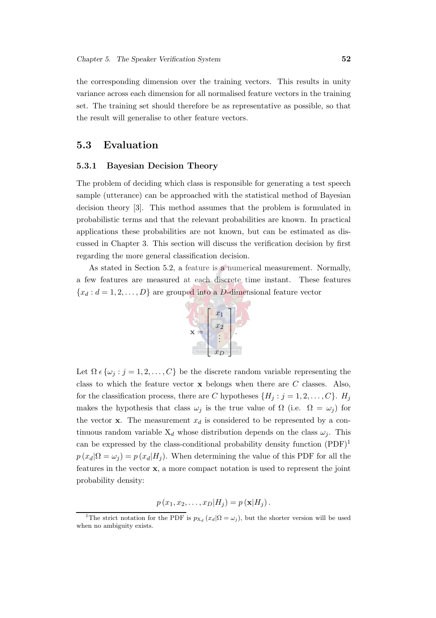the corresponding dimension over the training vectors. This results in unity variance across each dimension for all normalised feature vectors in the training set. The training set should therefore be as representative as possible, so that the result will generalise to other feature vectors.

## <span id="page-74-1"></span>5.3 Evaluation

#### 5.3.1 Bayesian Decision Theory

The problem of deciding which class is responsible for generating a test speech sample (utterance) can be approached with the statistical method of Bayesian decision theory [\[3](#page-144-0)]. This method assumes that the problem is formulated in probabilistic terms and that the relevant probabilities are known. In practical applications these probabilities are not known, but can be estimated as discussed in Chapter [3.](#page-42-0) This section will discuss the verification decision by first regarding the more general classification decision.

As stated in Section [5.2,](#page-68-0) a feature is a numerical measurement. Normally, a few features are measured at each discrete time instant. These features  ${x_d : d = 1, 2, \ldots, D}$  are grouped into a D-dimensional feature vector



Let  $\Omega \in \{\omega_j : j = 1, 2, \ldots, C\}$  be the discrete random variable representing the class to which the feature vector  $\bf{x}$  belongs when there are C classes. Also, for the classification process, there are C hypotheses  $\{H_j : j = 1, 2, \ldots, C\}$ .  $H_j$ makes the hypothesis that class  $\omega_j$  is the true value of  $\Omega$  (i.e.  $\Omega = \omega_j$ ) for the vector **x**. The measurement  $x_d$  is considered to be represented by a continuous random variable  $X_d$  whose distribution depends on the class  $\omega_i$ . This can be expressed by the class-conditional probability density function  $(PDF)^1$  $(PDF)^1$  $p(x_d|\Omega = \omega_i) = p(x_d|H_i)$ . When determining the value of this PDF for all the features in the vector x, a more compact notation is used to represent the joint probability density:

 $p(x_1, x_2,..., x_D|H_i) = p(\mathbf{x}|H_i).$ 

<span id="page-74-0"></span><sup>&</sup>lt;sup>1</sup>The strict notation for the PDF is  $p_{X_d}(x_d|\Omega = \omega_j)$ , but the shorter version will be used when no ambiguity exists.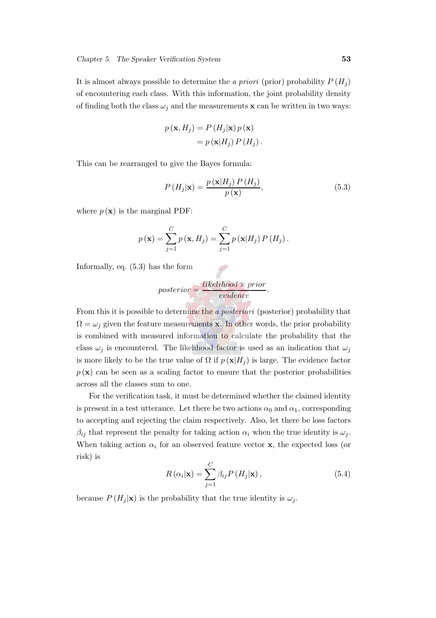It is almost always possible to determine the a priori (prior) probability  $P(H_i)$ of encountering each class. With this information, the joint probability density of finding both the class  $\omega_i$  and the measurements **x** can be written in two ways:

<span id="page-75-0"></span>
$$
p(\mathbf{x}, H_j) = P(H_j | \mathbf{x}) p(\mathbf{x})
$$

$$
= p(\mathbf{x}|H_j) P(H_j).
$$

This can be rearranged to give the Bayes formula:

$$
P\left(H_j|\mathbf{x}\right) = \frac{p\left(\mathbf{x}|H_j\right)P\left(H_j\right)}{p\left(\mathbf{x}\right)},\tag{5.3}
$$

where  $p(\mathbf{x})$  is the marginal PDF:

$$
p(\mathbf{x}) = \sum_{j=1}^{C} p(\mathbf{x}, H_j) = \sum_{j=1}^{C} p(\mathbf{x}|H_j) P(H_j).
$$

Informally, eq. [\(5.3\)](#page-75-0) has the form

$$
posterior = \frac{likelihood \times prior}{evidence}.
$$

From this it is possible to determine the a *posteriori* (posterior) probability that  $\Omega = \omega_i$  given the feature measurements x. In other words, the prior probability is combined with measured information to calculate the probability that the class  $\omega_j$  is encountered. The likelihood factor is used as an indication that  $\omega_j$ is more likely to be the true value of  $\Omega$  if  $p(\mathbf{x}|H_i)$  is large. The evidence factor  $p(\mathbf{x})$  can be seen as a scaling factor to ensure that the posterior probabilities across all the classes sum to one.

<span id="page-75-1"></span>For the verification task, it must be determined whether the claimed identity is present in a test utterance. Let there be two actions  $\alpha_0$  and  $\alpha_1$ , corresponding to accepting and rejecting the claim respectively. Also, let there be loss factors  $\beta_{ij}$  that represent the penalty for taking action  $\alpha_i$  when the true identity is  $\omega_j$ . When taking action  $\alpha_i$  for an observed feature vector **x**, the expected loss (or risk) is

$$
R\left(\alpha_{i}|\mathbf{x}\right) = \sum_{j=1}^{C} \beta_{ij} P\left(H_{j}|\mathbf{x}\right),\tag{5.4}
$$

because  $P(H_i | \mathbf{x})$  is the probability that the true identity is  $\omega_i$ .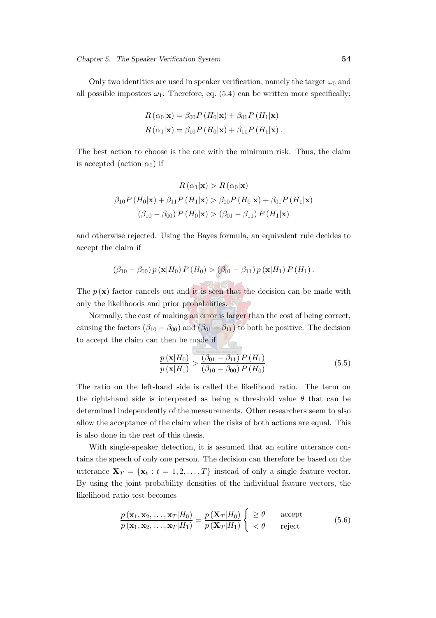Only two identities are used in speaker verification, namely the target  $\omega_0$  and all possible impostors  $\omega_1$ . Therefore, eq. [\(5.4\)](#page-75-1) can be written more specifically:

$$
R(\alpha_0|\mathbf{x}) = \beta_{00} P(H_0|\mathbf{x}) + \beta_{01} P(H_1|\mathbf{x})
$$

$$
R(\alpha_1|\mathbf{x}) = \beta_{10} P(H_0|\mathbf{x}) + \beta_{11} P(H_1|\mathbf{x}).
$$

The best action to choose is the one with the minimum risk. Thus, the claim is accepted (action  $\alpha_0$ ) if

$$
R(\alpha_1|\mathbf{x}) > R(\alpha_0|\mathbf{x})
$$

$$
\beta_{10} P(H_0|\mathbf{x}) + \beta_{11} P(H_1|\mathbf{x}) > \beta_{00} P(H_0|\mathbf{x}) + \beta_{01} P(H_1|\mathbf{x})
$$

$$
(\beta_{10} - \beta_{00}) P(H_0|\mathbf{x}) > (\beta_{01} - \beta_{11}) P(H_1|\mathbf{x})
$$

and otherwise rejected. Using the Bayes formula, an equivalent rule decides to accept the claim if

$$
(\beta_{10}-\beta_{00}) p(\mathbf{x}|H_0) P(H_0) > (\beta_{01}-\beta_{11}) p(\mathbf{x}|H_1) P(H_1).
$$

The  $p(\mathbf{x})$  factor cancels out and it is seen that the decision can be made with only the likelihoods and prior probabilities.

Normally, the cost of making an error is larger than the cost of being correct, causing the factors  $(\beta_{10} - \beta_{00})$  and  $(\beta_{01} - \beta_{11})$  to both be positive. The decision to accept the claim can then be made if

$$
\frac{p(\mathbf{x}|H_0)}{p(\mathbf{x}|H_1)} > \frac{(\beta_{01} - \beta_{11}) P(H_1)}{(\beta_{10} - \beta_{00}) P(H_0)}.
$$
\n(5.5)

The ratio on the left-hand side is called the likelihood ratio. The term on the right-hand side is interpreted as being a threshold value  $\theta$  that can be determined independently of the measurements. Other researchers seem to also allow the acceptance of the claim when the risks of both actions are equal. This is also done in the rest of this thesis.

With single-speaker detection, it is assumed that an entire utterance contains the speech of only one person. The decision can therefore be based on the utterance  $\mathbf{X}_T = \{\mathbf{x}_t : t = 1, 2, ..., T\}$  instead of only a single feature vector. By using the joint probability densities of the individual feature vectors, the likelihood ratio test becomes

$$
\frac{p(\mathbf{x}_1, \mathbf{x}_2, \dots, \mathbf{x}_T | H_0)}{p(\mathbf{x}_1, \mathbf{x}_2, \dots, \mathbf{x}_T | H_1)} = \frac{p(\mathbf{X}_T | H_0)}{p(\mathbf{X}_T | H_1)} \begin{cases} \geq \theta & \text{accept} \\ < \theta & \text{reject} \end{cases}
$$
(5.6)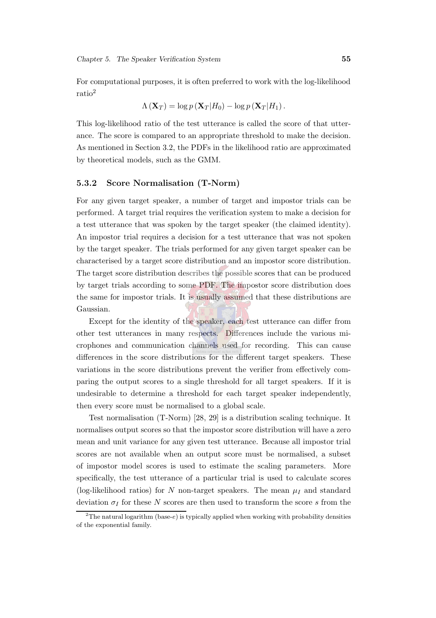For computational purposes, it is often preferred to work with the log-likelihood ratio[2](#page-77-0)

$$
\Lambda\left(\mathbf{X}_{T}\right)=\log p\left(\mathbf{X}_{T}|H_{0}\right)-\log p\left(\mathbf{X}_{T}|H_{1}\right).
$$

This log-likelihood ratio of the test utterance is called the score of that utterance. The score is compared to an appropriate threshold to make the decision. As mentioned in Section [3.2,](#page-42-1) the PDFs in the likelihood ratio are approximated by theoretical models, such as the GMM.

#### 5.3.2 Score Normalisation (T-Norm)

For any given target speaker, a number of target and impostor trials can be performed. A target trial requires the verification system to make a decision for a test utterance that was spoken by the target speaker (the claimed identity). An impostor trial requires a decision for a test utterance that was not spoken by the target speaker. The trials performed for any given target speaker can be characterised by a target score distribution and an impostor score distribution. The target score distribution describes the possible scores that can be produced by target trials according to some PDF. The impostor score distribution does the same for impostor trials. It is usually assumed that these distributions are Gaussian.

Except for the identity of the speaker, each test utterance can differ from other test utterances in many respects. Differences include the various microphones and communication channels used for recording. This can cause differences in the score distributions for the different target speakers. These variations in the score distributions prevent the verifier from effectively comparing the output scores to a single threshold for all target speakers. If it is undesirable to determine a threshold for each target speaker independently, then every score must be normalised to a global scale.

Test normalisation (T-Norm) [\[28](#page-146-2), [29\]](#page-146-3) is a distribution scaling technique. It normalises output scores so that the impostor score distribution will have a zero mean and unit variance for any given test utterance. Because all impostor trial scores are not available when an output score must be normalised, a subset of impostor model scores is used to estimate the scaling parameters. More specifically, the test utterance of a particular trial is used to calculate scores (log-likelihood ratios) for N non-target speakers. The mean  $\mu_I$  and standard deviation  $\sigma_I$  for these N scores are then used to transform the score s from the

<span id="page-77-0"></span><sup>&</sup>lt;sup>2</sup>The natural logarithm (base-e) is typically applied when working with probability densities of the exponential family.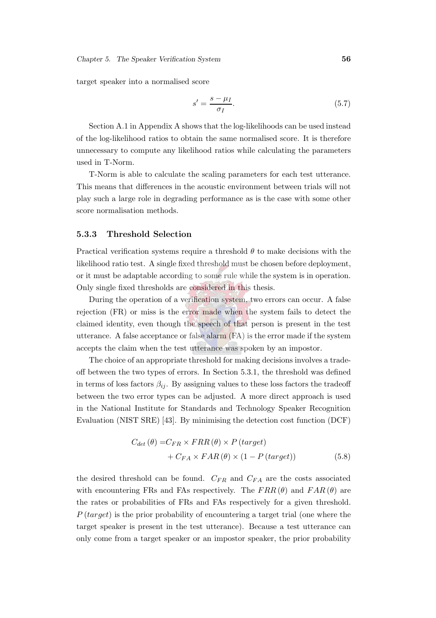target speaker into a normalised score

$$
s' = \frac{s - \mu_I}{\sigma_I}.\tag{5.7}
$$

Section [A.1](#page-149-0) in Appendix [A](#page-149-1) shows that the log-likelihoods can be used instead of the log-likelihood ratios to obtain the same normalised score. It is therefore unnecessary to compute any likelihood ratios while calculating the parameters used in T-Norm.

T-Norm is able to calculate the scaling parameters for each test utterance. This means that differences in the acoustic environment between trials will not play such a large role in degrading performance as is the case with some other score normalisation methods.

#### 5.3.3 Threshold Selection

Practical verification systems require a threshold  $\theta$  to make decisions with the likelihood ratio test. A single fixed threshold must be chosen before deployment, or it must be adaptable according to some rule while the system is in operation. Only single fixed thresholds are considered in this thesis.

During the operation of a verification system, two errors can occur. A false rejection (FR) or miss is the error made when the system fails to detect the claimed identity, even though the speech of that person is present in the test utterance. A false acceptance or false alarm (FA) is the error made if the system accepts the claim when the test utterance was spoken by an impostor.

The choice of an appropriate threshold for making decisions involves a tradeoff between the two types of errors. In Section [5.3.1,](#page-74-1) the threshold was defined in terms of loss factors  $\beta_{ij}$ . By assigning values to these loss factors the tradeoff between the two error types can be adjusted. A more direct approach is used in the National Institute for Standards and Technology Speaker Recognition Evaluation (NIST SRE) [\[43](#page-148-0)]. By minimising the detection cost function (DCF)

$$
C_{det}(\theta) = C_{FR} \times FRR(\theta) \times P \left( target \right)
$$
  
+ 
$$
C_{FA} \times FAR(\theta) \times (1 - P \left( target \right))
$$
 (5.8)

the desired threshold can be found.  $C_{FR}$  and  $C_{FA}$  are the costs associated with encountering FRs and FAs respectively. The  $FRR(\theta)$  and  $FAR(\theta)$  are the rates or probabilities of FRs and FAs respectively for a given threshold.  $P$  (target) is the prior probability of encountering a target trial (one where the target speaker is present in the test utterance). Because a test utterance can only come from a target speaker or an impostor speaker, the prior probability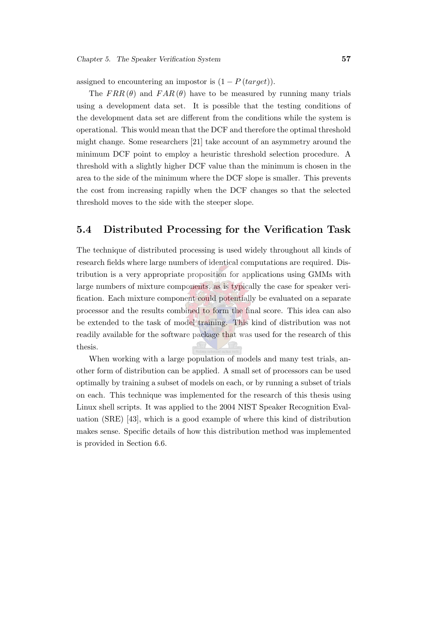assigned to encountering an impostor is  $(1 - P(target))$ .

The  $FRR(\theta)$  and  $FAR(\theta)$  have to be measured by running many trials using a development data set. It is possible that the testing conditions of the development data set are different from the conditions while the system is operational. This would mean that the DCF and therefore the optimal threshold might change. Some researchers [\[21\]](#page-146-4) take account of an asymmetry around the minimum DCF point to employ a heuristic threshold selection procedure. A threshold with a slightly higher DCF value than the minimum is chosen in the area to the side of the minimum where the DCF slope is smaller. This prevents the cost from increasing rapidly when the DCF changes so that the selected threshold moves to the side with the steeper slope.

## 5.4 Distributed Processing for the Verification Task

The technique of distributed processing is used widely throughout all kinds of research fields where large numbers of identical computations are required. Distribution is a very appropriate proposition for applications using GMMs with large numbers of mixture components, as is typically the case for speaker verification. Each mixture component could potentially be evaluated on a separate processor and the results combined to form the final score. This idea can also be extended to the task of model training. This kind of distribution was not readily available for the software package that was used for the research of this thesis.

When working with a large population of models and many test trials, another form of distribution can be applied. A small set of processors can be used optimally by training a subset of models on each, or by running a subset of trials on each. This technique was implemented for the research of this thesis using Linux shell scripts. It was applied to the 2004 NIST Speaker Recognition Evaluation (SRE) [\[43](#page-148-0)], which is a good example of where this kind of distribution makes sense. Specific details of how this distribution method was implemented is provided in Section [6.6.](#page-95-0)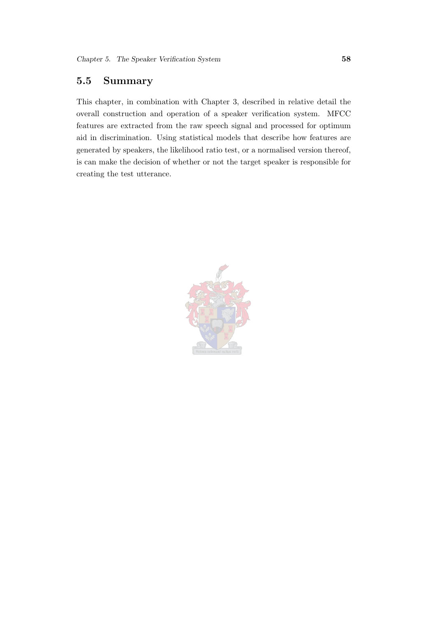# 5.5 Summary

This chapter, in combination with Chapter [3,](#page-42-0) described in relative detail the overall construction and operation of a speaker verification system. MFCC features are extracted from the raw speech signal and processed for optimum aid in discrimination. Using statistical models that describe how features are generated by speakers, the likelihood ratio test, or a normalised version thereof, is can make the decision of whether or not the target speaker is responsible for creating the test utterance.

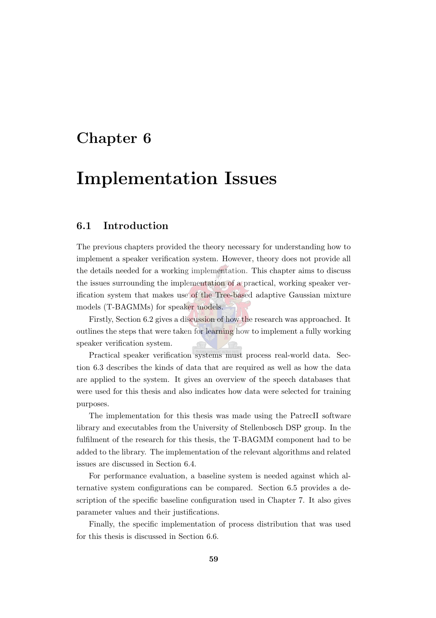# Chapter 6

# Implementation Issues

## 6.1 Introduction

The previous chapters provided the theory necessary for understanding how to implement a speaker verification system. However, theory does not provide all the details needed for a working implementation. This chapter aims to discuss the issues surrounding the implementation of a practical, working speaker verification system that makes use of the Tree-based adaptive Gaussian mixture models (T-BAGMMs) for speaker models.

Firstly, Section [6.2](#page-82-0) gives a discussion of how the research was approached. It outlines the steps that were taken for learning how to implement a fully working speaker verification system.

Practical speaker verification systems must process real-world data. Section [6.3](#page-83-0) describes the kinds of data that are required as well as how the data are applied to the system. It gives an overview of the speech databases that were used for this thesis and also indicates how data were selected for training purposes.

The implementation for this thesis was made using the PatrecII software library and executables from the University of Stellenbosch DSP group. In the fulfilment of the research for this thesis, the T-BAGMM component had to be added to the library. The implementation of the relevant algorithms and related issues are discussed in Section [6.4.](#page-89-0)

For performance evaluation, a baseline system is needed against which alternative system configurations can be compared. Section [6.5](#page-93-0) provides a description of the specific baseline configuration used in Chapter [7.](#page-98-0) It also gives parameter values and their justifications.

Finally, the specific implementation of process distribution that was used for this thesis is discussed in Section [6.6.](#page-95-0)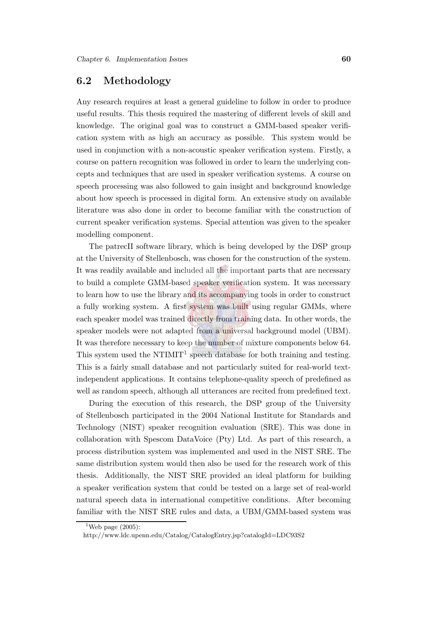# <span id="page-82-0"></span>6.2 Methodology

Any research requires at least a general guideline to follow in order to produce useful results. This thesis required the mastering of different levels of skill and knowledge. The original goal was to construct a GMM-based speaker verification system with as high an accuracy as possible. This system would be used in conjunction with a non-acoustic speaker verification system. Firstly, a course on pattern recognition was followed in order to learn the underlying concepts and techniques that are used in speaker verification systems. A course on speech processing was also followed to gain insight and background knowledge about how speech is processed in digital form. An extensive study on available literature was also done in order to become familiar with the construction of current speaker verification systems. Special attention was given to the speaker modelling component.

The patrecII software library, which is being developed by the DSP group at the University of Stellenbosch, was chosen for the construction of the system. It was readily available and included all the important parts that are necessary to build a complete GMM-based speaker verification system. It was necessary to learn how to use the library and its accompanying tools in order to construct a fully working system. A first system was built using regular GMMs, where each speaker model was trained directly from training data. In other words, the speaker models were not adapted from a universal background model (UBM). It was therefore necessary to keep the number of mixture components below 64. This system used the NTIMIT<sup>[1](#page-82-1)</sup> speech database for both training and testing. This is a fairly small database and not particularly suited for real-world textindependent applications. It contains telephone-quality speech of predefined as well as random speech, although all utterances are recited from predefined text.

During the execution of this research, the DSP group of the University of Stellenbosch participated in the 2004 National Institute for Standards and Technology (NIST) speaker recognition evaluation (SRE). This was done in collaboration with Spescom DataVoice (Pty) Ltd. As part of this research, a process distribution system was implemented and used in the NIST SRE. The same distribution system would then also be used for the research work of this thesis. Additionally, the NIST SRE provided an ideal platform for building a speaker verification system that could be tested on a large set of real-world natural speech data in international competitive conditions. After becoming familiar with the NIST SRE rules and data, a UBM/GMM-based system was

<span id="page-82-1"></span><sup>&</sup>lt;sup>1</sup>Web page  $(2005)$ :

http://www.ldc.upenn.edu/Catalog/CatalogEntry.jsp?catalogId=LDC93S2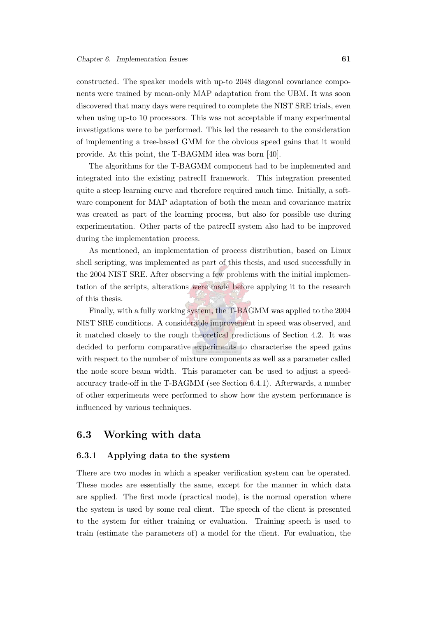constructed. The speaker models with up-to 2048 diagonal covariance components were trained by mean-only MAP adaptation from the UBM. It was soon discovered that many days were required to complete the NIST SRE trials, even when using up-to 10 processors. This was not acceptable if many experimental investigations were to be performed. This led the research to the consideration of implementing a tree-based GMM for the obvious speed gains that it would provide. At this point, the T-BAGMM idea was born [\[40\]](#page-148-1).

The algorithms for the T-BAGMM component had to be implemented and integrated into the existing patrecII framework. This integration presented quite a steep learning curve and therefore required much time. Initially, a software component for MAP adaptation of both the mean and covariance matrix was created as part of the learning process, but also for possible use during experimentation. Other parts of the patrecII system also had to be improved during the implementation process.

As mentioned, an implementation of process distribution, based on Linux shell scripting, was implemented as part of this thesis, and used successfully in the 2004 NIST SRE. After observing a few problems with the initial implementation of the scripts, alterations were made before applying it to the research of this thesis.

Finally, with a fully working system, the T-BAGMM was applied to the 2004 NIST SRE conditions. A considerable improvement in speed was observed, and it matched closely to the rough theoretical predictions of Section [4.2.](#page-59-0) It was decided to perform comparative experiments to characterise the speed gains with respect to the number of mixture components as well as a parameter called the node score beam width. This parameter can be used to adjust a speedaccuracy trade-off in the T-BAGMM (see Section [6.4.1\)](#page-89-1). Afterwards, a number of other experiments were performed to show how the system performance is influenced by various techniques.

# <span id="page-83-0"></span>6.3 Working with data

#### 6.3.1 Applying data to the system

There are two modes in which a speaker verification system can be operated. These modes are essentially the same, except for the manner in which data are applied. The first mode (practical mode), is the normal operation where the system is used by some real client. The speech of the client is presented to the system for either training or evaluation. Training speech is used to train (estimate the parameters of) a model for the client. For evaluation, the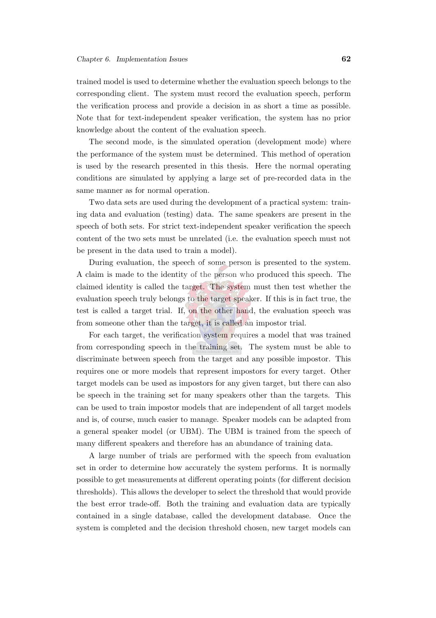trained model is used to determine whether the evaluation speech belongs to the corresponding client. The system must record the evaluation speech, perform the verification process and provide a decision in as short a time as possible. Note that for text-independent speaker verification, the system has no prior knowledge about the content of the evaluation speech.

The second mode, is the simulated operation (development mode) where the performance of the system must be determined. This method of operation is used by the research presented in this thesis. Here the normal operating conditions are simulated by applying a large set of pre-recorded data in the same manner as for normal operation.

Two data sets are used during the development of a practical system: training data and evaluation (testing) data. The same speakers are present in the speech of both sets. For strict text-independent speaker verification the speech content of the two sets must be unrelated (i.e. the evaluation speech must not be present in the data used to train a model).

During evaluation, the speech of some person is presented to the system. A claim is made to the identity of the person who produced this speech. The claimed identity is called the target. The system must then test whether the evaluation speech truly belongs to the target speaker. If this is in fact true, the test is called a target trial. If, on the other hand, the evaluation speech was from someone other than the target, it is called an impostor trial.

For each target, the verification system requires a model that was trained from corresponding speech in the training set. The system must be able to discriminate between speech from the target and any possible impostor. This requires one or more models that represent impostors for every target. Other target models can be used as impostors for any given target, but there can also be speech in the training set for many speakers other than the targets. This can be used to train impostor models that are independent of all target models and is, of course, much easier to manage. Speaker models can be adapted from a general speaker model (or UBM). The UBM is trained from the speech of many different speakers and therefore has an abundance of training data.

A large number of trials are performed with the speech from evaluation set in order to determine how accurately the system performs. It is normally possible to get measurements at different operating points (for different decision thresholds). This allows the developer to select the threshold that would provide the best error trade-off. Both the training and evaluation data are typically contained in a single database, called the development database. Once the system is completed and the decision threshold chosen, new target models can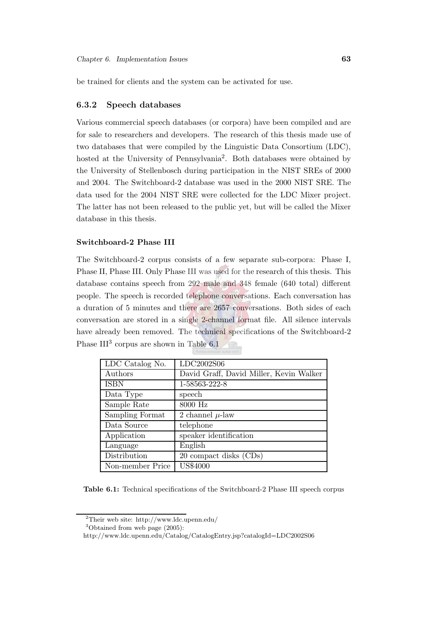be trained for clients and the system can be activated for use.

#### 6.3.2 Speech databases

Various commercial speech databases (or corpora) have been compiled and are for sale to researchers and developers. The research of this thesis made use of two databases that were compiled by the Linguistic Data Consortium (LDC), hosted at the University of Pennsylvania<sup>[2](#page-85-0)</sup>. Both databases were obtained by the University of Stellenbosch during participation in the NIST SREs of 2000 and 2004. The Switchboard-2 database was used in the 2000 NIST SRE. The data used for the 2004 NIST SRE were collected for the LDC Mixer project. The latter has not been released to the public yet, but will be called the Mixer database in this thesis.

#### Switchboard-2 Phase III

The Switchboard-2 corpus consists of a few separate sub-corpora: Phase I, Phase II, Phase III. Only Phase III was used for the research of this thesis. This database contains speech from 292 male and 348 female (640 total) different people. The speech is recorded telephone conversations. Each conversation has a duration of 5 minutes and there are 2657 conversations. Both sides of each conversation are stored in a single 2-channel format file. All silence intervals have already been removed. The technical specifications of the Switchboard-2 Phase III<sup>[3](#page-85-1)</sup> corpus are shown in Table [6.1](#page-85-2)

| LDC Catalog No.  | LDC2002S06                              |
|------------------|-----------------------------------------|
| Authors          | David Graff, David Miller, Kevin Walker |
| <b>ISBN</b>      | 1-58563-222-8                           |
| Data Type        | speech                                  |
| Sample Rate      | 8000 Hz                                 |
| Sampling Format  | 2 channel $\mu$ -law                    |
| Data Source      | telephone                               |
| Application      | speaker identification                  |
| Language         | English                                 |
| Distribution     | 20 compact disks (CDs)                  |
| Non-member Price | <b>US\$4000</b>                         |

<span id="page-85-2"></span>Table 6.1: Technical specifications of the Switchboard-2 Phase III speech corpus

<sup>2</sup>Their web site: http://www.ldc.upenn.edu/

<span id="page-85-0"></span> $3$ Obtained from web page  $(2005)$ :

<span id="page-85-1"></span>http://www.ldc.upenn.edu/Catalog/CatalogEntry.jsp?catalogId=LDC2002S06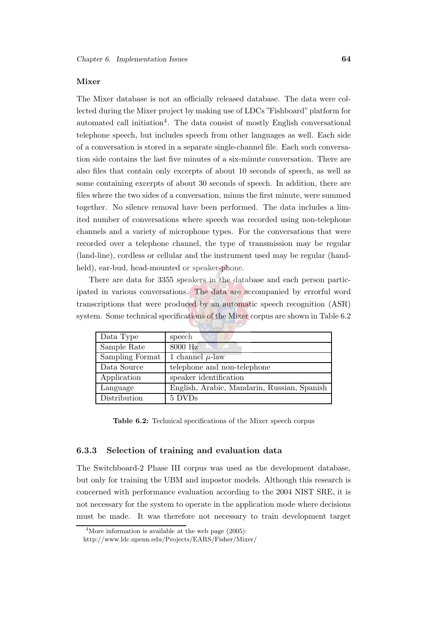#### Mixer

The Mixer database is not an officially released database. The data were collected during the Mixer project by making use of LDCs "Fishboard" platform for automated call initiation<sup>[4](#page-86-0)</sup>. The data consist of mostly English conversational telephone speech, but includes speech from other languages as well. Each side of a conversation is stored in a separate single-channel file. Each such conversation side contains the last five minutes of a six-minute conversation. There are also files that contain only excerpts of about 10 seconds of speech, as well as some containing excerpts of about 30 seconds of speech. In addition, there are files where the two sides of a conversation, minus the first minute, were summed together. No silence removal have been performed. The data includes a limited number of conversations where speech was recorded using non-telephone channels and a variety of microphone types. For the conversations that were recorded over a telephone channel, the type of transmission may be regular (land-line), cordless or cellular and the instrument used may be regular (handheld), ear-bud, head-mounted or speaker-phone.

There are data for 3355 speakers in the database and each person participated in various conversations. The data are accompanied by errorful word transcriptions that were produced by an automatic speech recognition (ASR) system. Some technical specifications of the Mixer corpus are shown in Table [6.2](#page-86-1)

| Data Type       | speech                                      |  |  |
|-----------------|---------------------------------------------|--|--|
| Sample Rate     | 8000 Hz                                     |  |  |
| Sampling Format | 1 channel $\mu$ -law                        |  |  |
| Data Source     | telephone and non-telephone                 |  |  |
| Application     | speaker identification                      |  |  |
| Language        | English, Arabic, Mandarin, Russian, Spanish |  |  |
| Distribution    | 5 DVDs                                      |  |  |

<span id="page-86-1"></span>Table 6.2: Technical specifications of the Mixer speech corpus

#### <span id="page-86-2"></span>6.3.3 Selection of training and evaluation data

The Switchboard-2 Phase III corpus was used as the development database, but only for training the UBM and impostor models. Although this research is concerned with performance evaluation according to the 2004 NIST SRE, it is not necessary for the system to operate in the application mode where decisions must be made. It was therefore not necessary to train development target

<sup>&</sup>lt;sup>4</sup>More information is available at the web page  $(2005)$ :

<span id="page-86-0"></span>http://www.ldc.upenn.edu/Projects/EARS/Fisher/Mixer/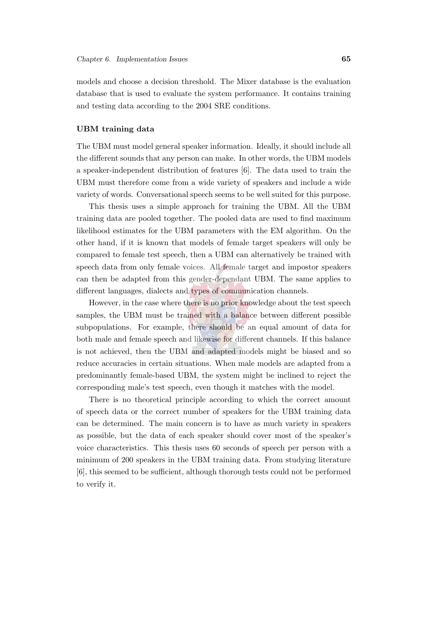models and choose a decision threshold. The Mixer database is the evaluation database that is used to evaluate the system performance. It contains training and testing data according to the 2004 SRE conditions.

#### UBM training data

The UBM must model general speaker information. Ideally, it should include all the different sounds that any person can make. In other words, the UBM models a speaker-independent distribution of features [\[6](#page-144-1)]. The data used to train the UBM must therefore come from a wide variety of speakers and include a wide variety of words. Conversational speech seems to be well suited for this purpose.

This thesis uses a simple approach for training the UBM. All the UBM training data are pooled together. The pooled data are used to find maximum likelihood estimates for the UBM parameters with the EM algorithm. On the other hand, if it is known that models of female target speakers will only be compared to female test speech, then a UBM can alternatively be trained with speech data from only female voices. All female target and impostor speakers can then be adapted from this gender-dependant UBM. The same applies to different languages, dialects and types of communication channels.

However, in the case where there is no prior knowledge about the test speech samples, the UBM must be trained with a balance between different possible subpopulations. For example, there should be an equal amount of data for both male and female speech and likewise for different channels. If this balance is not achieved, then the UBM and adapted models might be biased and so reduce accuracies in certain situations. When male models are adapted from a predominantly female-based UBM, the system might be inclined to reject the corresponding male's test speech, even though it matches with the model.

There is no theoretical principle according to which the correct amount of speech data or the correct number of speakers for the UBM training data can be determined. The main concern is to have as much variety in speakers as possible, but the data of each speaker should cover most of the speaker's voice characteristics. This thesis uses 60 seconds of speech per person with a minimum of 200 speakers in the UBM training data. From studying literature [\[6\]](#page-144-1), this seemed to be sufficient, although thorough tests could not be performed to verify it.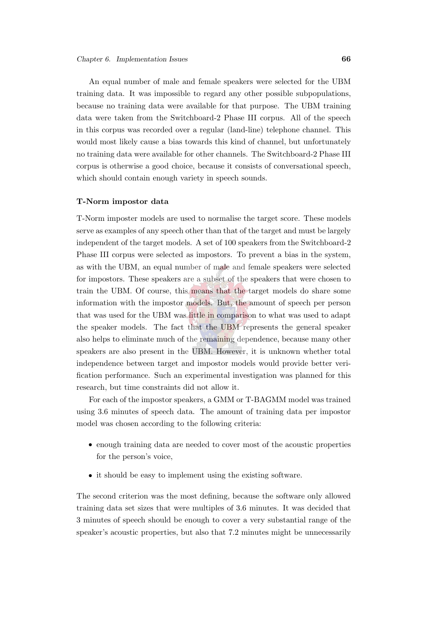An equal number of male and female speakers were selected for the UBM training data. It was impossible to regard any other possible subpopulations, because no training data were available for that purpose. The UBM training data were taken from the Switchboard-2 Phase III corpus. All of the speech in this corpus was recorded over a regular (land-line) telephone channel. This would most likely cause a bias towards this kind of channel, but unfortunately no training data were available for other channels. The Switchboard-2 Phase III corpus is otherwise a good choice, because it consists of conversational speech, which should contain enough variety in speech sounds.

#### T-Norm impostor data

T-Norm imposter models are used to normalise the target score. These models serve as examples of any speech other than that of the target and must be largely independent of the target models. A set of 100 speakers from the Switchboard-2 Phase III corpus were selected as impostors. To prevent a bias in the system, as with the UBM, an equal number of male and female speakers were selected for impostors. These speakers are a subset of the speakers that were chosen to train the UBM. Of course, this means that the target models do share some information with the impostor models. But, the amount of speech per person that was used for the UBM was little in comparison to what was used to adapt the speaker models. The fact that the UBM represents the general speaker also helps to eliminate much of the remaining dependence, because many other speakers are also present in the UBM. However, it is unknown whether total independence between target and impostor models would provide better verification performance. Such an experimental investigation was planned for this research, but time constraints did not allow it.

For each of the impostor speakers, a GMM or T-BAGMM model was trained using 3.6 minutes of speech data. The amount of training data per impostor model was chosen according to the following criteria:

- enough training data are needed to cover most of the acoustic properties for the person's voice,
- it should be easy to implement using the existing software.

The second criterion was the most defining, because the software only allowed training data set sizes that were multiples of 3.6 minutes. It was decided that 3 minutes of speech should be enough to cover a very substantial range of the speaker's acoustic properties, but also that 7.2 minutes might be unnecessarily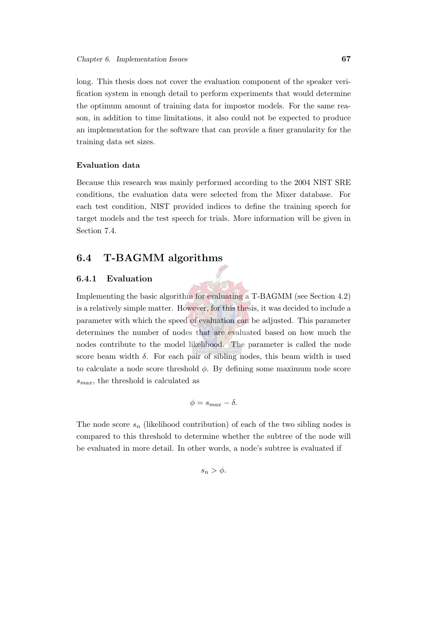long. This thesis does not cover the evaluation component of the speaker verification system in enough detail to perform experiments that would determine the optimum amount of training data for impostor models. For the same reason, in addition to time limitations, it also could not be expected to produce an implementation for the software that can provide a finer granularity for the training data set sizes.

#### Evaluation data

Because this research was mainly performed according to the 2004 NIST SRE conditions, the evaluation data were selected from the Mixer database. For each test condition, NIST provided indices to define the training speech for target models and the test speech for trials. More information will be given in Section [7.4.](#page-102-0)

## <span id="page-89-1"></span><span id="page-89-0"></span>6.4 T-BAGMM algorithms

#### 6.4.1 Evaluation

Implementing the basic algorithm for evaluating a T-BAGMM (see Section [4.2\)](#page-59-0) is a relatively simple matter. However, for this thesis, it was decided to include a parameter with which the speed of evaluation can be adjusted. This parameter determines the number of nodes that are evaluated based on how much the nodes contribute to the model likelihood. The parameter is called the node score beam width  $\delta$ . For each pair of sibling nodes, this beam width is used to calculate a node score threshold  $\phi$ . By defining some maximum node score  $s_{max}$ , the threshold is calculated as

$$
\phi = s_{max} - \delta.
$$

The node score  $s_n$  (likelihood contribution) of each of the two sibling nodes is compared to this threshold to determine whether the subtree of the node will be evaluated in more detail. In other words, a node's subtree is evaluated if

 $s_n > \phi$ .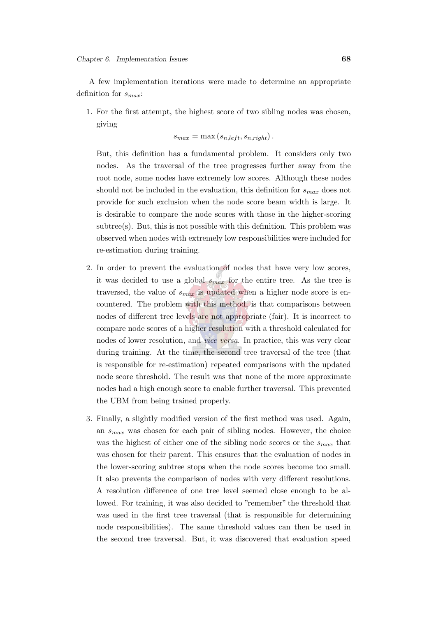A few implementation iterations were made to determine an appropriate definition for  $s_{max}$ :

1. For the first attempt, the highest score of two sibling nodes was chosen, giving

$$
s_{max} = \max(s_{n, left}, s_{n, right}).
$$

But, this definition has a fundamental problem. It considers only two nodes. As the traversal of the tree progresses further away from the root node, some nodes have extremely low scores. Although these nodes should not be included in the evaluation, this definition for  $s_{max}$  does not provide for such exclusion when the node score beam width is large. It is desirable to compare the node scores with those in the higher-scoring subtree(s). But, this is not possible with this definition. This problem was observed when nodes with extremely low responsibilities were included for re-estimation during training.

- 2. In order to prevent the evaluation of nodes that have very low scores, it was decided to use a global  $s_{max}$  for the entire tree. As the tree is traversed, the value of  $s_{max}$  is updated when a higher node score is encountered. The problem with this method, is that comparisons between nodes of different tree levels are not appropriate (fair). It is incorrect to compare node scores of a higher resolution with a threshold calculated for nodes of lower resolution, and *vice versa*. In practice, this was very clear during training. At the time, the second tree traversal of the tree (that is responsible for re-estimation) repeated comparisons with the updated node score threshold. The result was that none of the more approximate nodes had a high enough score to enable further traversal. This prevented the UBM from being trained properly.
- 3. Finally, a slightly modified version of the first method was used. Again, an  $s_{max}$  was chosen for each pair of sibling nodes. However, the choice was the highest of either one of the sibling node scores or the  $s_{max}$  that was chosen for their parent. This ensures that the evaluation of nodes in the lower-scoring subtree stops when the node scores become too small. It also prevents the comparison of nodes with very different resolutions. A resolution difference of one tree level seemed close enough to be allowed. For training, it was also decided to "remember" the threshold that was used in the first tree traversal (that is responsible for determining node responsibilities). The same threshold values can then be used in the second tree traversal. But, it was discovered that evaluation speed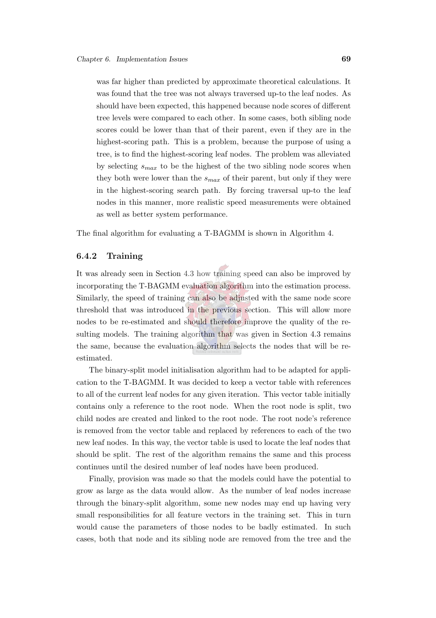was far higher than predicted by approximate theoretical calculations. It was found that the tree was not always traversed up-to the leaf nodes. As should have been expected, this happened because node scores of different tree levels were compared to each other. In some cases, both sibling node scores could be lower than that of their parent, even if they are in the highest-scoring path. This is a problem, because the purpose of using a tree, is to find the highest-scoring leaf nodes. The problem was alleviated by selecting  $s_{max}$  to be the highest of the two sibling node scores when they both were lower than the  $s_{max}$  of their parent, but only if they were in the highest-scoring search path. By forcing traversal up-to the leaf nodes in this manner, more realistic speed measurements were obtained as well as better system performance.

The final algorithm for evaluating a T-BAGMM is shown in Algorithm [4.](#page-92-0)

#### 6.4.2 Training

It was already seen in Section [4.3](#page-64-0) how training speed can also be improved by incorporating the T-BAGMM evaluation algorithm into the estimation process. Similarly, the speed of training can also be adjusted with the same node score threshold that was introduced in the previous section. This will allow more nodes to be re-estimated and should therefore improve the quality of the re-sulting models. The training algorithm that was given in Section [4.3](#page-64-0) remains the same, because the evaluation algorithm selects the nodes that will be reestimated.

The binary-split model initialisation algorithm had to be adapted for application to the T-BAGMM. It was decided to keep a vector table with references to all of the current leaf nodes for any given iteration. This vector table initially contains only a reference to the root node. When the root node is split, two child nodes are created and linked to the root node. The root node's reference is removed from the vector table and replaced by references to each of the two new leaf nodes. In this way, the vector table is used to locate the leaf nodes that should be split. The rest of the algorithm remains the same and this process continues until the desired number of leaf nodes have been produced.

Finally, provision was made so that the models could have the potential to grow as large as the data would allow. As the number of leaf nodes increase through the binary-split algorithm, some new nodes may end up having very small responsibilities for all feature vectors in the training set. This in turn would cause the parameters of those nodes to be badly estimated. In such cases, both that node and its sibling node are removed from the tree and the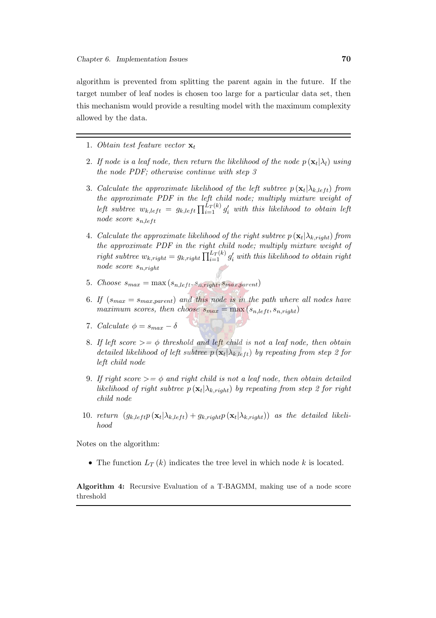algorithm is prevented from splitting the parent again in the future. If the target number of leaf nodes is chosen too large for a particular data set, then this mechanism would provide a resulting model with the maximum complexity allowed by the data.

- 1. Obtain test feature vector  $\mathbf{x}_t$
- 2. If node is a leaf node, then return the likelihood of the node  $p\left(\mathbf{x}_t | \lambda_l\right)$  using the node PDF; otherwise continue with step 3
- 3. Calculate the approximate likelihood of the left subtree  $p(\mathbf{x}_t | \lambda_{k,left})$  from the approximate PDF in the left child node; multiply mixture weight of left subtree  $w_{k, left} = g_{k, left} \prod_{i=1}^{L_T(k)} g'_i$  with this likelihood to obtain left node score  $s_{n, left}$
- 4. Calculate the approximate likelihood of the right subtree  $p\left(\mathbf{x}_t | \lambda_{k, right}\right)$  from the approximate PDF in the right child node; multiply mixture weight of right subtree  $w_{k, right} = g_{k, right} \prod_{i=1}^{L_T(k)} g'_i$  with this likelihood to obtain right node score  $s_{n, right}$
- 5. Choose  $s_{max} = \max(s_{n, left}, s_{n, right}, s_{max, parent})$
- 6. If  $(s_{max} = s_{max,parent})$  and this node is in the path where all nodes have maximum scores, then choose  $s_{max} = \max(s_{n, left}, s_{n, right})$
- 7. Calculate  $\phi = s_{max} \delta$
- 8. If left score  $\geq$   $=$   $\phi$  threshold and left child is not a leaf node, then obtain detailed likelihood of left subtree  $p(\mathbf{x}_t | \lambda_{k,lef})$  by repeating from step 2 for left child node
- 9. If right score  $\geq$  =  $\phi$  and right child is not a leaf node, then obtain detailed likelihood of right subtree  $p\left(\mathbf{x}_t | \lambda_{k, right}\right)$  by repeating from step 2 for right child node
- 10. return  $(g_{k, left} p(\mathbf{x}_t | \lambda_{k, left}) + g_{k, right} p(\mathbf{x}_t | \lambda_{k, right}))$  as the detailed likelihood

Notes on the algorithm:

• The function  $L_T(k)$  indicates the tree level in which node k is located.

<span id="page-92-0"></span>Algorithm 4: Recursive Evaluation of a T-BAGMM, making use of a node score threshold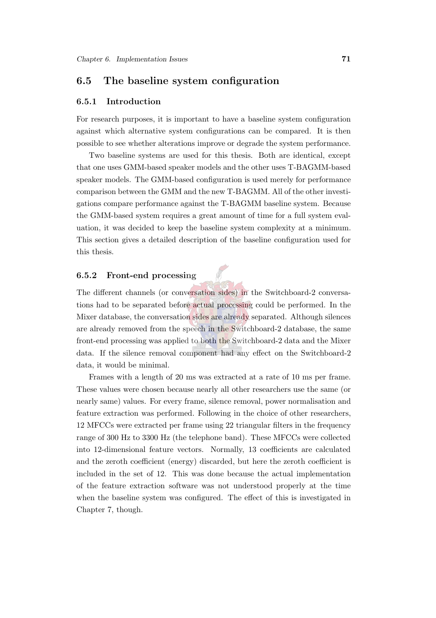## <span id="page-93-0"></span>6.5 The baseline system configuration

#### 6.5.1 Introduction

For research purposes, it is important to have a baseline system configuration against which alternative system configurations can be compared. It is then possible to see whether alterations improve or degrade the system performance.

Two baseline systems are used for this thesis. Both are identical, except that one uses GMM-based speaker models and the other uses T-BAGMM-based speaker models. The GMM-based configuration is used merely for performance comparison between the GMM and the new T-BAGMM. All of the other investigations compare performance against the T-BAGMM baseline system. Because the GMM-based system requires a great amount of time for a full system evaluation, it was decided to keep the baseline system complexity at a minimum. This section gives a detailed description of the baseline configuration used for this thesis.

#### 6.5.2 Front-end processing

The different channels (or conversation sides) in the Switchboard-2 conversations had to be separated before actual processing could be performed. In the Mixer database, the conversation sides are already separated. Although silences are already removed from the speech in the Switchboard-2 database, the same front-end processing was applied to both the Switchboard-2 data and the Mixer data. If the silence removal component had any effect on the Switchboard-2 data, it would be minimal.

Frames with a length of 20 ms was extracted at a rate of 10 ms per frame. These values were chosen because nearly all other researchers use the same (or nearly same) values. For every frame, silence removal, power normalisation and feature extraction was performed. Following in the choice of other researchers, 12 MFCCs were extracted per frame using 22 triangular filters in the frequency range of 300 Hz to 3300 Hz (the telephone band). These MFCCs were collected into 12-dimensional feature vectors. Normally, 13 coefficients are calculated and the zeroth coefficient (energy) discarded, but here the zeroth coefficient is included in the set of 12. This was done because the actual implementation of the feature extraction software was not understood properly at the time when the baseline system was configured. The effect of this is investigated in Chapter [7,](#page-98-0) though.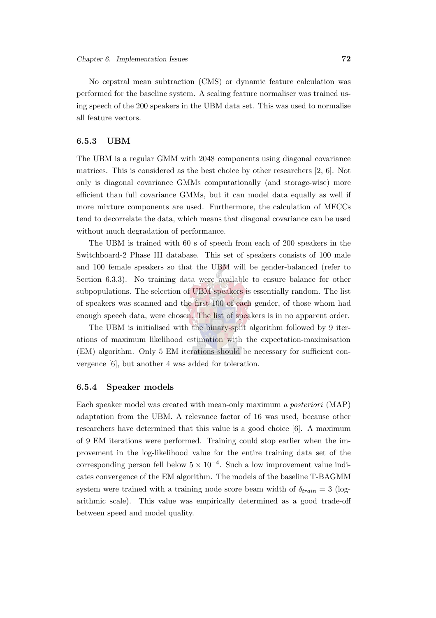No cepstral mean subtraction (CMS) or dynamic feature calculation was performed for the baseline system. A scaling feature normaliser was trained using speech of the 200 speakers in the UBM data set. This was used to normalise all feature vectors.

#### 6.5.3 UBM

The UBM is a regular GMM with 2048 components using diagonal covariance matrices. This is considered as the best choice by other researchers [\[2,](#page-144-2) [6\]](#page-144-1). Not only is diagonal covariance GMMs computationally (and storage-wise) more efficient than full covariance GMMs, but it can model data equally as well if more mixture components are used. Furthermore, the calculation of MFCCs tend to decorrelate the data, which means that diagonal covariance can be used without much degradation of performance.

The UBM is trained with 60 s of speech from each of 200 speakers in the Switchboard-2 Phase III database. This set of speakers consists of 100 male and 100 female speakers so that the UBM will be gender-balanced (refer to Section [6.3.3\)](#page-86-2). No training data were available to ensure balance for other subpopulations. The selection of UBM speakers is essentially random. The list of speakers was scanned and the first 100 of each gender, of those whom had enough speech data, were chosen. The list of speakers is in no apparent order.

The UBM is initialised with the binary-split algorithm followed by 9 iterations of maximum likelihood estimation with the expectation-maximisation (EM) algorithm. Only 5 EM iterations should be necessary for sufficient convergence [\[6](#page-144-1)], but another 4 was added for toleration.

#### 6.5.4 Speaker models

Each speaker model was created with mean-only maximum a posteriori (MAP) adaptation from the UBM. A relevance factor of 16 was used, because other researchers have determined that this value is a good choice [\[6](#page-144-1)]. A maximum of 9 EM iterations were performed. Training could stop earlier when the improvement in the log-likelihood value for the entire training data set of the corresponding person fell below  $5 \times 10^{-4}$ . Such a low improvement value indicates convergence of the EM algorithm. The models of the baseline T-BAGMM system were trained with a training node score beam width of  $\delta_{train} = 3$  (logarithmic scale). This value was empirically determined as a good trade-off between speed and model quality.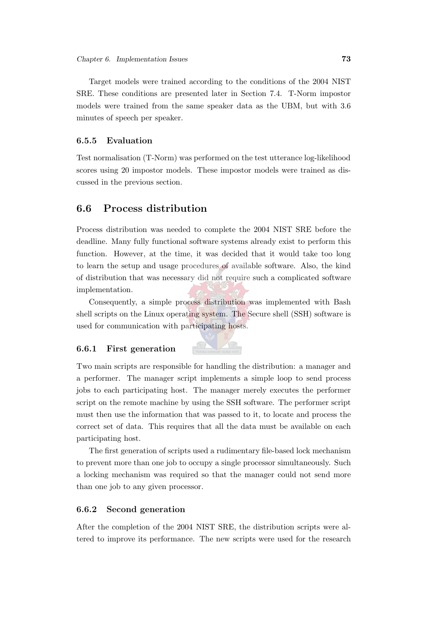Target models were trained according to the conditions of the 2004 NIST SRE. These conditions are presented later in Section [7.4.](#page-102-0) T-Norm impostor models were trained from the same speaker data as the UBM, but with 3.6 minutes of speech per speaker.

#### 6.5.5 Evaluation

Test normalisation (T-Norm) was performed on the test utterance log-likelihood scores using 20 impostor models. These impostor models were trained as discussed in the previous section.

## <span id="page-95-0"></span>6.6 Process distribution

Process distribution was needed to complete the 2004 NIST SRE before the deadline. Many fully functional software systems already exist to perform this function. However, at the time, it was decided that it would take too long to learn the setup and usage procedures of available software. Also, the kind of distribution that was necessary did not require such a complicated software implementation.

Consequently, a simple process distribution was implemented with Bash shell scripts on the Linux operating system. The Secure shell (SSH) software is used for communication with participating hosts.

#### 6.6.1 First generation



Two main scripts are responsible for handling the distribution: a manager and a performer. The manager script implements a simple loop to send process jobs to each participating host. The manager merely executes the performer script on the remote machine by using the SSH software. The performer script must then use the information that was passed to it, to locate and process the correct set of data. This requires that all the data must be available on each participating host.

The first generation of scripts used a rudimentary file-based lock mechanism to prevent more than one job to occupy a single processor simultaneously. Such a locking mechanism was required so that the manager could not send more than one job to any given processor.

#### 6.6.2 Second generation

After the completion of the 2004 NIST SRE, the distribution scripts were altered to improve its performance. The new scripts were used for the research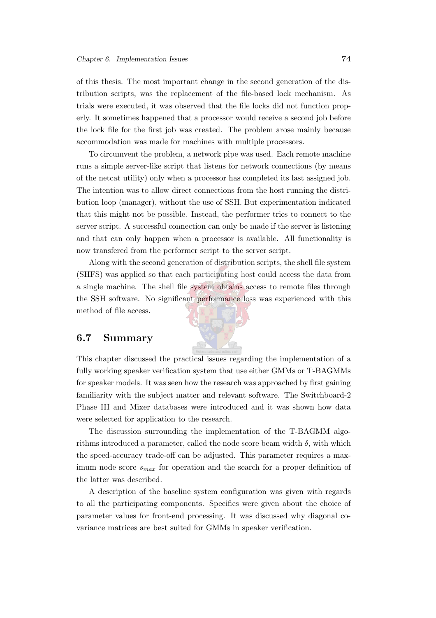of this thesis. The most important change in the second generation of the distribution scripts, was the replacement of the file-based lock mechanism. As trials were executed, it was observed that the file locks did not function properly. It sometimes happened that a processor would receive a second job before the lock file for the first job was created. The problem arose mainly because accommodation was made for machines with multiple processors.

To circumvent the problem, a network pipe was used. Each remote machine runs a simple server-like script that listens for network connections (by means of the netcat utility) only when a processor has completed its last assigned job. The intention was to allow direct connections from the host running the distribution loop (manager), without the use of SSH. But experimentation indicated that this might not be possible. Instead, the performer tries to connect to the server script. A successful connection can only be made if the server is listening and that can only happen when a processor is available. All functionality is now transfered from the performer script to the server script.

Along with the second generation of distribution scripts, the shell file system (SHFS) was applied so that each participating host could access the data from a single machine. The shell file system obtains access to remote files through the SSH software. No significant performance loss was experienced with this method of file access.

## 6.7 Summary

This chapter discussed the practical issues regarding the implementation of a fully working speaker verification system that use either GMMs or T-BAGMMs for speaker models. It was seen how the research was approached by first gaining familiarity with the subject matter and relevant software. The Switchboard-2 Phase III and Mixer databases were introduced and it was shown how data were selected for application to the research.

The discussion surrounding the implementation of the T-BAGMM algorithms introduced a parameter, called the node score beam width  $\delta$ , with which the speed-accuracy trade-off can be adjusted. This parameter requires a maximum node score  $s_{max}$  for operation and the search for a proper definition of the latter was described.

A description of the baseline system configuration was given with regards to all the participating components. Specifics were given about the choice of parameter values for front-end processing. It was discussed why diagonal covariance matrices are best suited for GMMs in speaker verification.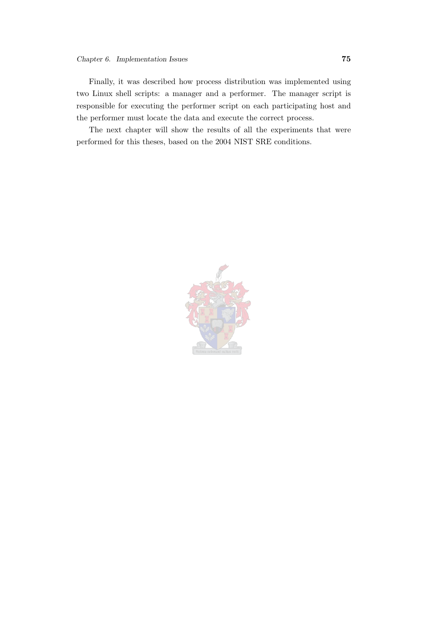Finally, it was described how process distribution was implemented using two Linux shell scripts: a manager and a performer. The manager script is responsible for executing the performer script on each participating host and the performer must locate the data and execute the correct process.

The next chapter will show the results of all the experiments that were performed for this theses, based on the 2004 NIST SRE conditions.

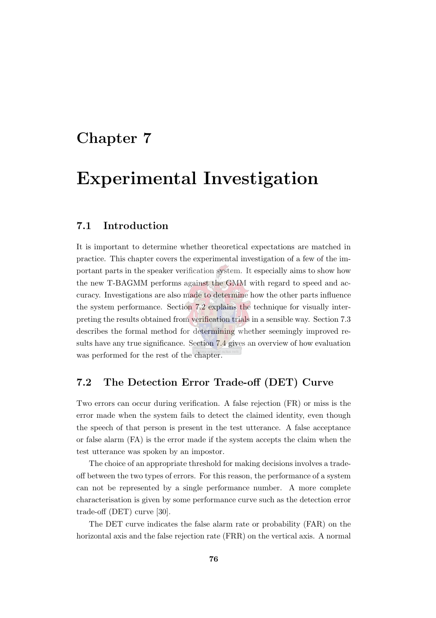# <span id="page-98-0"></span>Chapter 7

# Experimental Investigation

## 7.1 Introduction

It is important to determine whether theoretical expectations are matched in practice. This chapter covers the experimental investigation of a few of the important parts in the speaker verification system. It especially aims to show how the new T-BAGMM performs against the GMM with regard to speed and accuracy. Investigations are also made to determine how the other parts influence the system performance. Section [7.2](#page-98-1) explains the technique for visually interpreting the results obtained from verification trials in a sensible way. Section [7.3](#page-99-0) describes the formal method for determining whether seemingly improved results have any true significance. Section [7.4](#page-102-0) gives an overview of how evaluation was performed for the rest of the chapter.

# <span id="page-98-1"></span>7.2 The Detection Error Trade-off (DET) Curve

Two errors can occur during verification. A false rejection (FR) or miss is the error made when the system fails to detect the claimed identity, even though the speech of that person is present in the test utterance. A false acceptance or false alarm (FA) is the error made if the system accepts the claim when the test utterance was spoken by an impostor.

The choice of an appropriate threshold for making decisions involves a tradeoff between the two types of errors. For this reason, the performance of a system can not be represented by a single performance number. A more complete characterisation is given by some performance curve such as the detection error trade-off (DET) curve [\[30](#page-146-5)].

The DET curve indicates the false alarm rate or probability (FAR) on the horizontal axis and the false rejection rate (FRR) on the vertical axis. A normal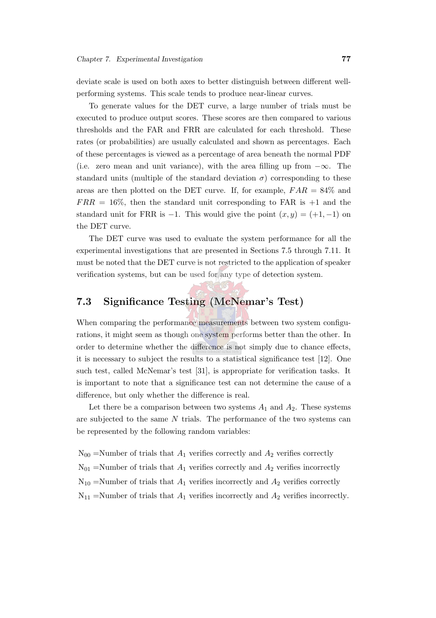deviate scale is used on both axes to better distinguish between different wellperforming systems. This scale tends to produce near-linear curves.

To generate values for the DET curve, a large number of trials must be executed to produce output scores. These scores are then compared to various thresholds and the FAR and FRR are calculated for each threshold. These rates (or probabilities) are usually calculated and shown as percentages. Each of these percentages is viewed as a percentage of area beneath the normal PDF (i.e. zero mean and unit variance), with the area filling up from  $-\infty$ . The standard units (multiple of the standard deviation  $\sigma$ ) corresponding to these areas are then plotted on the DET curve. If, for example,  $FAR = 84\%$  and  $FRR = 16\%$ , then the standard unit corresponding to FAR is  $+1$  and the standard unit for FRR is −1. This would give the point  $(x, y) = (+1, -1)$  on the DET curve.

The DET curve was used to evaluate the system performance for all the experimental investigations that are presented in Sections [7.5](#page-105-0) through [7.11.](#page-136-0) It must be noted that the DET curve is not restricted to the application of speaker verification systems, but can be used for any type of detection system.

# <span id="page-99-0"></span>7.3 Significance Testing (McNemar's Test)

When comparing the performance measurements between two system configurations, it might seem as though one system performs better than the other. In order to determine whether the difference is not simply due to chance effects, it is necessary to subject the results to a statistical significance test [\[12](#page-145-0)]. One such test, called McNemar's test [\[31](#page-147-0)], is appropriate for verification tasks. It is important to note that a significance test can not determine the cause of a difference, but only whether the difference is real.

Let there be a comparison between two systems  $A_1$  and  $A_2$ . These systems are subjected to the same  $N$  trials. The performance of the two systems can be represented by the following random variables:

 $N_{00}$  =Number of trials that  $A_1$  verifies correctly and  $A_2$  verifies correctly  $N_{01}$  =Number of trials that  $A_1$  verifies correctly and  $A_2$  verifies incorrectly  $N_{10}$  =Number of trials that  $A_1$  verifies incorrectly and  $A_2$  verifies correctly

 $N_{11}$  =Number of trials that  $A_1$  verifies incorrectly and  $A_2$  verifies incorrectly.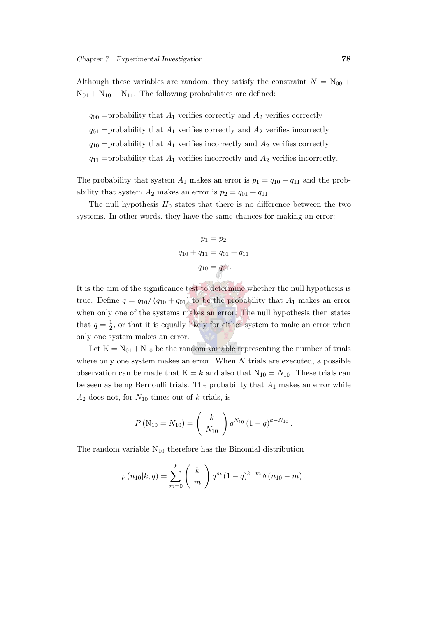Although these variables are random, they satisfy the constraint  $N = N_{00} +$  $N_{01} + N_{10} + N_{11}$ . The following probabilities are defined:

 $q_{00}$  =probability that  $A_1$  verifies correctly and  $A_2$  verifies correctly  $q_{01}$  =probability that  $A_1$  verifies correctly and  $A_2$  verifies incorrectly  $q_{10}$  =probability that  $A_1$  verifies incorrectly and  $A_2$  verifies correctly  $q_{11}$  =probability that  $A_1$  verifies incorrectly and  $A_2$  verifies incorrectly.

The probability that system  $A_1$  makes an error is  $p_1 = q_{10} + q_{11}$  and the probability that system  $A_2$  makes an error is  $p_2 = q_{01} + q_{11}$ .

The null hypothesis  $H_0$  states that there is no difference between the two systems. In other words, they have the same chances for making an error:

$$
p_1 = p_2
$$
  
 
$$
q_{10} + q_{11} = q_{01} + q_{11}
$$
  
 
$$
q_{10} = q_{01}.
$$

It is the aim of the significance test to determine whether the null hypothesis is true. Define  $q = q_{10}/(q_{10} + q_{01})$  to be the probability that  $A_1$  makes an error when only one of the systems makes an error. The null hypothesis then states that  $q=\frac{1}{2}$  $\frac{1}{2}$ , or that it is equally likely for either system to make an error when only one system makes an error.

Let  $K = N_{01} + N_{10}$  be the random variable representing the number of trials where only one system makes an error. When  $N$  trials are executed, a possible observation can be made that  $K = k$  and also that  $N_{10} = N_{10}$ . These trials can be seen as being Bernoulli trials. The probability that  $A_1$  makes an error while  $A_2$  does not, for  $N_{10}$  times out of k trials, is

$$
P\left(N_{10}=N_{10}\right)=\left(\begin{array}{c}k\\N_{10}\end{array}\right)q^{N_{10}}\left(1-q\right)^{k-N_{10}}.
$$

The random variable  $N_{10}$  therefore has the Binomial distribution

$$
p(n_{10}|k,q) = \sum_{m=0}^{k} {k \choose m} q^{m} (1-q)^{k-m} \delta (n_{10} - m).
$$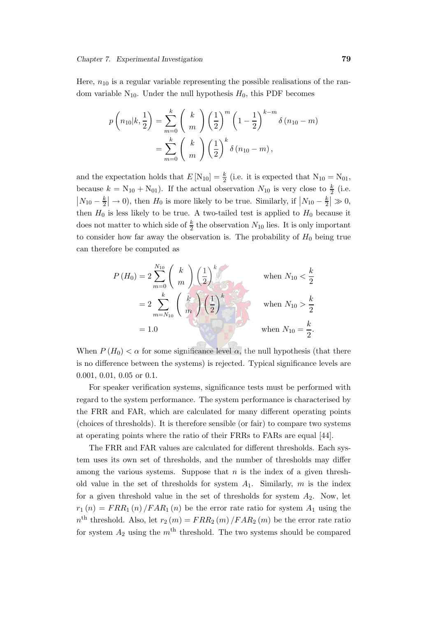Here,  $n_{10}$  is a regular variable representing the possible realisations of the random variable  $N_{10}$ . Under the null hypothesis  $H_0$ , this PDF becomes

$$
p\left(n_{10}|k,\frac{1}{2}\right) = \sum_{m=0}^{k} {k \choose m} \left(\frac{1}{2}\right)^m \left(1 - \frac{1}{2}\right)^{k-m} \delta(n_{10} - m)
$$
  
= 
$$
\sum_{m=0}^{k} {k \choose m} \left(\frac{1}{2}\right)^k \delta(n_{10} - m),
$$

and the expectation holds that  $E[N_{10}] = \frac{k}{2}$  (i.e. it is expected that  $N_{10} = N_{01}$ , because  $k = N_{10} + N_{01}$ ). If the actual observation  $N_{10}$  is very close to  $\frac{k}{2}$  (i.e.  $N_{10} - \frac{k}{2}$  $\frac{k}{2}$   $\rightarrow$  0), then  $H_0$  is more likely to be true. Similarly, if  $\left| N_{10} - \frac{k}{2} \right|$  $\frac{k}{2} \geqslant 0$ , then  $H_0$  is less likely to be true. A two-tailed test is applied to  $H_0$  because it does not matter to which side of  $\frac{k}{2}$  the observation  $N_{10}$  lies. It is only important to consider how far away the observation is. The probability of  $H_0$  being true can therefore be computed as

$$
P(H_0) = 2 \sum_{m=0}^{N_{10}} \binom{k}{m} \left(\frac{1}{2}\right)^k \quad \text{when } N_{10} < \frac{k}{2}
$$
  
=  $2 \sum_{m=N_{10}}^k \binom{k}{m} \left(\frac{1}{2}\right)^k \quad \text{when } N_{10} > \frac{k}{2}$   
= 1.0 when  $N_{10} = \frac{k}{2}$ .

When  $P(H_0) < \alpha$  for some significance level  $\alpha$ , the null hypothesis (that there is no difference between the systems) is rejected. Typical significance levels are 0.001, 0.01, 0.05 or 0.1.

For speaker verification systems, significance tests must be performed with regard to the system performance. The system performance is characterised by the FRR and FAR, which are calculated for many different operating points (choices of thresholds). It is therefore sensible (or fair) to compare two systems at operating points where the ratio of their FRRs to FARs are equal [\[44](#page-148-2)].

The FRR and FAR values are calculated for different thresholds. Each system uses its own set of thresholds, and the number of thresholds may differ among the various systems. Suppose that  $n$  is the index of a given threshold value in the set of thresholds for system  $A_1$ . Similarly, m is the index for a given threshold value in the set of thresholds for system  $A_2$ . Now, let  $r_1(n) = FRR_1(n)/FAR_1(n)$  be the error rate ratio for system  $A_1$  using the  $n<sup>th</sup>$  threshold. Also, let  $r_2(m) = FRR_2(m) / FRR_2(m)$  be the error rate ratio for system  $A_2$  using the  $m<sup>th</sup>$  threshold. The two systems should be compared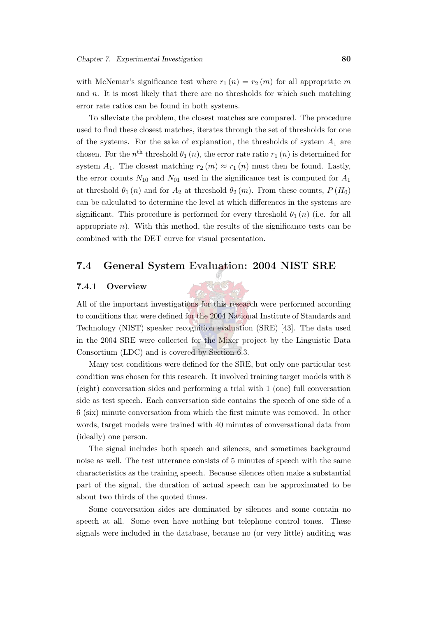with McNemar's significance test where  $r_1(n) = r_2(m)$  for all appropriate m and  $n$ . It is most likely that there are no thresholds for which such matching error rate ratios can be found in both systems.

To alleviate the problem, the closest matches are compared. The procedure used to find these closest matches, iterates through the set of thresholds for one of the systems. For the sake of explanation, the thresholds of system  $A_1$  are chosen. For the  $n<sup>th</sup>$  threshold  $\theta_1(n)$ , the error rate ratio  $r_1(n)$  is determined for system  $A_1$ . The closest matching  $r_2(m) \approx r_1(n)$  must then be found. Lastly, the error counts  $N_{10}$  and  $N_{01}$  used in the significance test is computed for  $A_1$ at threshold  $\theta_1(n)$  and for  $A_2$  at threshold  $\theta_2(m)$ . From these counts,  $P(H_0)$ can be calculated to determine the level at which differences in the systems are significant. This procedure is performed for every threshold  $\theta_1(n)$  (i.e. for all appropriate  $n$ ). With this method, the results of the significance tests can be combined with the DET curve for visual presentation.

## <span id="page-102-0"></span>7.4 General System Evaluation: 2004 NIST SRE

#### 7.4.1 Overview

All of the important investigations for this research were performed according to conditions that were defined for the 2004 National Institute of Standards and Technology (NIST) speaker recognition evaluation (SRE) [\[43](#page-148-0)]. The data used in the 2004 SRE were collected for the Mixer project by the Linguistic Data Consortium (LDC) and is covered by Section [6.3.](#page-83-0)

Many test conditions were defined for the SRE, but only one particular test condition was chosen for this research. It involved training target models with 8 (eight) conversation sides and performing a trial with 1 (one) full conversation side as test speech. Each conversation side contains the speech of one side of a 6 (six) minute conversation from which the first minute was removed. In other words, target models were trained with 40 minutes of conversational data from (ideally) one person.

The signal includes both speech and silences, and sometimes background noise as well. The test utterance consists of 5 minutes of speech with the same characteristics as the training speech. Because silences often make a substantial part of the signal, the duration of actual speech can be approximated to be about two thirds of the quoted times.

Some conversation sides are dominated by silences and some contain no speech at all. Some even have nothing but telephone control tones. These signals were included in the database, because no (or very little) auditing was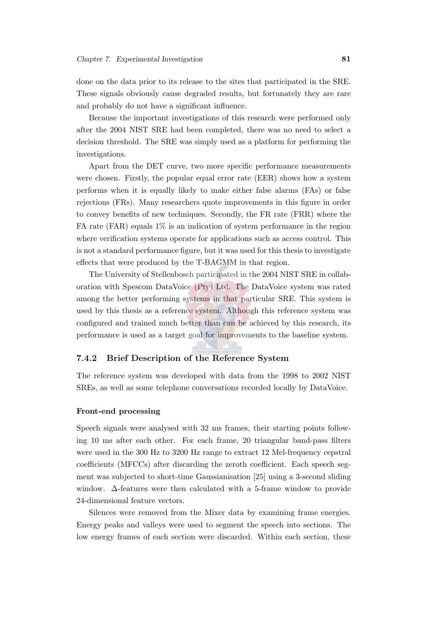done on the data prior to its release to the sites that participated in the SRE. These signals obviously cause degraded results, but fortunately they are rare and probably do not have a significant influence.

Because the important investigations of this research were performed only after the 2004 NIST SRE had been completed, there was no need to select a decision threshold. The SRE was simply used as a platform for performing the investigations.

Apart from the DET curve, two more specific performance measurements were chosen. Firstly, the popular equal error rate (EER) shows how a system performs when it is equally likely to make either false alarms (FAs) or false rejections (FRs). Many researchers quote improvements in this figure in order to convey benefits of new techniques. Secondly, the FR rate (FRR) where the FA rate (FAR) equals  $1\%$  is an indication of system performance in the region where verification systems operate for applications such as access control. This is not a standard performance figure, but it was used for this thesis to investigate effects that were produced by the T-BAGMM in that region.

The University of Stellenbosch participated in the 2004 NIST SRE in collaboration with Spescom DataVoice (Pty) Ltd. The DataVoice system was rated among the better performing systems in that particular SRE. This system is used by this thesis as a reference system. Although this reference system was configured and trained much better than can be achieved by this research, its performance is used as a target goal for improvements to the baseline system.

### 7.4.2 Brief Description of the Reference System

The reference system was developed with data from the 1998 to 2002 NIST SREs, as well as some telephone conversations recorded locally by DataVoice.

#### Front-end processing

Speech signals were analysed with 32 ms frames, their starting points following 10 ms after each other. For each frame, 20 triangular band-pass filters were used in the 300 Hz to 3200 Hz range to extract 12 Mel-frequency cepstral coefficients (MFCCs) after discarding the zeroth coefficient. Each speech segment was subjected to short-time Gaussianisation [\[25\]](#page-146-6) using a 3-second sliding window. ∆-features were then calculated with a 5-frame window to provide 24-dimensional feature vectors.

Silences were removed from the Mixer data by examining frame energies. Energy peaks and valleys were used to segment the speech into sections. The low energy frames of each section were discarded. Within each section, these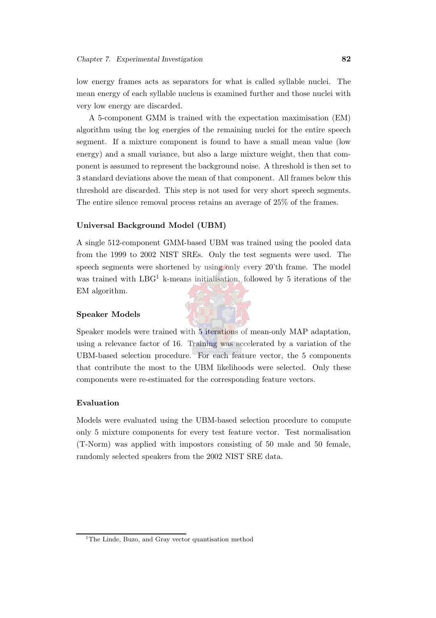low energy frames acts as separators for what is called syllable nuclei. The mean energy of each syllable nucleus is examined further and those nuclei with very low energy are discarded.

A 5-component GMM is trained with the expectation maximisation (EM) algorithm using the log energies of the remaining nuclei for the entire speech segment. If a mixture component is found to have a small mean value (low energy) and a small variance, but also a large mixture weight, then that component is assumed to represent the background noise. A threshold is then set to 3 standard deviations above the mean of that component. All frames below this threshold are discarded. This step is not used for very short speech segments. The entire silence removal process retains an average of 25% of the frames.

#### Universal Background Model (UBM)

A single 512-component GMM-based UBM was trained using the pooled data from the 1999 to 2002 NIST SREs. Only the test segments were used. The speech segments were shortened by using only every 20'th frame. The model was trained with  $LBG<sup>1</sup>$  $LBG<sup>1</sup>$  $LBG<sup>1</sup>$  k-means initialisation, followed by 5 iterations of the EM algorithm.

#### Speaker Models

Speaker models were trained with 5 iterations of mean-only MAP adaptation, using a relevance factor of 16. Training was accelerated by a variation of the UBM-based selection procedure. For each feature vector, the 5 components that contribute the most to the UBM likelihoods were selected. Only these components were re-estimated for the corresponding feature vectors.

#### Evaluation

Models were evaluated using the UBM-based selection procedure to compute only 5 mixture components for every test feature vector. Test normalisation (T-Norm) was applied with impostors consisting of 50 male and 50 female, randomly selected speakers from the 2002 NIST SRE data.



<span id="page-104-0"></span><sup>&</sup>lt;sup>1</sup>The Linde, Buzo, and Gray vector quantisation method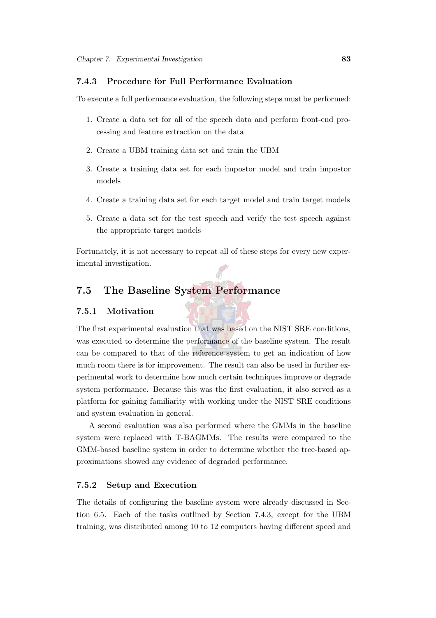### <span id="page-105-1"></span>7.4.3 Procedure for Full Performance Evaluation

To execute a full performance evaluation, the following steps must be performed:

- 1. Create a data set for all of the speech data and perform front-end processing and feature extraction on the data
- 2. Create a UBM training data set and train the UBM
- 3. Create a training data set for each impostor model and train impostor models
- 4. Create a training data set for each target model and train target models
- 5. Create a data set for the test speech and verify the test speech against the appropriate target models

Fortunately, it is not necessary to repeat all of these steps for every new experimental investigation.

# <span id="page-105-0"></span>7.5 The Baseline System Performance

#### 7.5.1 Motivation

The first experimental evaluation that was based on the NIST SRE conditions, was executed to determine the performance of the baseline system. The result can be compared to that of the reference system to get an indication of how much room there is for improvement. The result can also be used in further experimental work to determine how much certain techniques improve or degrade system performance. Because this was the first evaluation, it also served as a platform for gaining familiarity with working under the NIST SRE conditions and system evaluation in general.

A second evaluation was also performed where the GMMs in the baseline system were replaced with T-BAGMMs. The results were compared to the GMM-based baseline system in order to determine whether the tree-based approximations showed any evidence of degraded performance.

#### 7.5.2 Setup and Execution

The details of configuring the baseline system were already discussed in Section [6.5.](#page-93-0) Each of the tasks outlined by Section [7.4.3,](#page-105-1) except for the UBM training, was distributed among 10 to 12 computers having different speed and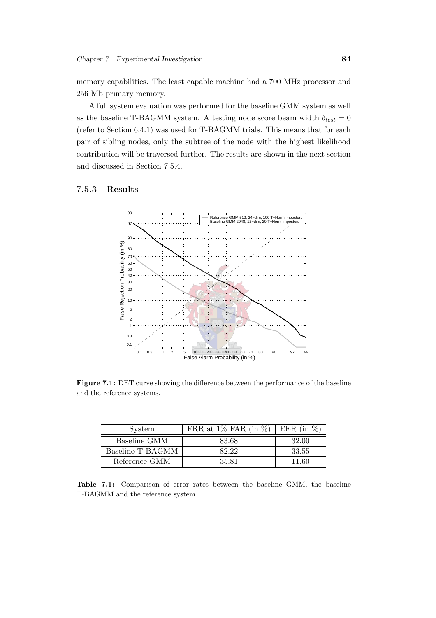memory capabilities. The least capable machine had a 700 MHz processor and 256 Mb primary memory.

A full system evaluation was performed for the baseline GMM system as well as the baseline T-BAGMM system. A testing node score beam width  $\delta_{test} = 0$ (refer to Section [6.4.1\)](#page-89-1) was used for T-BAGMM trials. This means that for each pair of sibling nodes, only the subtree of the node with the highest likelihood contribution will be traversed further. The results are shown in the next section and discussed in Section [7.5.4.](#page-108-0)

#### 7.5.3 Results



Figure 7.1: DET curve showing the difference between the performance of the baseline and the reference systems.

| System           | FRR at $1\%$ FAR (in $\%$ ) | EER (in $\%$ ) |
|------------------|-----------------------------|----------------|
| Baseline GMM     | 83.68                       | 32.00          |
| Baseline T-BAGMM | 82.22                       | 33.55          |
| Reference GMM    | 35.81                       | 11.60          |

Table 7.1: Comparison of error rates between the baseline GMM, the baseline T-BAGMM and the reference system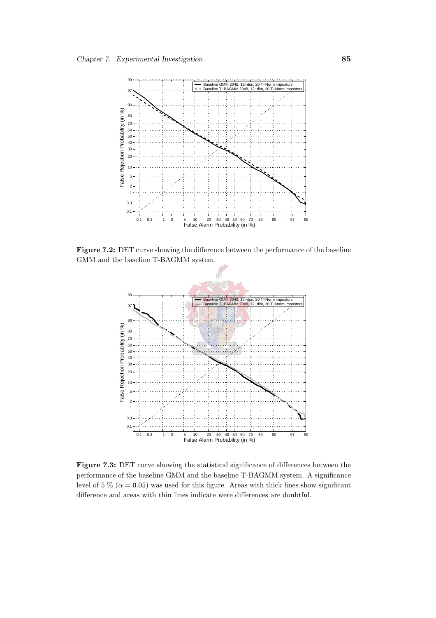

Figure 7.2: DET curve showing the difference between the performance of the baseline GMM and the baseline T-BAGMM system.



Figure 7.3: DET curve showing the statistical significance of differences between the performance of the baseline GMM and the baseline T-BAGMM system. A significance level of 5 % ( $\alpha$  = 0.05) was used for this figure. Areas with thick lines show significant difference and areas with thin lines indicate were differences are doubtful.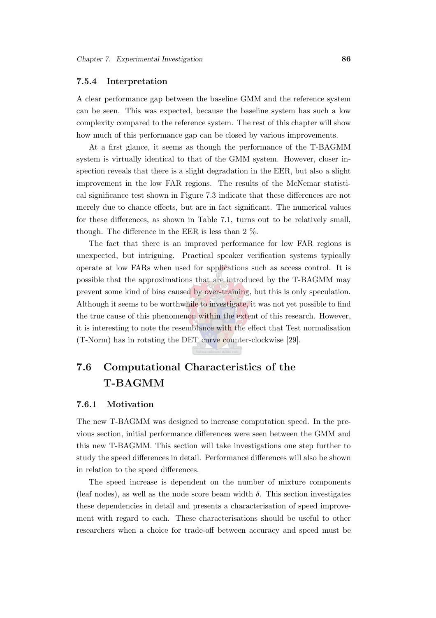#### 7.5.4 Interpretation

A clear performance gap between the baseline GMM and the reference system can be seen. This was expected, because the baseline system has such a low complexity compared to the reference system. The rest of this chapter will show how much of this performance gap can be closed by various improvements.

At a first glance, it seems as though the performance of the T-BAGMM system is virtually identical to that of the GMM system. However, closer inspection reveals that there is a slight degradation in the EER, but also a slight improvement in the low FAR regions. The results of the McNemar statistical significance test shown in Figure [7.3](#page-107-0) indicate that these differences are not merely due to chance effects, but are in fact significant. The numerical values for these differences, as shown in Table [7.1,](#page-106-0) turns out to be relatively small, though. The difference in the EER is less than 2 %.

The fact that there is an improved performance for low FAR regions is unexpected, but intriguing. Practical speaker verification systems typically operate at low FARs when used for applications such as access control. It is possible that the approximations that are introduced by the T-BAGMM may prevent some kind of bias caused by over-training, but this is only speculation. Although it seems to be worthwhile to investigate, it was not yet possible to find the true cause of this phenomenon within the extent of this research. However, it is interesting to note the resemblance with the effect that Test normalisation (T-Norm) has in rotating the DET curve counter-clockwise [\[29\]](#page-146-0).

## <span id="page-108-0"></span>7.6 Computational Characteristics of the T-BAGMM

#### 7.6.1 Motivation

The new T-BAGMM was designed to increase computation speed. In the previous section, initial performance differences were seen between the GMM and this new T-BAGMM. This section will take investigations one step further to study the speed differences in detail. Performance differences will also be shown in relation to the speed differences.

The speed increase is dependent on the number of mixture components (leaf nodes), as well as the node score beam width  $\delta$ . This section investigates these dependencies in detail and presents a characterisation of speed improvement with regard to each. These characterisations should be useful to other researchers when a choice for trade-off between accuracy and speed must be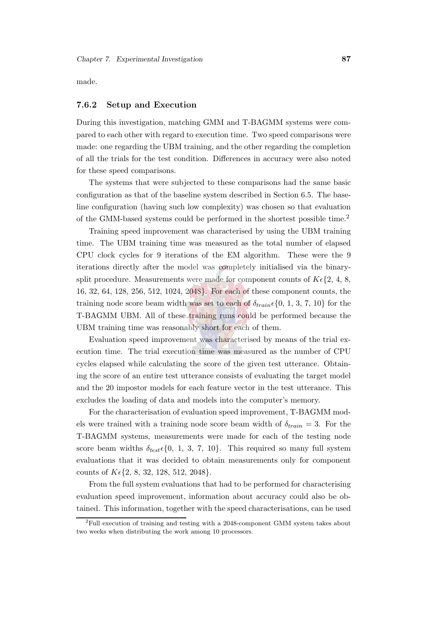made.

#### 7.6.2 Setup and Execution

During this investigation, matching GMM and T-BAGMM systems were compared to each other with regard to execution time. Two speed comparisons were made: one regarding the UBM training, and the other regarding the completion of all the trials for the test condition. Differences in accuracy were also noted for these speed comparisons.

The systems that were subjected to these comparisons had the same basic configuration as that of the baseline system described in Section [6.5.](#page-93-0) The baseline configuration (having such low complexity) was chosen so that evaluation of the GMM-based systems could be performed in the shortest possible time.[2](#page-109-0)

Training speed improvement was characterised by using the UBM training time. The UBM training time was measured as the total number of elapsed CPU clock cycles for 9 iterations of the EM algorithm. These were the 9 iterations directly after the model was completely initialised via the binarysplit procedure. Measurements were made for component counts of  $K\epsilon\{2, 4, 8, \ldots\}$ 16, 32, 64, 128, 256, 512, 1024, 2048}. For each of these component counts, the training node score beam width was set to each of  $\delta_{train} \epsilon \{0, 1, 3, 7, 10\}$  for the T-BAGMM UBM. All of these training runs could be performed because the UBM training time was reasonably short for each of them.

Evaluation speed improvement was characterised by means of the trial execution time. The trial execution time was measured as the number of CPU cycles elapsed while calculating the score of the given test utterance. Obtaining the score of an entire test utterance consists of evaluating the target model and the 20 impostor models for each feature vector in the test utterance. This excludes the loading of data and models into the computer's memory.

For the characterisation of evaluation speed improvement, T-BAGMM models were trained with a training node score beam width of  $\delta_{train} = 3$ . For the T-BAGMM systems, measurements were made for each of the testing node score beam widths  $\delta_{test}$  {0, 1, 3, 7, 10}. This required so many full system evaluations that it was decided to obtain measurements only for component counts of  $K\epsilon \{2, 8, 32, 128, 512, 2048\}.$ 

From the full system evaluations that had to be performed for characterising evaluation speed improvement, information about accuracy could also be obtained. This information, together with the speed characterisations, can be used

<span id="page-109-0"></span><sup>&</sup>lt;sup>2</sup>Full execution of training and testing with a 2048-component GMM system takes about two weeks when distributing the work among 10 processors.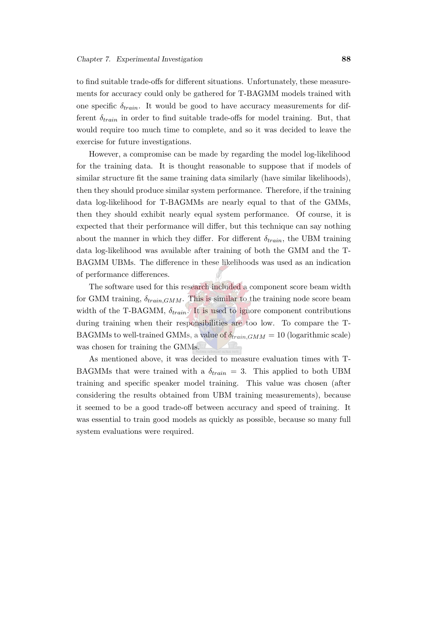to find suitable trade-offs for different situations. Unfortunately, these measurements for accuracy could only be gathered for T-BAGMM models trained with one specific  $\delta_{train}$ . It would be good to have accuracy measurements for different  $\delta_{train}$  in order to find suitable trade-offs for model training. But, that would require too much time to complete, and so it was decided to leave the exercise for future investigations.

However, a compromise can be made by regarding the model log-likelihood for the training data. It is thought reasonable to suppose that if models of similar structure fit the same training data similarly (have similar likelihoods), then they should produce similar system performance. Therefore, if the training data log-likelihood for T-BAGMMs are nearly equal to that of the GMMs, then they should exhibit nearly equal system performance. Of course, it is expected that their performance will differ, but this technique can say nothing about the manner in which they differ. For different  $\delta_{train}$ , the UBM training data log-likelihood was available after training of both the GMM and the T-BAGMM UBMs. The difference in these likelihoods was used as an indication of performance differences.

The software used for this research included a component score beam width for GMM training,  $\delta_{train, GMM}$ . This is similar to the training node score beam width of the T-BAGMM,  $\delta_{train}$ . It is used to ignore component contributions during training when their responsibilities are too low. To compare the T-BAGMMs to well-trained GMMs, a value of  $\delta_{train,GMM} = 10$  (logarithmic scale) was chosen for training the GMMs.

As mentioned above, it was decided to measure evaluation times with T-BAGMMs that were trained with a  $\delta_{train} = 3$ . This applied to both UBM training and specific speaker model training. This value was chosen (after considering the results obtained from UBM training measurements), because it seemed to be a good trade-off between accuracy and speed of training. It was essential to train good models as quickly as possible, because so many full system evaluations were required.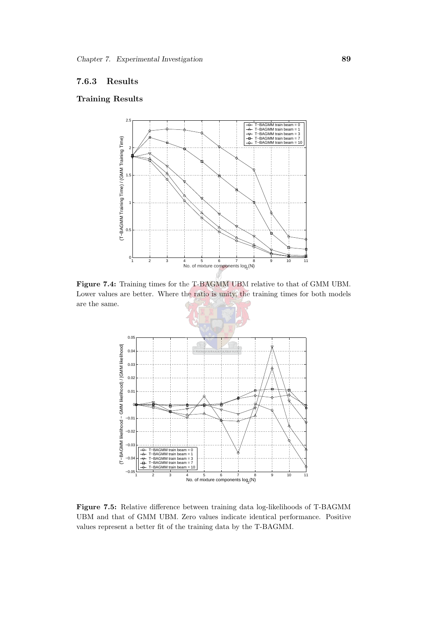#### 7.6.3 Results

#### Training Results



<span id="page-111-0"></span>Figure 7.4: Training times for the T-BAGMM UBM relative to that of GMM UBM. Lower values are better. Where the ratio is unity, the training times for both models are the same.



<span id="page-111-1"></span>Figure 7.5: Relative difference between training data log-likelihoods of T-BAGMM UBM and that of GMM UBM. Zero values indicate identical performance. Positive values represent a better fit of the training data by the T-BAGMM.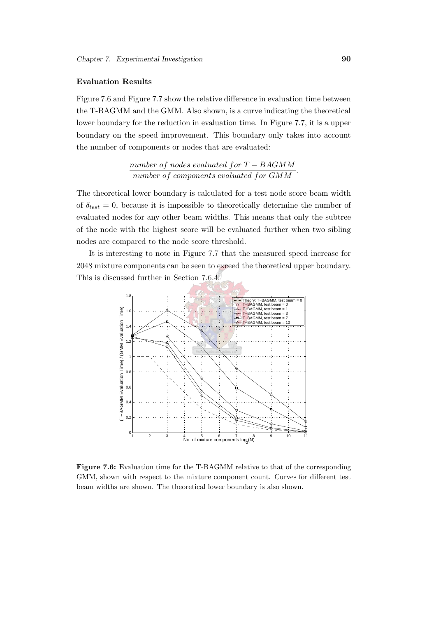#### Evaluation Results

Figure [7.6](#page-112-0) and Figure [7.7](#page-113-0) show the relative difference in evaluation time between the T-BAGMM and the GMM. Also shown, is a curve indicating the theoretical lower boundary for the reduction in evaluation time. In Figure [7.7,](#page-113-0) it is a upper boundary on the speed improvement. This boundary only takes into account the number of components or nodes that are evaluated:

> number of nodes evaluated for  $T - BAGMM$ number of components evaluated for GMM

The theoretical lower boundary is calculated for a test node score beam width of  $\delta_{test} = 0$ , because it is impossible to theoretically determine the number of evaluated nodes for any other beam widths. This means that only the subtree of the node with the highest score will be evaluated further when two sibling nodes are compared to the node score threshold.

It is interesting to note in Figure [7.7](#page-113-0) that the measured speed increase for 2048 mixture components can be seen to exceed the theoretical upper boundary. This is discussed further in Section [7.6.4.](#page-116-0)



<span id="page-112-0"></span>Figure 7.6: Evaluation time for the T-BAGMM relative to that of the corresponding GMM, shown with respect to the mixture component count. Curves for different test beam widths are shown. The theoretical lower boundary is also shown.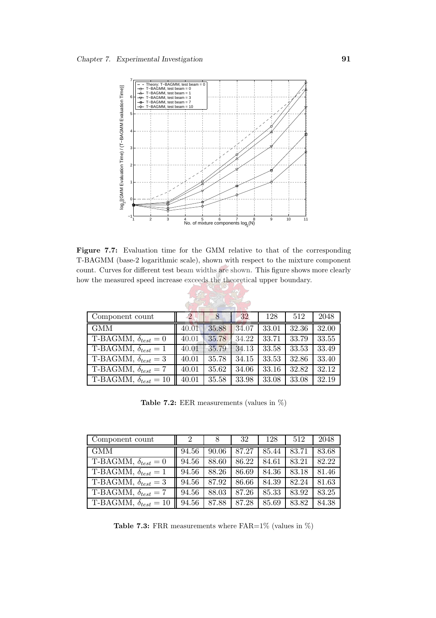

<span id="page-113-0"></span>Figure 7.7: Evaluation time for the GMM relative to that of the corresponding T-BAGMM (base-2 logarithmic scale), shown with respect to the mixture component count. Curves for different test beam widths are shown. This figure shows more clearly how the measured speed increase exceeds the theoretical upper boundary.

| Component count                     |       | $8^{\circ}$ | 32    | 128   | 512                | 2048  |
|-------------------------------------|-------|-------------|-------|-------|--------------------|-------|
| <b>GMM</b>                          | 40.01 | 35.88       | 34.07 | 33.01 | 32.36              | 32.00 |
| T-BAGMM, $\delta_{test} = 0$        | 40.01 | 35.78       | 34.22 | 33.71 | 33.79              | 33.55 |
| $T$ -BAGMM, $\delta_{test} = 1$     | 40.01 | 35.79       | 34.13 | 33.58 | 33.53              | 33.49 |
| $T\text{-BAGMM}, \delta_{test} = 3$ | 40.01 | 35.78       | 34.15 | 33.53 | $\overline{3}2.86$ | 33.40 |
| $T\text{-BAGMM}, \delta_{test} = 7$ | 40.01 | 35.62       | 34.06 | 33.16 | 32.82              | 32.12 |
| T-BAGMM, $\delta_{test} = 10$       | 40.01 | 35.58       | 33.98 | 33.08 | 33.08              | 32.19 |

Table 7.2: EER measurements (values in %)

| Component count                     | 2     | 8     | 32    | 128   | 512   | 2048  |
|-------------------------------------|-------|-------|-------|-------|-------|-------|
| <b>GMM</b>                          | 94.56 | 90.06 | 87.27 | 85.44 | 83.71 | 83.68 |
| T-BAGMM, $\delta_{test} = 0$        | 94.56 | 88.60 | 86.22 | 84.61 | 83.21 | 82.22 |
| $T\text{-}BAGMM, \delta_{test} = 1$ | 94.56 | 88.26 | 86.69 | 84.36 | 83.18 | 81.46 |
| $T\text{-BAGMM}, \delta_{test} = 3$ | 94.56 | 87.92 | 86.66 | 84.39 | 82.24 | 81.63 |
| T-BAGMM, $\delta_{test} = 7$        | 94.56 | 88.03 | 87.26 | 85.33 | 83.92 | 83.25 |
| T-BAGMM, $\delta_{test} = 10$       | 94.56 | 87.88 | 87.28 | 85.69 | 83.82 | 84.38 |

**Table 7.3:** FRR measurements where  $FAR=1\%$  (values in  $\%)$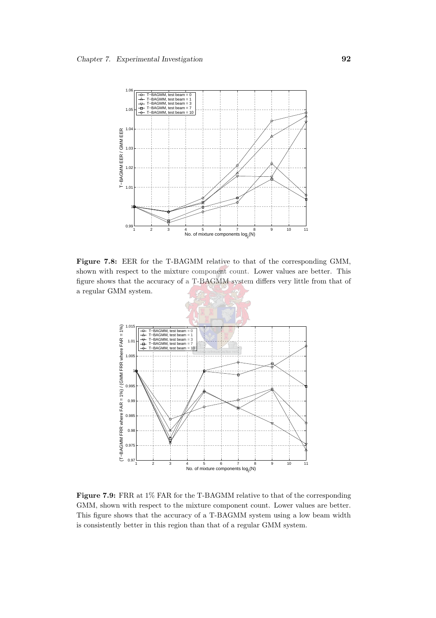

<span id="page-114-0"></span>Figure 7.8: EER for the T-BAGMM relative to that of the corresponding GMM, shown with respect to the mixture component count. Lower values are better. This figure shows that the accuracy of a T-BAGMM system differs very little from that of a regular GMM system.



<span id="page-114-1"></span>Figure 7.9: FRR at  $1\%$  FAR for the T-BAGMM relative to that of the corresponding GMM, shown with respect to the mixture component count. Lower values are better. This figure shows that the accuracy of a T-BAGMM system using a low beam width is consistently better in this region than that of a regular GMM system.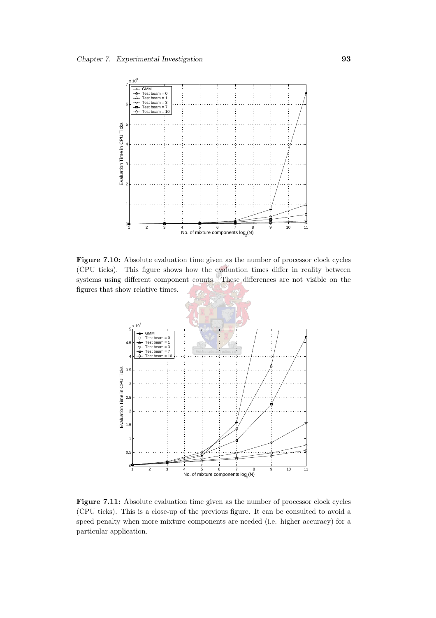

Figure 7.10: Absolute evaluation time given as the number of processor clock cycles (CPU ticks). This figure shows how the evaluation times differ in reality between systems using different component counts. These differences are not visible on the figures that show relative times.



Figure 7.11: Absolute evaluation time given as the number of processor clock cycles (CPU ticks). This is a close-up of the previous figure. It can be consulted to avoid a speed penalty when more mixture components are needed (i.e. higher accuracy) for a particular application.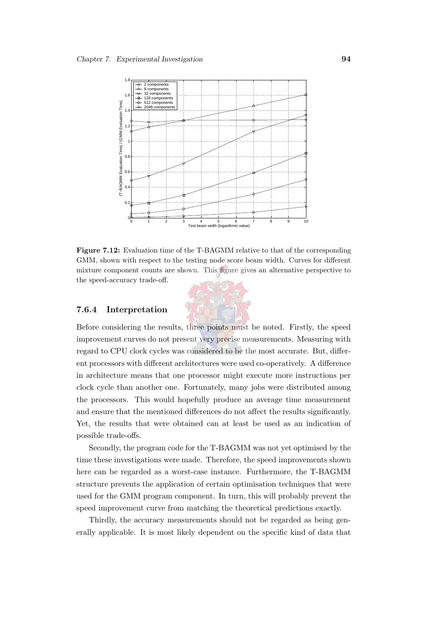

Figure 7.12: Evaluation time of the T-BAGMM relative to that of the corresponding GMM, shown with respect to the testing node score beam width. Curves for different mixture component counts are shown. This figure gives an alternative perspective to the speed-accuracy trade-off.

#### <span id="page-116-0"></span>7.6.4 Interpretation

Before considering the results, three points must be noted. Firstly, the speed improvement curves do not present very precise measurements. Measuring with regard to CPU clock cycles was considered to be the most accurate. But, different processors with different architectures were used co-operatively. A difference in architecture means that one processor might execute more instructions per clock cycle than another one. Fortunately, many jobs were distributed among the processors. This would hopefully produce an average time measurement and ensure that the mentioned differences do not affect the results significantly. Yet, the results that were obtained can at least be used as an indication of possible trade-offs.

Secondly, the program code for the T-BAGMM was not yet optimised by the time these investigations were made. Therefore, the speed improvements shown here can be regarded as a worst-case instance. Furthermore, the T-BAGMM structure prevents the application of certain optimisation techniques that were used for the GMM program component. In turn, this will probably prevent the speed improvement curve from matching the theoretical predictions exactly.

Thirdly, the accuracy measurements should not be regarded as being generally applicable. It is most likely dependent on the specific kind of data that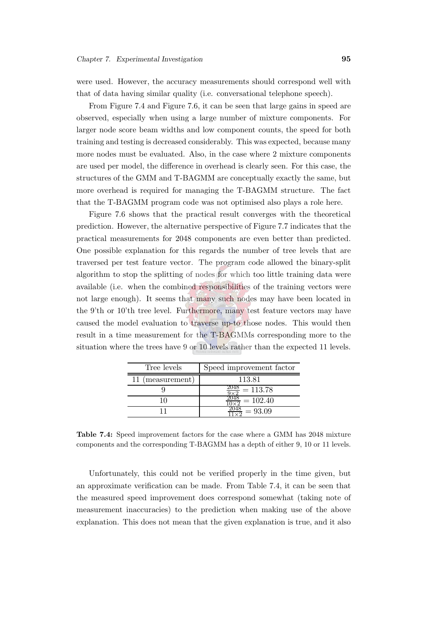were used. However, the accuracy measurements should correspond well with that of data having similar quality (i.e. conversational telephone speech).

From Figure [7.4](#page-111-0) and Figure [7.6,](#page-112-0) it can be seen that large gains in speed are observed, especially when using a large number of mixture components. For larger node score beam widths and low component counts, the speed for both training and testing is decreased considerably. This was expected, because many more nodes must be evaluated. Also, in the case where 2 mixture components are used per model, the difference in overhead is clearly seen. For this case, the structures of the GMM and T-BAGMM are conceptually exactly the same, but more overhead is required for managing the T-BAGMM structure. The fact that the T-BAGMM program code was not optimised also plays a role here.

Figure [7.6](#page-112-0) shows that the practical result converges with the theoretical prediction. However, the alternative perspective of Figure [7.7](#page-113-0) indicates that the practical measurements for 2048 components are even better than predicted. One possible explanation for this regards the number of tree levels that are traversed per test feature vector. The program code allowed the binary-split algorithm to stop the splitting of nodes for which too little training data were available (i.e. when the combined responsibilities of the training vectors were not large enough). It seems that many such nodes may have been located in the 9'th or 10'th tree level. Furthermore, many test feature vectors may have caused the model evaluation to traverse up-to those nodes. This would then result in a time measurement for the T-BAGMMs corresponding more to the situation where the trees have 9 or 10 levels rather than the expected 11 levels.

| Tree levels      | Speed improvement factor |
|------------------|--------------------------|
| 11 (measurement) | 113.81                   |
|                  | $= 113.78$               |
|                  | $= 102.40$               |
|                  | $= 93.09$                |

<span id="page-117-0"></span>Table 7.4: Speed improvement factors for the case where a GMM has 2048 mixture components and the corresponding T-BAGMM has a depth of either 9, 10 or 11 levels.

Unfortunately, this could not be verified properly in the time given, but an approximate verification can be made. From Table [7.4,](#page-117-0) it can be seen that the measured speed improvement does correspond somewhat (taking note of measurement inaccuracies) to the prediction when making use of the above explanation. This does not mean that the given explanation is true, and it also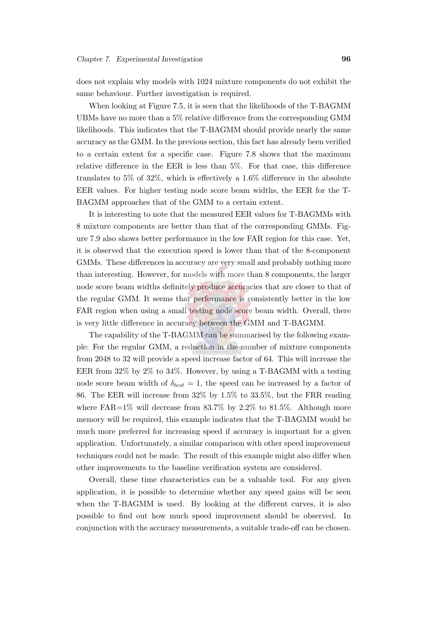does not explain why models with 1024 mixture components do not exhibit the same behaviour. Further investigation is required.

When looking at Figure [7.5,](#page-111-1) it is seen that the likelihoods of the T-BAGMM UBMs have no more than a 5% relative difference from the corresponding GMM likelihoods. This indicates that the T-BAGMM should provide nearly the same accuracy as the GMM. In the previous section, this fact has already been verified to a certain extent for a specific case. Figure [7.8](#page-114-0) shows that the maximum relative difference in the EER is less than 5%. For that case, this difference translates to 5% of 32%, which is effectively a 1.6% difference in the absolute EER values. For higher testing node score beam widths, the EER for the T-BAGMM approaches that of the GMM to a certain extent.

It is interesting to note that the measured EER values for T-BAGMMs with 8 mixture components are better than that of the corresponding GMMs. Figure [7.9](#page-114-1) also shows better performance in the low FAR region for this case. Yet, it is observed that the execution speed is lower than that of the 8-component GMMs. These differences in accuracy are very small and probably nothing more than interesting. However, for models with more than 8 components, the larger node score beam widths definitely produce accuracies that are closer to that of the regular GMM. It seems that performance is consistently better in the low FAR region when using a small testing node score beam width. Overall, there is very little difference in accuracy between the GMM and T-BAGMM.

The capability of the T-BAGMM can be summarised by the following example: For the regular GMM, a reduction in the number of mixture components from 2048 to 32 will provide a speed increase factor of 64. This will increase the EER from 32% by 2% to 34%. However, by using a T-BAGMM with a testing node score beam width of  $\delta_{test} = 1$ , the speed can be increased by a factor of 86. The EER will increase from 32% by 1.5% to 33.5%, but the FRR reading where  $FAR=1\%$  will decrease from 83.7% by 2.2% to 81.5%. Although more memory will be required, this example indicates that the T-BAGMM would be much more preferred for increasing speed if accuracy is important for a given application. Unfortunately, a similar comparison with other speed improvement techniques could not be made. The result of this example might also differ when other improvements to the baseline verification system are considered.

Overall, these time characteristics can be a valuable tool. For any given application, it is possible to determine whether any speed gains will be seen when the T-BAGMM is used. By looking at the different curves, it is also possible to find out how much speed improvement should be observed. In conjunction with the accuracy measurements, a suitable trade-off can be chosen.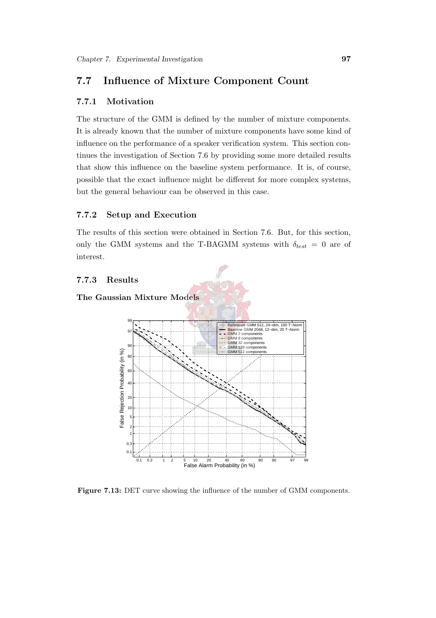#### <span id="page-119-0"></span>7.7 Influence of Mixture Component Count

#### 7.7.1 Motivation

The structure of the GMM is defined by the number of mixture components. It is already known that the number of mixture components have some kind of influence on the performance of a speaker verification system. This section continues the investigation of Section [7.6](#page-108-0) by providing some more detailed results that show this influence on the baseline system performance. It is, of course, possible that the exact influence might be different for more complex systems, but the general behaviour can be observed in this case.

#### 7.7.2 Setup and Execution

The results of this section were obtained in Section [7.6.](#page-108-0) But, for this section, only the GMM systems and the T-BAGMM systems with  $\delta_{test} = 0$  are of interest.

#### 7.7.3 Results





Figure 7.13: DET curve showing the influence of the number of GMM components.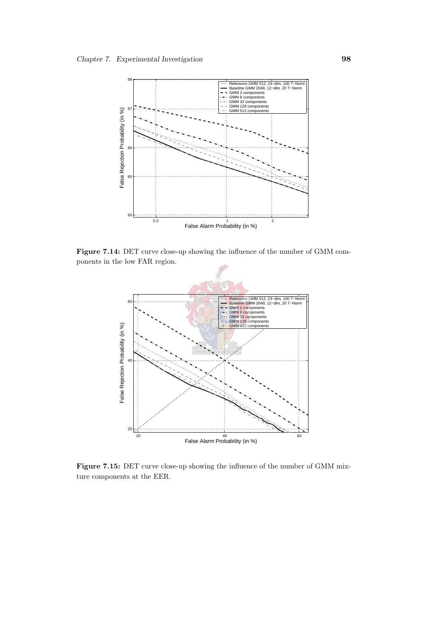

Figure 7.14: DET curve close-up showing the influence of the number of GMM components in the low FAR region.



Figure 7.15: DET curve close-up showing the influence of the number of GMM mixture components at the EER.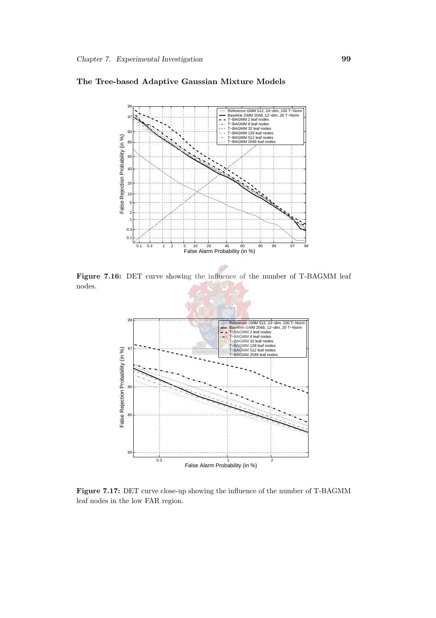

#### The Tree-based Adaptive Gaussian Mixture Models

Figure 7.16: DET curve showing the influence of the number of T-BAGMM leaf nodes.



Figure 7.17: DET curve close-up showing the influence of the number of T-BAGMM leaf nodes in the low FAR region.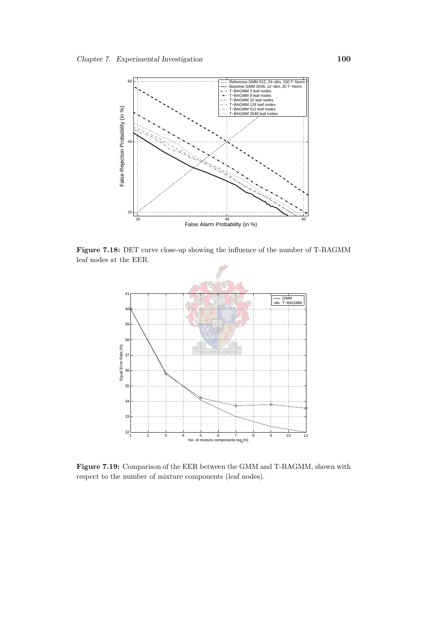

<span id="page-122-0"></span>Figure 7.18: DET curve close-up showing the influence of the number of T-BAGMM leaf nodes at the EER.



Figure 7.19: Comparison of the EER between the GMM and T-BAGMM, shown with respect to the number of mixture components (leaf nodes).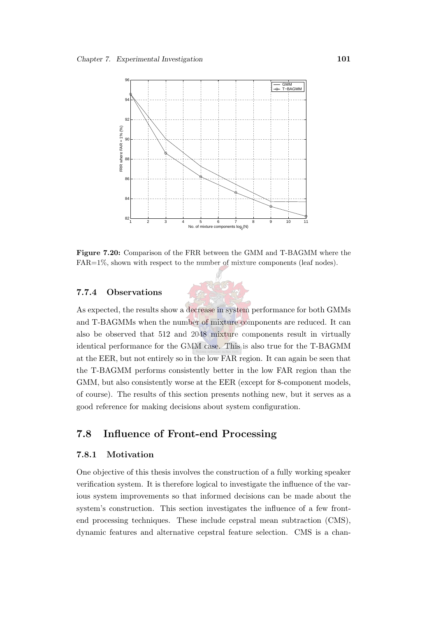

Figure 7.20: Comparison of the FRR between the GMM and T-BAGMM where the FAR=1%, shown with respect to the number of mixture components (leaf nodes).

#### 7.7.4 Observations

As expected, the results show a decrease in system performance for both GMMs and T-BAGMMs when the number of mixture components are reduced. It can also be observed that 512 and 2048 mixture components result in virtually identical performance for the GMM case. This is also true for the T-BAGMM at the EER, but not entirely so in the low FAR region. It can again be seen that the T-BAGMM performs consistently better in the low FAR region than the GMM, but also consistently worse at the EER (except for 8-component models, of course). The results of this section presents nothing new, but it serves as a good reference for making decisions about system configuration.

#### <span id="page-123-0"></span>7.8 Influence of Front-end Processing

#### 7.8.1 Motivation

One objective of this thesis involves the construction of a fully working speaker verification system. It is therefore logical to investigate the influence of the various system improvements so that informed decisions can be made about the system's construction. This section investigates the influence of a few frontend processing techniques. These include cepstral mean subtraction (CMS), dynamic features and alternative cepstral feature selection. CMS is a chan-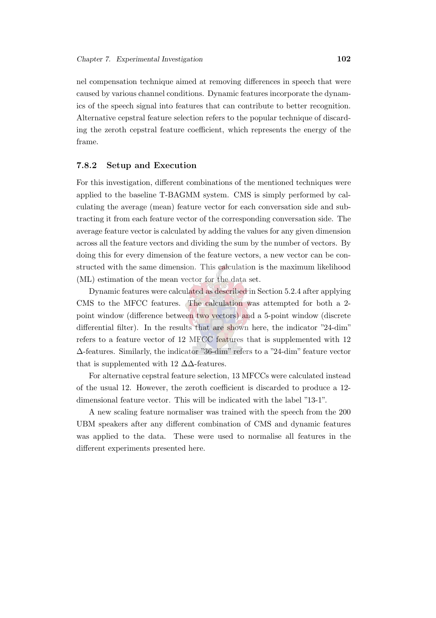nel compensation technique aimed at removing differences in speech that were caused by various channel conditions. Dynamic features incorporate the dynamics of the speech signal into features that can contribute to better recognition. Alternative cepstral feature selection refers to the popular technique of discarding the zeroth cepstral feature coefficient, which represents the energy of the frame.

#### 7.8.2 Setup and Execution

For this investigation, different combinations of the mentioned techniques were applied to the baseline T-BAGMM system. CMS is simply performed by calculating the average (mean) feature vector for each conversation side and subtracting it from each feature vector of the corresponding conversation side. The average feature vector is calculated by adding the values for any given dimension across all the feature vectors and dividing the sum by the number of vectors. By doing this for every dimension of the feature vectors, a new vector can be constructed with the same dimension. This calculation is the maximum likelihood (ML) estimation of the mean vector for the data set.

Dynamic features were calculated as described in Section [5.2.4](#page-73-0) after applying CMS to the MFCC features. The calculation was attempted for both a 2 point window (difference between two vectors) and a 5-point window (discrete differential filter). In the results that are shown here, the indicator "24-dim" refers to a feature vector of 12 MFCC features that is supplemented with 12 ∆-features. Similarly, the indicator "36-dim" refers to a "24-dim" feature vector that is supplemented with 12  $\Delta\Delta$ -features.

For alternative cepstral feature selection, 13 MFCCs were calculated instead of the usual 12. However, the zeroth coefficient is discarded to produce a 12 dimensional feature vector. This will be indicated with the label "13-1".

A new scaling feature normaliser was trained with the speech from the 200 UBM speakers after any different combination of CMS and dynamic features was applied to the data. These were used to normalise all features in the different experiments presented here.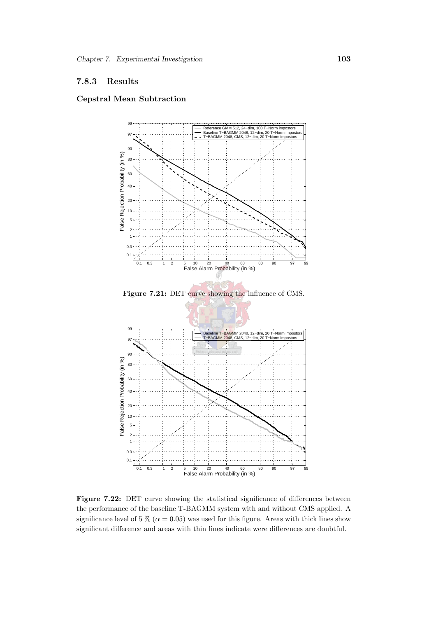#### 7.8.3 Results

#### Cepstral Mean Subtraction



Figure 7.22: DET curve showing the statistical significance of differences between the performance of the baseline T-BAGMM system with and without CMS applied. A significance level of 5 % ( $\alpha$  = 0.05) was used for this figure. Areas with thick lines show significant difference and areas with thin lines indicate were differences are doubtful.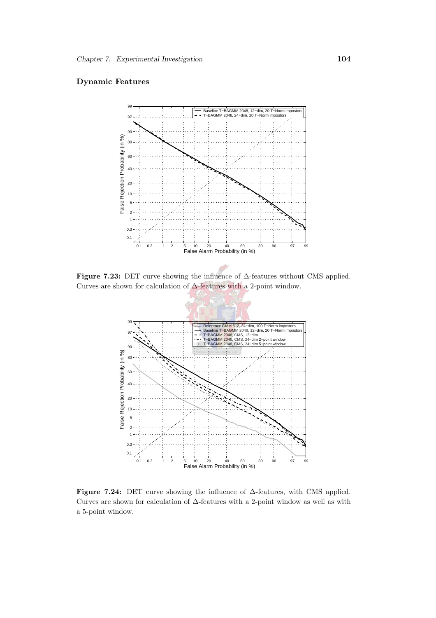#### Dynamic Features



Figure 7.23: DET curve showing the influence of ∆-features without CMS applied. Curves are shown for calculation of  $\Delta\text{-features}$  with a 2-point window.



Figure 7.24: DET curve showing the influence of ∆-features, with CMS applied. Curves are shown for calculation of ∆-features with a 2-point window as well as with a 5-point window.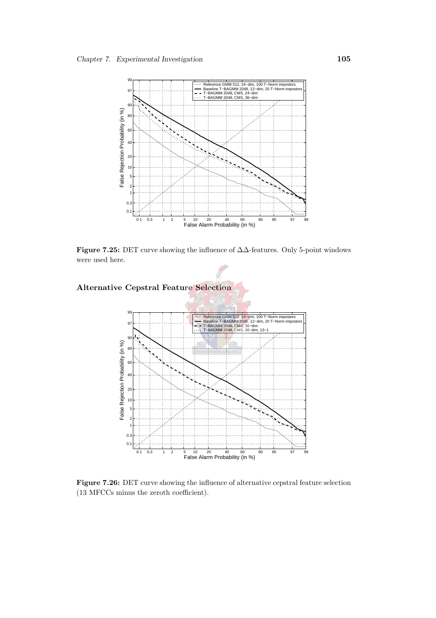

Figure 7.25: DET curve showing the influence of ∆∆-features. Only 5-point windows were used here.



Figure 7.26: DET curve showing the influence of alternative cepstral feature selection (13 MFCCs minus the zeroth coefficient).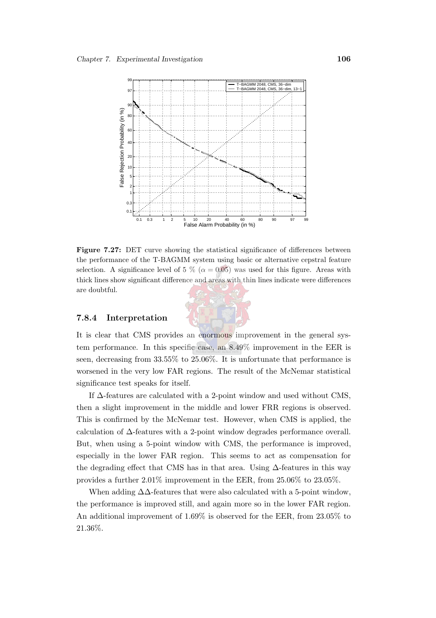

Figure 7.27: DET curve showing the statistical significance of differences between the performance of the T-BAGMM system using basic or alternative cepstral feature selection. A significance level of 5 % ( $\alpha = 0.05$ ) was used for this figure. Areas with thick lines show significant difference and areas with thin lines indicate were differences are doubtful.

It is clear that CMS provides an enormous improvement in the general sys-

7.8.4 Interpretation

tem performance. In this specific case, an 8.49% improvement in the EER is seen, decreasing from 33.55% to 25.06%. It is unfortunate that performance is worsened in the very low FAR regions. The result of the McNemar statistical significance test speaks for itself.

If ∆-features are calculated with a 2-point window and used without CMS, then a slight improvement in the middle and lower FRR regions is observed. This is confirmed by the McNemar test. However, when CMS is applied, the calculation of ∆-features with a 2-point window degrades performance overall. But, when using a 5-point window with CMS, the performance is improved, especially in the lower FAR region. This seems to act as compensation for the degrading effect that CMS has in that area. Using ∆-features in this way provides a further 2.01% improvement in the EER, from 25.06% to 23.05%.

When adding  $\Delta\Delta$ -features that were also calculated with a 5-point window, the performance is improved still, and again more so in the lower FAR region. An additional improvement of 1.69% is observed for the EER, from 23.05% to 21.36%.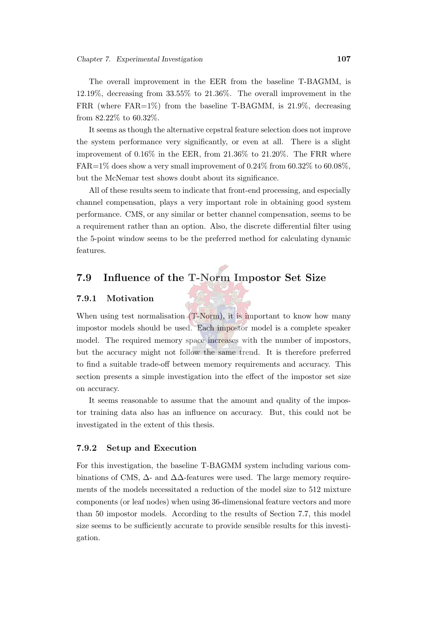The overall improvement in the EER from the baseline T-BAGMM, is 12.19%, decreasing from 33.55% to 21.36%. The overall improvement in the FRR (where FAR=1%) from the baseline T-BAGMM, is 21.9%, decreasing from 82.22% to 60.32%.

It seems as though the alternative cepstral feature selection does not improve the system performance very significantly, or even at all. There is a slight improvement of 0.16% in the EER, from 21.36% to 21.20%. The FRR where  $FAR=1\%$  does show a very small improvement of 0.24% from 60.32% to 60.08%. but the McNemar test shows doubt about its significance.

All of these results seem to indicate that front-end processing, and especially channel compensation, plays a very important role in obtaining good system performance. CMS, or any similar or better channel compensation, seems to be a requirement rather than an option. Also, the discrete differential filter using the 5-point window seems to be the preferred method for calculating dynamic features.

### 7.9 Influence of the T-Norm Impostor Set Size

#### 7.9.1 Motivation

When using test normalisation (T-Norm), it is important to know how many impostor models should be used. Each impostor model is a complete speaker model. The required memory space increases with the number of impostors, but the accuracy might not follow the same trend. It is therefore preferred to find a suitable trade-off between memory requirements and accuracy. This section presents a simple investigation into the effect of the impostor set size on accuracy.

It seems reasonable to assume that the amount and quality of the impostor training data also has an influence on accuracy. But, this could not be investigated in the extent of this thesis.

#### 7.9.2 Setup and Execution

For this investigation, the baseline T-BAGMM system including various combinations of CMS,  $\Delta$ - and  $\Delta\Delta$ -features were used. The large memory requirements of the models necessitated a reduction of the model size to 512 mixture components (or leaf nodes) when using 36-dimensional feature vectors and more than 50 impostor models. According to the results of Section [7.7,](#page-119-0) this model size seems to be sufficiently accurate to provide sensible results for this investigation.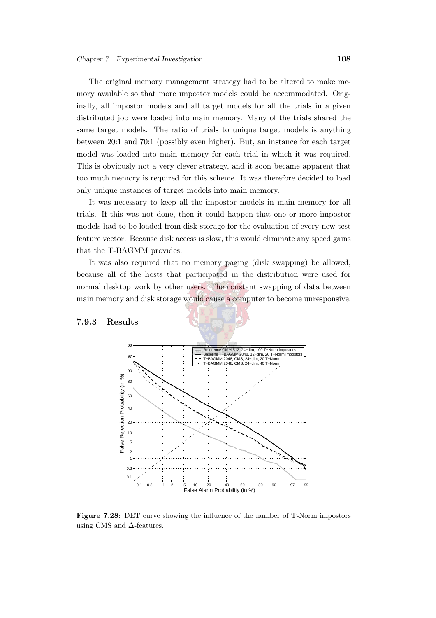The original memory management strategy had to be altered to make memory available so that more impostor models could be accommodated. Originally, all impostor models and all target models for all the trials in a given distributed job were loaded into main memory. Many of the trials shared the same target models. The ratio of trials to unique target models is anything between 20:1 and 70:1 (possibly even higher). But, an instance for each target model was loaded into main memory for each trial in which it was required. This is obviously not a very clever strategy, and it soon became apparent that too much memory is required for this scheme. It was therefore decided to load only unique instances of target models into main memory.

It was necessary to keep all the impostor models in main memory for all trials. If this was not done, then it could happen that one or more impostor models had to be loaded from disk storage for the evaluation of every new test feature vector. Because disk access is slow, this would eliminate any speed gains that the T-BAGMM provides.

It was also required that no memory paging (disk swapping) be allowed, because all of the hosts that participated in the distribution were used for normal desktop work by other users. The constant swapping of data between main memory and disk storage would cause a computer to become unresponsive.

#### 7.9.3 Results



Figure 7.28: DET curve showing the influence of the number of T-Norm impostors using CMS and ∆-features.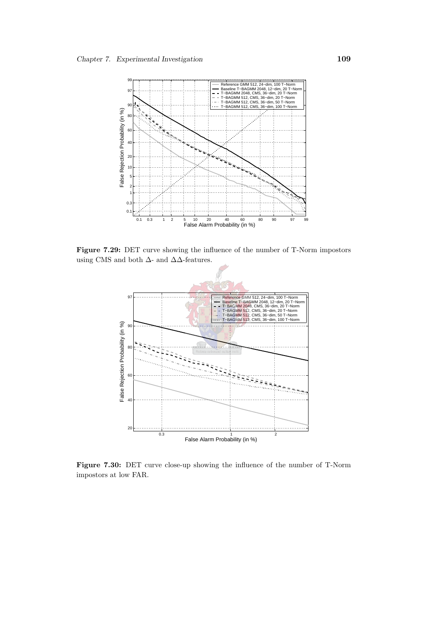

Figure 7.29: DET curve showing the influence of the number of T-Norm impostors using CMS and both  $\Delta\text{-}$  and  $\Delta\Delta\text{-} \text{features.}$ 



Figure 7.30: DET curve close-up showing the influence of the number of T-Norm impostors at low FAR.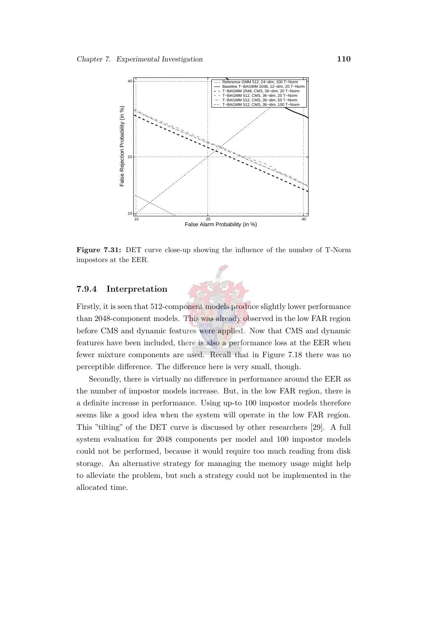

Figure 7.31: DET curve close-up showing the influence of the number of T-Norm impostors at the EER.

#### 7.9.4 Interpretation



Secondly, there is virtually no difference in performance around the EER as the number of impostor models increase. But, in the low FAR region, there is a definite increase in performance. Using up-to 100 impostor models therefore seems like a good idea when the system will operate in the low FAR region. This "tilting" of the DET curve is discussed by other researchers [\[29\]](#page-146-0). A full system evaluation for 2048 components per model and 100 impostor models could not be performed, because it would require too much reading from disk storage. An alternative strategy for managing the memory usage might help to alleviate the problem, but such a strategy could not be implemented in the allocated time.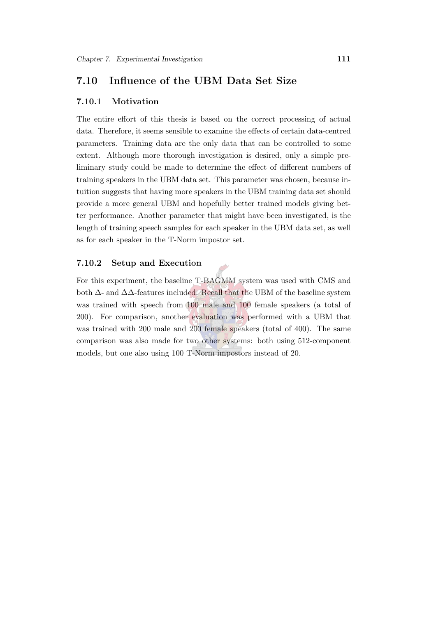#### 7.10 Influence of the UBM Data Set Size

#### 7.10.1 Motivation

The entire effort of this thesis is based on the correct processing of actual data. Therefore, it seems sensible to examine the effects of certain data-centred parameters. Training data are the only data that can be controlled to some extent. Although more thorough investigation is desired, only a simple preliminary study could be made to determine the effect of different numbers of training speakers in the UBM data set. This parameter was chosen, because intuition suggests that having more speakers in the UBM training data set should provide a more general UBM and hopefully better trained models giving better performance. Another parameter that might have been investigated, is the length of training speech samples for each speaker in the UBM data set, as well as for each speaker in the T-Norm impostor set.

#### 7.10.2 Setup and Execution

For this experiment, the baseline T-BAGMM system was used with CMS and both ∆- and ∆∆-features included. Recall that the UBM of the baseline system was trained with speech from 100 male and 100 female speakers (a total of 200). For comparison, another evaluation was performed with a UBM that was trained with 200 male and 200 female speakers (total of 400). The same comparison was also made for two other systems: both using 512-component models, but one also using 100 T-Norm impostors instead of 20.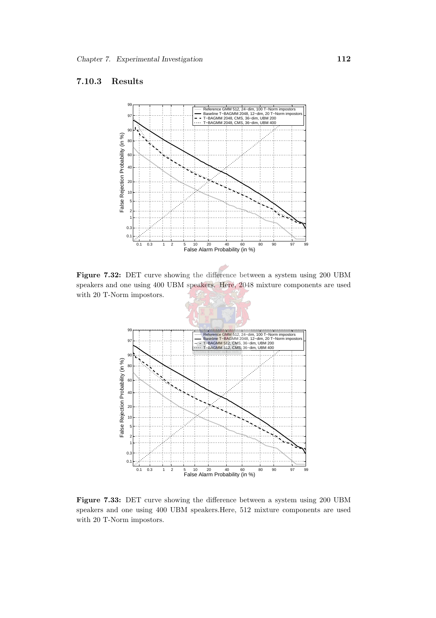#### 7.10.3 Results



Figure 7.32: DET curve showing the difference between a system using 200 UBM speakers and one using 400 UBM speakers. Here, 2048 mixture components are used with 20 T-Norm impostors.



Figure 7.33: DET curve showing the difference between a system using 200 UBM speakers and one using 400 UBM speakers.Here, 512 mixture components are used with 20 T-Norm impostors.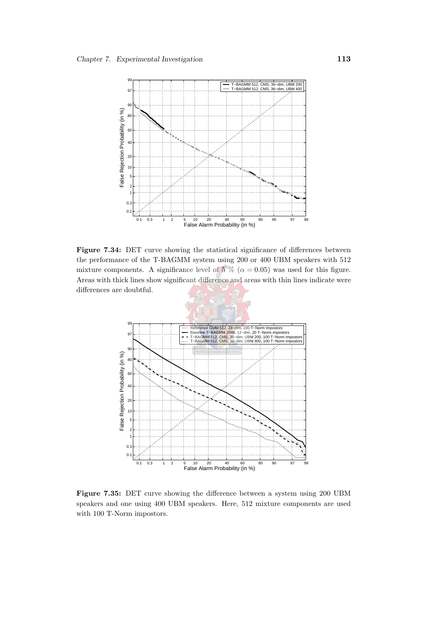

Figure 7.34: DET curve showing the statistical significance of differences between the performance of the T-BAGMM system using 200 or 400 UBM speakers with 512 mixture components. A significance level of 5 % ( $\alpha = 0.05$ ) was used for this figure. Areas with thick lines show significant difference and areas with thin lines indicate were differences are doubtful.



Figure 7.35: DET curve showing the difference between a system using 200 UBM speakers and one using 400 UBM speakers. Here, 512 mixture components are used with 100 T-Norm impostors.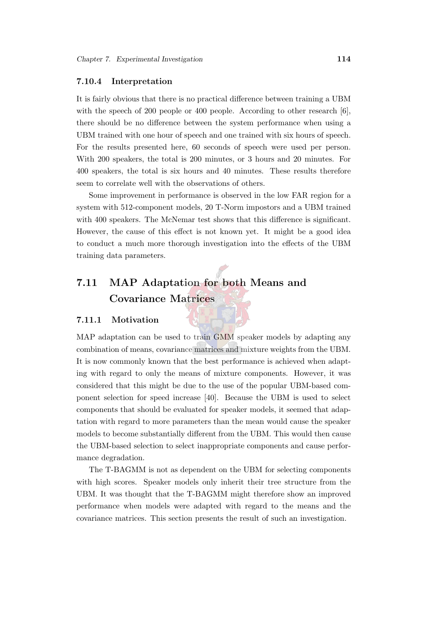#### 7.10.4 Interpretation

It is fairly obvious that there is no practical difference between training a UBM with the speech of 200 people or 400 people. According to other research [\[6\]](#page-144-0), there should be no difference between the system performance when using a UBM trained with one hour of speech and one trained with six hours of speech. For the results presented here, 60 seconds of speech were used per person. With 200 speakers, the total is 200 minutes, or 3 hours and 20 minutes. For 400 speakers, the total is six hours and 40 minutes. These results therefore seem to correlate well with the observations of others.

Some improvement in performance is observed in the low FAR region for a system with 512-component models, 20 T-Norm impostors and a UBM trained with 400 speakers. The McNemar test shows that this difference is significant. However, the cause of this effect is not known yet. It might be a good idea to conduct a much more thorough investigation into the effects of the UBM training data parameters.

## 7.11 MAP Adaptation for both Means and Covariance Matrices

#### 7.11.1 Motivation

MAP adaptation can be used to train GMM speaker models by adapting any combination of means, covariance matrices and mixture weights from the UBM. It is now commonly known that the best performance is achieved when adapting with regard to only the means of mixture components. However, it was considered that this might be due to the use of the popular UBM-based component selection for speed increase [\[40](#page-148-0)]. Because the UBM is used to select components that should be evaluated for speaker models, it seemed that adaptation with regard to more parameters than the mean would cause the speaker models to become substantially different from the UBM. This would then cause the UBM-based selection to select inappropriate components and cause performance degradation.

The T-BAGMM is not as dependent on the UBM for selecting components with high scores. Speaker models only inherit their tree structure from the UBM. It was thought that the T-BAGMM might therefore show an improved performance when models were adapted with regard to the means and the covariance matrices. This section presents the result of such an investigation.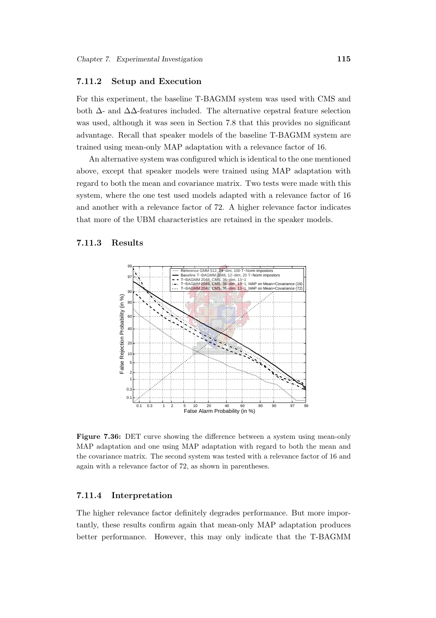#### 7.11.2 Setup and Execution

For this experiment, the baseline T-BAGMM system was used with CMS and both ∆- and ∆∆-features included. The alternative cepstral feature selection was used, although it was seen in Section [7.8](#page-123-0) that this provides no significant advantage. Recall that speaker models of the baseline T-BAGMM system are trained using mean-only MAP adaptation with a relevance factor of 16.

An alternative system was configured which is identical to the one mentioned above, except that speaker models were trained using MAP adaptation with regard to both the mean and covariance matrix. Two tests were made with this system, where the one test used models adapted with a relevance factor of 16 and another with a relevance factor of 72. A higher relevance factor indicates that more of the UBM characteristics are retained in the speaker models.

#### 7.11.3 Results



Figure 7.36: DET curve showing the difference between a system using mean-only MAP adaptation and one using MAP adaptation with regard to both the mean and the covariance matrix. The second system was tested with a relevance factor of 16 and again with a relevance factor of 72, as shown in parentheses.

#### 7.11.4 Interpretation

The higher relevance factor definitely degrades performance. But more importantly, these results confirm again that mean-only MAP adaptation produces better performance. However, this may only indicate that the T-BAGMM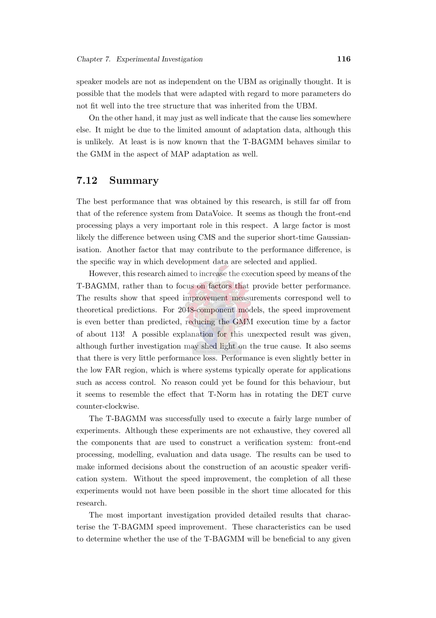speaker models are not as independent on the UBM as originally thought. It is possible that the models that were adapted with regard to more parameters do not fit well into the tree structure that was inherited from the UBM.

On the other hand, it may just as well indicate that the cause lies somewhere else. It might be due to the limited amount of adaptation data, although this is unlikely. At least is is now known that the T-BAGMM behaves similar to the GMM in the aspect of MAP adaptation as well.

#### 7.12 Summary

The best performance that was obtained by this research, is still far off from that of the reference system from DataVoice. It seems as though the front-end processing plays a very important role in this respect. A large factor is most likely the difference between using CMS and the superior short-time Gaussianisation. Another factor that may contribute to the performance difference, is the specific way in which development data are selected and applied.

However, this research aimed to increase the execution speed by means of the T-BAGMM, rather than to focus on factors that provide better performance. The results show that speed improvement measurements correspond well to theoretical predictions. For 2048-component models, the speed improvement is even better than predicted, reducing the GMM execution time by a factor of about 113! A possible explanation for this unexpected result was given, although further investigation may shed light on the true cause. It also seems that there is very little performance loss. Performance is even slightly better in the low FAR region, which is where systems typically operate for applications such as access control. No reason could yet be found for this behaviour, but it seems to resemble the effect that T-Norm has in rotating the DET curve counter-clockwise.

The T-BAGMM was successfully used to execute a fairly large number of experiments. Although these experiments are not exhaustive, they covered all the components that are used to construct a verification system: front-end processing, modelling, evaluation and data usage. The results can be used to make informed decisions about the construction of an acoustic speaker verification system. Without the speed improvement, the completion of all these experiments would not have been possible in the short time allocated for this research.

The most important investigation provided detailed results that characterise the T-BAGMM speed improvement. These characteristics can be used to determine whether the use of the T-BAGMM will be beneficial to any given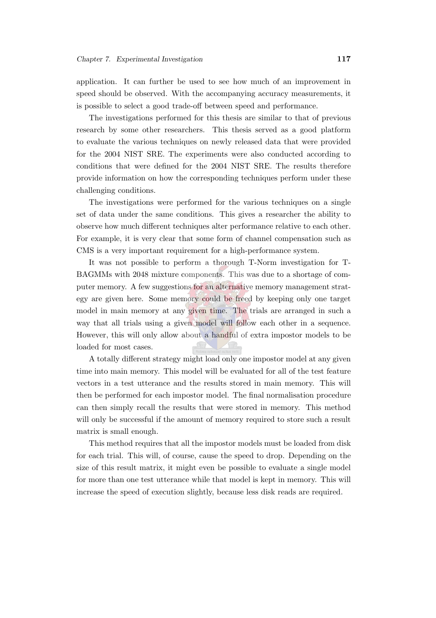application. It can further be used to see how much of an improvement in speed should be observed. With the accompanying accuracy measurements, it is possible to select a good trade-off between speed and performance.

The investigations performed for this thesis are similar to that of previous research by some other researchers. This thesis served as a good platform to evaluate the various techniques on newly released data that were provided for the 2004 NIST SRE. The experiments were also conducted according to conditions that were defined for the 2004 NIST SRE. The results therefore provide information on how the corresponding techniques perform under these challenging conditions.

The investigations were performed for the various techniques on a single set of data under the same conditions. This gives a researcher the ability to observe how much different techniques alter performance relative to each other. For example, it is very clear that some form of channel compensation such as CMS is a very important requirement for a high-performance system.

It was not possible to perform a thorough T-Norm investigation for T-BAGMMs with 2048 mixture components. This was due to a shortage of computer memory. A few suggestions for an alternative memory management strategy are given here. Some memory could be freed by keeping only one target model in main memory at any given time. The trials are arranged in such a way that all trials using a given model will follow each other in a sequence. However, this will only allow about a handful of extra impostor models to be loaded for most cases.

A totally different strategy might load only one impostor model at any given time into main memory. This model will be evaluated for all of the test feature vectors in a test utterance and the results stored in main memory. This will then be performed for each impostor model. The final normalisation procedure can then simply recall the results that were stored in memory. This method will only be successful if the amount of memory required to store such a result matrix is small enough.

This method requires that all the impostor models must be loaded from disk for each trial. This will, of course, cause the speed to drop. Depending on the size of this result matrix, it might even be possible to evaluate a single model for more than one test utterance while that model is kept in memory. This will increase the speed of execution slightly, because less disk reads are required.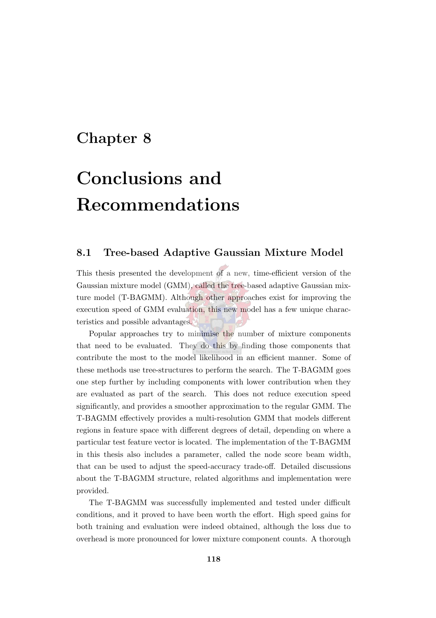## Chapter 8

# Conclusions and Recommendations

#### 8.1 Tree-based Adaptive Gaussian Mixture Model

This thesis presented the development of a new, time-efficient version of the Gaussian mixture model (GMM), called the tree-based adaptive Gaussian mixture model (T-BAGMM). Although other approaches exist for improving the execution speed of GMM evaluation, this new model has a few unique characteristics and possible advantages.

Popular approaches try to minimise the number of mixture components that need to be evaluated. They do this by finding those components that contribute the most to the model likelihood in an efficient manner. Some of these methods use tree-structures to perform the search. The T-BAGMM goes one step further by including components with lower contribution when they are evaluated as part of the search. This does not reduce execution speed significantly, and provides a smoother approximation to the regular GMM. The T-BAGMM effectively provides a multi-resolution GMM that models different regions in feature space with different degrees of detail, depending on where a particular test feature vector is located. The implementation of the T-BAGMM in this thesis also includes a parameter, called the node score beam width, that can be used to adjust the speed-accuracy trade-off. Detailed discussions about the T-BAGMM structure, related algorithms and implementation were provided.

The T-BAGMM was successfully implemented and tested under difficult conditions, and it proved to have been worth the effort. High speed gains for both training and evaluation were indeed obtained, although the loss due to overhead is more pronounced for lower mixture component counts. A thorough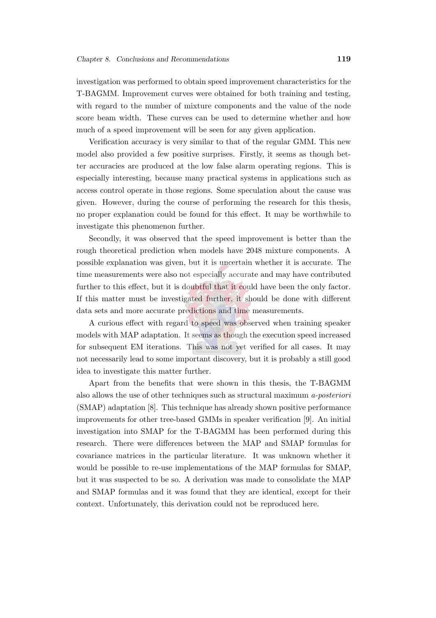investigation was performed to obtain speed improvement characteristics for the T-BAGMM. Improvement curves were obtained for both training and testing, with regard to the number of mixture components and the value of the node score beam width. These curves can be used to determine whether and how much of a speed improvement will be seen for any given application.

Verification accuracy is very similar to that of the regular GMM. This new model also provided a few positive surprises. Firstly, it seems as though better accuracies are produced at the low false alarm operating regions. This is especially interesting, because many practical systems in applications such as access control operate in those regions. Some speculation about the cause was given. However, during the course of performing the research for this thesis, no proper explanation could be found for this effect. It may be worthwhile to investigate this phenomenon further.

Secondly, it was observed that the speed improvement is better than the rough theoretical prediction when models have 2048 mixture components. A possible explanation was given, but it is uncertain whether it is accurate. The time measurements were also not especially accurate and may have contributed further to this effect, but it is doubtful that it could have been the only factor. If this matter must be investigated further, it should be done with different data sets and more accurate predictions and time measurements.

A curious effect with regard to speed was observed when training speaker models with MAP adaptation. It seems as though the execution speed increased for subsequent EM iterations. This was not yet verified for all cases. It may not necessarily lead to some important discovery, but it is probably a still good idea to investigate this matter further.

Apart from the benefits that were shown in this thesis, the T-BAGMM also allows the use of other techniques such as structural maximum a-posteriori (SMAP) adaptation [\[8\]](#page-144-1). This technique has already shown positive performance improvements for other tree-based GMMs in speaker verification [\[9\]](#page-145-0). An initial investigation into SMAP for the T-BAGMM has been performed during this research. There were differences between the MAP and SMAP formulas for covariance matrices in the particular literature. It was unknown whether it would be possible to re-use implementations of the MAP formulas for SMAP, but it was suspected to be so. A derivation was made to consolidate the MAP and SMAP formulas and it was found that they are identical, except for their context. Unfortunately, this derivation could not be reproduced here.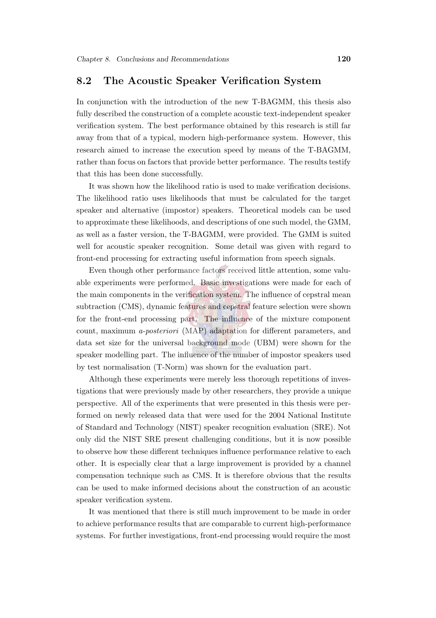#### 8.2 The Acoustic Speaker Verification System

In conjunction with the introduction of the new T-BAGMM, this thesis also fully described the construction of a complete acoustic text-independent speaker verification system. The best performance obtained by this research is still far away from that of a typical, modern high-performance system. However, this research aimed to increase the execution speed by means of the T-BAGMM, rather than focus on factors that provide better performance. The results testify that this has been done successfully.

It was shown how the likelihood ratio is used to make verification decisions. The likelihood ratio uses likelihoods that must be calculated for the target speaker and alternative (impostor) speakers. Theoretical models can be used to approximate these likelihoods, and descriptions of one such model, the GMM, as well as a faster version, the T-BAGMM, were provided. The GMM is suited well for acoustic speaker recognition. Some detail was given with regard to front-end processing for extracting useful information from speech signals.

Even though other performance factors received little attention, some valuable experiments were performed. Basic investigations were made for each of the main components in the verification system. The influence of cepstral mean subtraction (CMS), dynamic features and cepstral feature selection were shown for the front-end processing part. The influence of the mixture component count, maximum a-posteriori (MAP) adaptation for different parameters, and data set size for the universal background mode (UBM) were shown for the speaker modelling part. The influence of the number of impostor speakers used by test normalisation (T-Norm) was shown for the evaluation part.

Although these experiments were merely less thorough repetitions of investigations that were previously made by other researchers, they provide a unique perspective. All of the experiments that were presented in this thesis were performed on newly released data that were used for the 2004 National Institute of Standard and Technology (NIST) speaker recognition evaluation (SRE). Not only did the NIST SRE present challenging conditions, but it is now possible to observe how these different techniques influence performance relative to each other. It is especially clear that a large improvement is provided by a channel compensation technique such as CMS. It is therefore obvious that the results can be used to make informed decisions about the construction of an acoustic speaker verification system.

It was mentioned that there is still much improvement to be made in order to achieve performance results that are comparable to current high-performance systems. For further investigations, front-end processing would require the most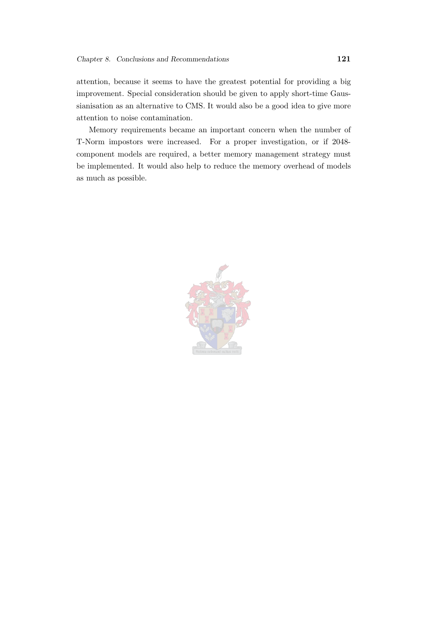attention, because it seems to have the greatest potential for providing a big improvement. Special consideration should be given to apply short-time Gaussianisation as an alternative to CMS. It would also be a good idea to give more attention to noise contamination.

Memory requirements became an important concern when the number of T-Norm impostors were increased. For a proper investigation, or if 2048 component models are required, a better memory management strategy must be implemented. It would also help to reduce the memory overhead of models as much as possible.

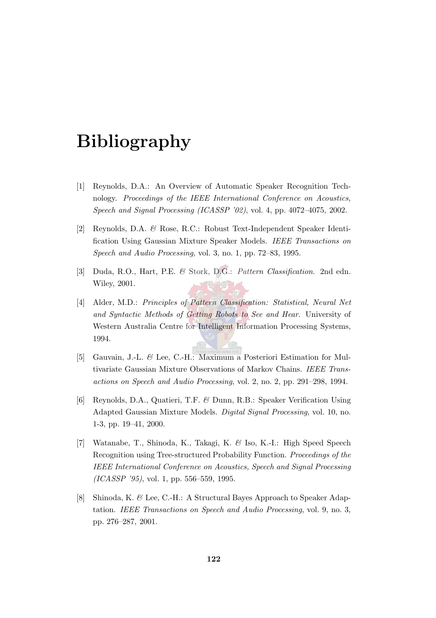# Bibliography

- [1] Reynolds, D.A.: An Overview of Automatic Speaker Recognition Technology. Proceedings of the IEEE International Conference on Acoustics, Speech and Signal Processing (ICASSP '02), vol. 4, pp. 4072–4075, 2002.
- [2] Reynolds, D.A. & Rose, R.C.: Robust Text-Independent Speaker Identification Using Gaussian Mixture Speaker Models. IEEE Transactions on Speech and Audio Processing, vol. 3, no. 1, pp. 72–83, 1995.
- [3] Duda, R.O., Hart, P.E. & Stork, D.G.: Pattern Classification. 2nd edn. Wiley, 2001.
- [4] Alder, M.D.: Principles of Pattern Classification: Statistical, Neural Net and Syntactic Methods of Getting Robots to See and Hear. University of Western Australia Centre for Intelligent Information Processing Systems, 1994.
- [5] Gauvain, J.-L. & Lee, C.-H.: Maximum a Posteriori Estimation for Multivariate Gaussian Mixture Observations of Markov Chains. IEEE Transactions on Speech and Audio Processing, vol. 2, no. 2, pp. 291–298, 1994.
- [6] Reynolds, D.A., Quatieri, T.F. & Dunn, R.B.: Speaker Verification Using Adapted Gaussian Mixture Models. Digital Signal Processing, vol. 10, no. 1-3, pp. 19–41, 2000.
- [7] Watanabe, T., Shinoda, K., Takagi, K. & Iso, K.-I.: High Speed Speech Recognition using Tree-structured Probability Function. Proceedings of the IEEE International Conference on Acoustics, Speech and Signal Processing (ICASSP '95), vol. 1, pp. 556–559, 1995.
- [8] Shinoda, K. & Lee, C.-H.: A Structural Bayes Approach to Speaker Adaptation. IEEE Transactions on Speech and Audio Processing, vol. 9, no. 3, pp. 276–287, 2001.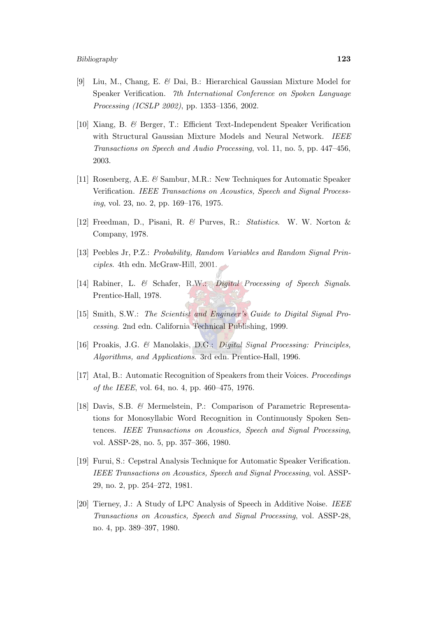- [9] Liu, M., Chang, E. & Dai, B.: Hierarchical Gaussian Mixture Model for Speaker Verification. 7th International Conference on Spoken Language Processing (ICSLP 2002), pp. 1353–1356, 2002.
- [10] Xiang, B. & Berger, T.: Efficient Text-Independent Speaker Verification with Structural Gaussian Mixture Models and Neural Network. IEEE Transactions on Speech and Audio Processing, vol. 11, no. 5, pp. 447–456, 2003.
- [11] Rosenberg, A.E. & Sambur, M.R.: New Techniques for Automatic Speaker Verification. IEEE Transactions on Acoustics, Speech and Signal Processing, vol. 23, no. 2, pp. 169–176, 1975.
- [12] Freedman, D., Pisani, R. & Purves, R.: Statistics. W. W. Norton & Company, 1978.
- [13] Peebles Jr, P.Z.: Probability, Random Variables and Random Signal Principles. 4th edn. McGraw-Hill, 2001.
- [14] Rabiner, L. & Schafer, R.W.: Digital Processing of Speech Signals. Prentice-Hall, 1978.
- [15] Smith, S.W.: The Scientist and Engineer's Guide to Digital Signal Processing. 2nd edn. California Technical Publishing, 1999.
- [16] Proakis, J.G. & Manolakis, D.G.: Digital Signal Processing: Principles, Algorithms, and Applications. 3rd edn. Prentice-Hall, 1996.
- [17] Atal, B.: Automatic Recognition of Speakers from their Voices. Proceedings of the IEEE, vol. 64, no. 4, pp. 460–475, 1976.
- [18] Davis, S.B. & Mermelstein, P.: Comparison of Parametric Representations for Monosyllabic Word Recognition in Continuously Spoken Sentences. IEEE Transactions on Acoustics, Speech and Signal Processing, vol. ASSP-28, no. 5, pp. 357–366, 1980.
- [19] Furui, S.: Cepstral Analysis Technique for Automatic Speaker Verification. IEEE Transactions on Acoustics, Speech and Signal Processing, vol. ASSP-29, no. 2, pp. 254–272, 1981.
- [20] Tierney, J.: A Study of LPC Analysis of Speech in Additive Noise. IEEE Transactions on Acoustics, Speech and Signal Processing, vol. ASSP-28, no. 4, pp. 389–397, 1980.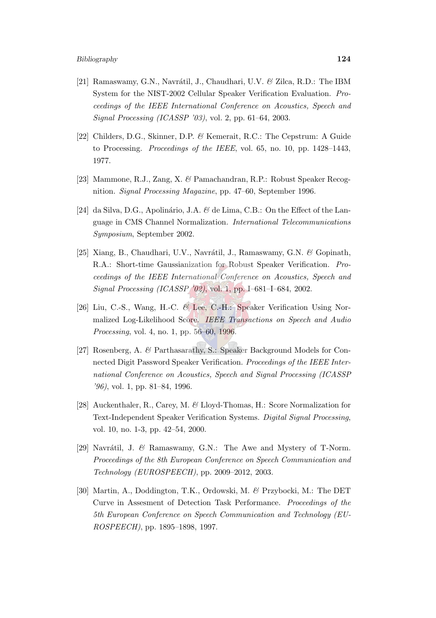- [21] Ramaswamy, G.N., Navrátil, J., Chaudhari, U.V. & Zilca, R.D.: The IBM System for the NIST-2002 Cellular Speaker Verification Evaluation. Proceedings of the IEEE International Conference on Acoustics, Speech and Signal Processing (ICASSP '03), vol. 2, pp. 61–64, 2003.
- [22] Childers, D.G., Skinner, D.P. & Kemerait, R.C.: The Cepstrum: A Guide to Processing. Proceedings of the IEEE, vol. 65, no. 10, pp. 1428–1443, 1977.
- [23] Mammone, R.J., Zang, X. & Pamachandran, R.P.: Robust Speaker Recognition. *Signal Processing Magazine*, pp. 47–60, September 1996.
- [24] da Silva, D.G., Apolinário, J.A. & de Lima, C.B.: On the Effect of the Language in CMS Channel Normalization. International Telecommunications Symposium, September 2002.
- [25] Xiang, B., Chaudhari, U.V., Navrátil, J., Ramaswamy, G.N. & Gopinath, R.A.: Short-time Gaussianization for Robust Speaker Verification. Proceedings of the IEEE International Conference on Acoustics, Speech and Signal Processing (ICASSP '02), vol. 1, pp. I–681–I–684, 2002.
- [26] Liu, C.-S., Wang, H.-C. & Lee, C.-H.: Speaker Verification Using Normalized Log-Likelihood Score. IEEE Transactions on Speech and Audio Processing, vol. 4, no. 1, pp. 56–60, 1996.
- [27] Rosenberg, A. & Parthasarathy, S.: Speaker Background Models for Connected Digit Password Speaker Verification. Proceedings of the IEEE International Conference on Acoustics, Speech and Signal Processing (ICASSP '96), vol. 1, pp. 81–84, 1996.
- [28] Auckenthaler, R., Carey, M. & Lloyd-Thomas, H.: Score Normalization for Text-Independent Speaker Verification Systems. Digital Signal Processing, vol. 10, no. 1-3, pp. 42–54, 2000.
- [29] Navrátil, J. & Ramaswamy, G.N.: The Awe and Mystery of T-Norm. Proceedings of the 8th European Conference on Speech Communication and Technology (EUROSPEECH), pp. 2009–2012, 2003.
- [30] Martin, A., Doddington, T.K., Ordowski, M. & Przybocki, M.: The DET Curve in Assesment of Detection Task Performance. Proceedings of the 5th European Conference on Speech Communication and Technology (EU-ROSPEECH), pp. 1895–1898, 1997.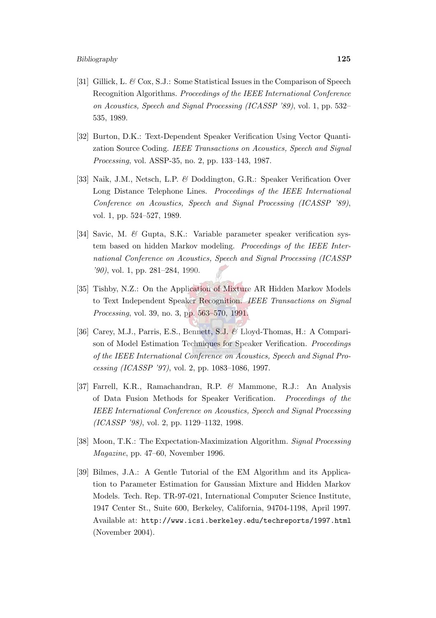- [31] Gillick, L. & Cox, S.J.: Some Statistical Issues in the Comparison of Speech Recognition Algorithms. Proceedings of the IEEE International Conference on Acoustics, Speech and Signal Processing (ICASSP '89), vol. 1, pp. 532– 535, 1989.
- [32] Burton, D.K.: Text-Dependent Speaker Verification Using Vector Quantization Source Coding. IEEE Transactions on Acoustics, Speech and Signal Processing, vol. ASSP-35, no. 2, pp. 133–143, 1987.
- [33] Naik, J.M., Netsch, L.P. & Doddington, G.R.: Speaker Verification Over Long Distance Telephone Lines. Proceedings of the IEEE International Conference on Acoustics, Speech and Signal Processing (ICASSP '89), vol. 1, pp. 524–527, 1989.
- [34] Savic, M. & Gupta, S.K.: Variable parameter speaker verification system based on hidden Markov modeling. Proceedings of the IEEE International Conference on Acoustics, Speech and Signal Processing (ICASSP '90), vol. 1, pp. 281–284, 1990.
- [35] Tishby, N.Z.: On the Application of Mixture AR Hidden Markov Models to Text Independent Speaker Recognition. IEEE Transactions on Signal Processing, vol. 39, no. 3, pp. 563–570, 1991.
- [36] Carey, M.J., Parris, E.S., Bennett, S.J. & Lloyd-Thomas, H.: A Comparison of Model Estimation Techniques for Speaker Verification. Proceedings of the IEEE International Conference on Acoustics, Speech and Signal Processing (ICASSP '97), vol. 2, pp. 1083–1086, 1997.
- [37] Farrell, K.R., Ramachandran, R.P. & Mammone, R.J.: An Analysis of Data Fusion Methods for Speaker Verification. Proceedings of the IEEE International Conference on Acoustics, Speech and Signal Processing (ICASSP '98), vol. 2, pp. 1129–1132, 1998.
- [38] Moon, T.K.: The Expectation-Maximization Algorithm. Signal Processing Magazine, pp. 47–60, November 1996.
- [39] Bilmes, J.A.: A Gentle Tutorial of the EM Algorithm and its Application to Parameter Estimation for Gaussian Mixture and Hidden Markov Models. Tech. Rep. TR-97-021, International Computer Science Institute, 1947 Center St., Suite 600, Berkeley, California, 94704-1198, April 1997. Available at: <http://www.icsi.berkeley.edu/techreports/1997.html> (November 2004).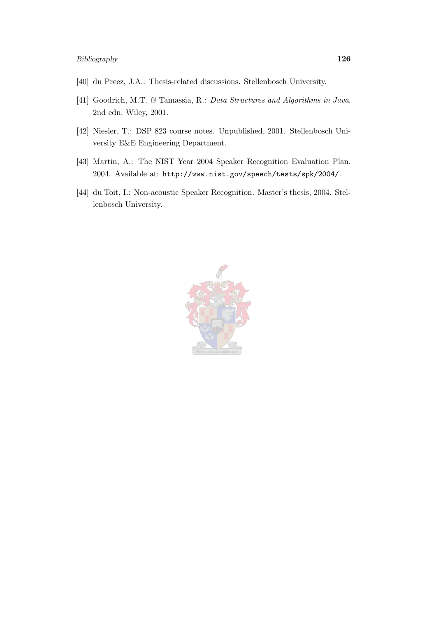- [40] du Preez, J.A.: Thesis-related discussions. Stellenbosch University.
- [41] Goodrich, M.T. & Tamassia, R.: Data Structures and Algorithms in Java. 2nd edn. Wiley, 2001.
- [42] Niesler, T.: DSP 823 course notes. Unpublished, 2001. Stellenbosch University E&E Engineering Department.
- [43] Martin, A.: The NIST Year 2004 Speaker Recognition Evaluation Plan. 2004. Available at: <http://www.nist.gov/speech/tests/spk/2004/>.
- [44] du Toit, I.: Non-acoustic Speaker Recognition. Master's thesis, 2004. Stellenbosch University.

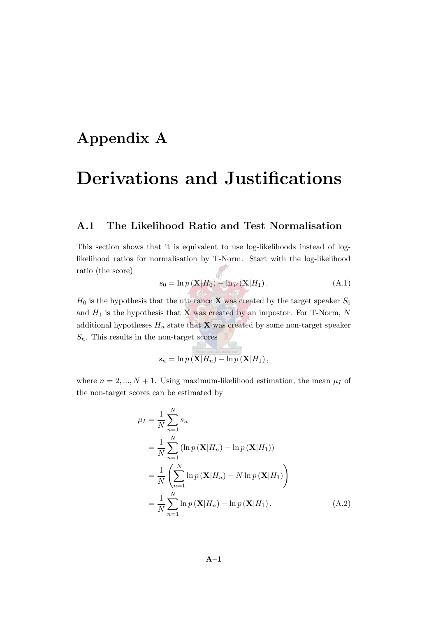## Appendix A

# Derivations and Justifications

#### A.1 The Likelihood Ratio and Test Normalisation

<span id="page-149-0"></span>This section shows that it is equivalent to use log-likelihoods instead of loglikelihood ratios for normalisation by T-Norm. Start with the log-likelihood ratio (the score)

$$
s_0 = \ln p\left(\mathbf{X}|H_0\right) - \ln p\left(\mathbf{X}|H_1\right). \tag{A.1}
$$

 $H_0$  is the hypothesis that the utterance **X** was created by the target speaker  $S_0$ and  $H_1$  is the hypothesis that  $\bf{X}$  was created by an impostor. For T-Norm, N additional hypotheses  $H_n$  state that **X** was created by some non-target speaker  $S_n$ . This results in the non-target scores

$$
s_n = \ln p\left(\mathbf{X}|H_n\right) - \ln p\left(\mathbf{X}|H_1\right),
$$

 $\overline{\phantom{a}}$ 

where  $n = 2, ..., N + 1$ . Using maximum-likelihood estimation, the mean  $\mu_I$  of the non-target scores can be estimated by

<span id="page-149-1"></span>
$$
\mu_{I} = \frac{1}{N} \sum_{n=1}^{N} s_{n}
$$
  
=  $\frac{1}{N} \sum_{n=1}^{N} (\ln p(\mathbf{X}|H_{n}) - \ln p(\mathbf{X}|H_{1}))$   
=  $\frac{1}{N} \left( \sum_{n=1}^{N} \ln p(\mathbf{X}|H_{n}) - N \ln p(\mathbf{X}|H_{1}) \right)$   
=  $\frac{1}{N} \sum_{n=1}^{N} \ln p(\mathbf{X}|H_{n}) - \ln p(\mathbf{X}|H_{1}).$  (A.2)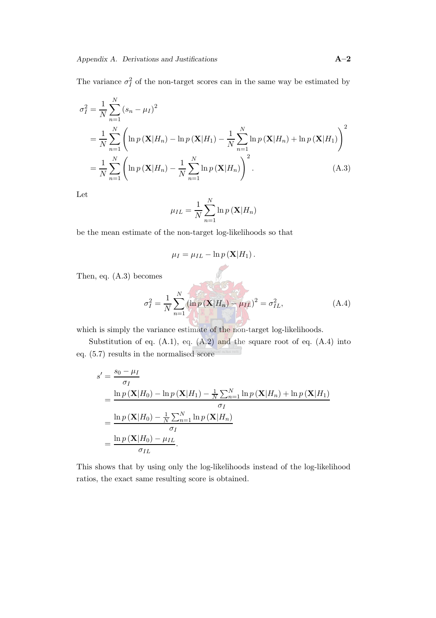The variance  $\sigma_I^2$  of the non-target scores can in the same way be estimated by

$$
\sigma_I^2 = \frac{1}{N} \sum_{n=1}^N (s_n - \mu_I)^2
$$
  
=  $\frac{1}{N} \sum_{n=1}^N \left( \ln p(\mathbf{X}|H_n) - \ln p(\mathbf{X}|H_1) - \frac{1}{N} \sum_{n=1}^N \ln p(\mathbf{X}|H_n) + \ln p(\mathbf{X}|H_1) \right)^2$   
=  $\frac{1}{N} \sum_{n=1}^N \left( \ln p(\mathbf{X}|H_n) - \frac{1}{N} \sum_{n=1}^N \ln p(\mathbf{X}|H_n) \right)^2$ . (A.3)

Let

<span id="page-150-0"></span>
$$
\mu_{IL} = \frac{1}{N} \sum_{n=1}^{N} \ln p(\mathbf{X}|H_n)
$$

be the mean estimate of the non-target log-likelihoods so that

$$
\mu_I = \mu_{IL} - \ln p(\mathbf{X}|H_1).
$$

<span id="page-150-1"></span>Then, eq. [\(A.3\)](#page-150-0) becomes

$$
\sigma_I^2 = \frac{1}{N} \sum_{n=1}^N (\ln p(\mathbf{X}|H_n) - \mu_{IL})^2 = \sigma_{IL}^2,
$$
 (A.4)

which is simply the variance estimate of the non-target log-likelihoods.

Substitution of eq.  $(A.1)$ , eq.  $(A.2)$  and the square root of eq.  $(A.4)$  into eq. [\(5.7\)](#page-78-0) results in the normalised score

$$
s' = \frac{s_0 - \mu_I}{\sigma_I}
$$
  
= 
$$
\frac{\ln p(\mathbf{X}|H_0) - \ln p(\mathbf{X}|H_1) - \frac{1}{N} \sum_{n=1}^{N} \ln p(\mathbf{X}|H_n) + \ln p(\mathbf{X}|H_1)}{\sigma_I}
$$
  
= 
$$
\frac{\ln p(\mathbf{X}|H_0) - \frac{1}{N} \sum_{n=1}^{N} \ln p(\mathbf{X}|H_n)}{\sigma_I}
$$
  
= 
$$
\frac{\ln p(\mathbf{X}|H_0) - \mu_{IL}}{\sigma_{IL}}.
$$

This shows that by using only the log-likelihoods instead of the log-likelihood ratios, the exact same resulting score is obtained.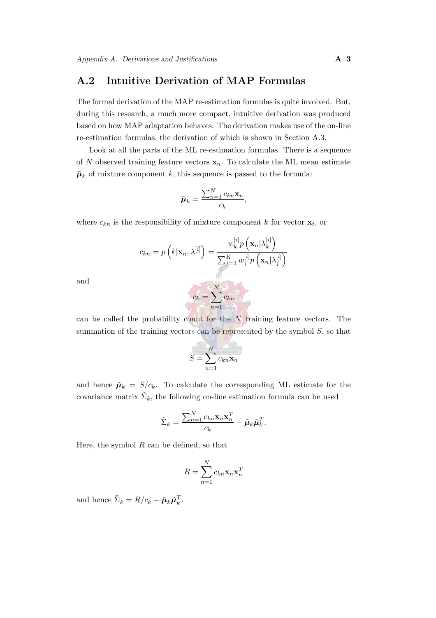### A.2 Intuitive Derivation of MAP Formulas

The formal derivation of the MAP re-estimation formulas is quite involved. But, during this research, a much more compact, intuitive derivation was produced based on how MAP adaptation behaves. The derivation makes use of the on-line re-estimation formulas, the derivation of which is shown in Section [A.3.](#page-154-0)

Look at all the parts of the ML re-estimation formulas. There is a sequence of N observed training feature vectors  $\mathbf{x}_n$ . To calculate the ML mean estimate  $\tilde{\mu}_k$  of mixture component k, this sequence is passed to the formula:

$$
\tilde{\boldsymbol{\mu}}_k = \frac{\sum_{n=1}^N c_{kn} \mathbf{x}_n}{c_k},
$$

where  $c_{kn}$  is the responsibility of mixture component k for vector  $\mathbf{x}_t$ , or

$$
c_{kn} = p\left(k|\mathbf{x}_n, \lambda^{[i]}\right) = \frac{w_k^{[i]} p\left(\mathbf{x}_n | \lambda_k^{[i]}\right)}{\sum_{j=1}^K w_j^{[i]} p\left(\mathbf{x}_n | \lambda_j^{[i]}\right)}
$$

and

can be called the probability count for the  $N$  training feature vectors. The summation of the training vectors can be represented by the symbol  $S$ , so that

$$
S = \sum_{n=1}^{N} c_{kn} \mathbf{x}_n
$$

and hence  $\tilde{\mu}_k = S/c_k$ . To calculate the corresponding ML estimate for the covariance matrix  $\tilde{\Sigma}_k$ , the following on-line estimation formula can be used

$$
\tilde{\Sigma}_k = \frac{\sum_{n=1}^N c_{kn} \mathbf{x}_n \mathbf{x}_n^T}{c_k} - \tilde{\boldsymbol{\mu}}_k \tilde{\boldsymbol{\mu}}_k^T.
$$

Here, the symbol  $R$  can be defined, so that

$$
R = \sum_{n=1}^{N} c_{kn} \mathbf{x}_n \mathbf{x}_n^T
$$

and hence  $\tilde{\Sigma}_k = R/c_k - \tilde{\mu}_k \tilde{\mu}_k^T$ .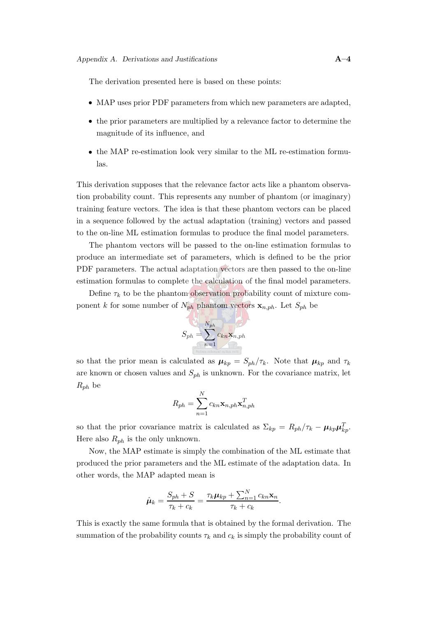The derivation presented here is based on these points:

- MAP uses prior PDF parameters from which new parameters are adapted,
- the prior parameters are multiplied by a relevance factor to determine the magnitude of its influence, and
- the MAP re-estimation look very similar to the ML re-estimation formulas.

This derivation supposes that the relevance factor acts like a phantom observation probability count. This represents any number of phantom (or imaginary) training feature vectors. The idea is that these phantom vectors can be placed in a sequence followed by the actual adaptation (training) vectors and passed to the on-line ML estimation formulas to produce the final model parameters.

The phantom vectors will be passed to the on-line estimation formulas to produce an intermediate set of parameters, which is defined to be the prior PDF parameters. The actual adaptation vectors are then passed to the on-line estimation formulas to complete the calculation of the final model parameters.

Define  $\tau_k$  to be the phantom observation probability count of mixture component k for some number of  $N_{ph}$  phantom vectors  $\mathbf{x}_{n,ph}$ . Let  $S_{ph}$  be

$$
S_{ph}=\sum_{n=1}^{N_{ph}}c_{kn}\mathbf{x}_{n,ph}
$$

so that the prior mean is calculated as  $\mu_{kp} = S_{ph}/\tau_k$ . Note that  $\mu_{kp}$  and  $\tau_k$ are known or chosen values and  $S_{ph}$  is unknown. For the covariance matrix, let  $R_{ph}$  be

$$
R_{ph} = \sum_{n=1}^{N} c_{kn} \mathbf{x}_{n,ph} \mathbf{x}_{n,ph}^{T}
$$

so that the prior covariance matrix is calculated as  $\Sigma_{kp} = R_{ph}/\tau_k - \mu_{kp}\mu_{kp}^T$ . Here also  $R_{ph}$  is the only unknown.

Now, the MAP estimate is simply the combination of the ML estimate that produced the prior parameters and the ML estimate of the adaptation data. In other words, the MAP adapted mean is

$$
\hat{\boldsymbol{\mu}}_k = \frac{S_{ph} + S}{\tau_k + c_k} = \frac{\tau_k \boldsymbol{\mu}_{kp} + \sum_{n=1}^N c_{kn} \mathbf{x}_n}{\tau_k + c_k}.
$$

This is exactly the same formula that is obtained by the formal derivation. The summation of the probability counts  $\tau_k$  and  $c_k$  is simply the probability count of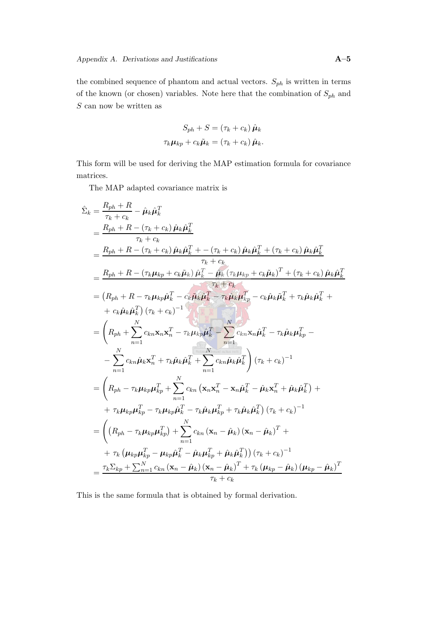the combined sequence of phantom and actual vectors.  $S_{ph}$  is written in terms of the known (or chosen) variables. Note here that the combination of  $\mathcal{S}_{ph}$  and  $S$  can now be written as

$$
S_{ph} + S = (\tau_k + c_k) \hat{\mu}_k
$$

$$
\tau_k \mu_{kp} + c_k \tilde{\mu}_k = (\tau_k + c_k) \hat{\mu}_k.
$$

This form will be used for deriving the MAP estimation formula for covariance matrices.

The MAP adapted covariance matrix is

$$
\hat{\Sigma}_{k} = \frac{R_{ph} + R}{\tau_{k} + c_{k}} - \hat{\mu}_{k} \hat{\mu}_{k}^{T}
$$
\n
$$
= \frac{R_{ph} + R - (\tau_{k} + c_{k}) \hat{\mu}_{k} \hat{\mu}_{k}^{T}}{\tau_{k} + c_{k}}
$$
\n
$$
= \frac{R_{ph} + R - (\tau_{k} + c_{k}) \hat{\mu}_{k} \hat{\mu}_{k}^{T} + (-(\tau_{k} + c_{k}) \hat{\mu}_{k} \hat{\mu}_{k}^{T} + (\tau_{k} + c_{k}) \hat{\mu}_{k} \hat{\mu}_{k}^{T})}{\tau_{k} + c_{k}}
$$
\n
$$
= \frac{R_{ph} + R - (\tau_{k} \mu_{kp} + c_{k} \tilde{\mu}_{k}) \hat{\mu}_{k}^{T} - \hat{\mu}_{k} (\tau_{k} \mu_{kp} + c_{k} \tilde{\mu}_{k})^{T} + (\tau_{k} + c_{k}) \hat{\mu}_{k} \hat{\mu}_{k}^{T}}{\tau_{k} + c_{k}}
$$
\n
$$
= (R_{ph} + R - \tau_{k} \mu_{kp} \hat{\mu}_{k}^{T} - c_{k} \tilde{\mu}_{k} \tilde{\mu}_{k}^{T} - \tau_{k} \hat{\mu}_{k} \mu_{kp}^{T} - c_{k} \hat{\mu}_{k} \tilde{\mu}_{k}^{T} + \tau_{k} \hat{\mu}_{k} \hat{\mu}_{k}^{T} + \tau_{k} \hat{\mu}_{k} \hat{\mu}_{k}^{T} + \tau_{k} \hat{\mu}_{k} \tilde{\mu}_{k}^{T} \tilde{\mu}_{k}^{T} - \tau_{k} \tilde{\mu}_{k} \tilde{\mu}_{k}^{T} - \tau_{k} \tilde{\mu}_{k} \tilde{\mu}_{k}^{T} - \tau_{k} \tilde{\mu}_{k} \tilde{\mu}_{k}^{T} + \tau_{k} \hat{\mu}_{k} \tilde{\mu}_{k}^{T} + \sum_{n=1}^{N} c_{kn} \tilde{\mu}_{n} \tilde{\mu}_{n}^{T} - \tau_{k} \tilde{\mu}_{k} \tilde{\mu}_{k}^{T} - \tau_{k} \tilde{\mu}_{k} \tilde{\mu}_{k}^{T} - \tau_{k} \tilde{\mu}_{k} \tilde{\mu}_{k}^{T} - \tau_{k} \tilde{\mu}_{k} \tilde{\mu}_{k}
$$

This is the same formula that is obtained by formal derivation.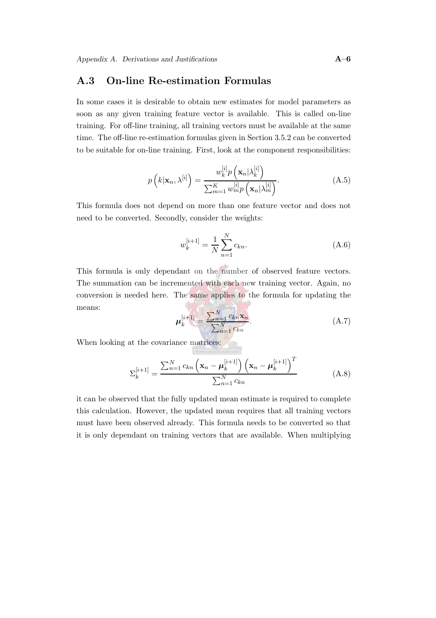### <span id="page-154-0"></span>A.3 On-line Re-estimation Formulas

In some cases it is desirable to obtain new estimates for model parameters as soon as any given training feature vector is available. This is called on-line training. For off-line training, all training vectors must be available at the same time. The off-line re-estimation formulas given in Section [3.5.2](#page-49-0) can be converted to be suitable for on-line training. First, look at the component responsibilities:

$$
p\left(k|\mathbf{x}_n,\lambda^{[i]}\right) = \frac{w_k^{[i]}p\left(\mathbf{x}_n|\lambda_k^{[i]}\right)}{\sum_{m=1}^K w_m^{[i]}p\left(\mathbf{x}_n|\lambda_m^{[i]}\right)}.\tag{A.5}
$$

This formula does not depend on more than one feature vector and does not need to be converted. Secondly, consider the weights:

$$
w_k^{[i+1]} = \frac{1}{N} \sum_{n=1}^{N} c_{kn}.
$$
 (A.6)

This formula is only dependant on the number of observed feature vectors. The summation can be incremented with each new training vector. Again, no conversion is needed here. The same applies to the formula for updating the CA PT means:

$$
\mu_k^{[i+1]} = \frac{\sum_{n=1}^N c_{kn} \mathbf{x}_n}{\sum_{n=1}^N c_{kn}}.
$$
\n(A.7)

When looking at the covariance matrices:

$$
\Sigma_{k}^{[i+1]} = \frac{\sum_{n=1}^{N} c_{kn} \left( \mathbf{x}_{n} - \boldsymbol{\mu}_{k}^{[i+1]} \right) \left( \mathbf{x}_{n} - \boldsymbol{\mu}_{k}^{[i+1]} \right)^{T}}{\sum_{n=1}^{N} c_{kn}}
$$
(A.8)

it can be observed that the fully updated mean estimate is required to complete this calculation. However, the updated mean requires that all training vectors must have been observed already. This formula needs to be converted so that it is only dependant on training vectors that are available. When multiplying